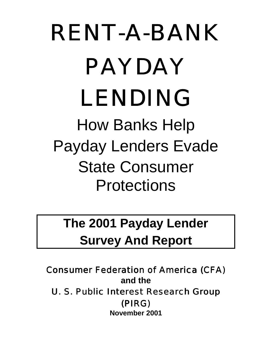# RENT-A-BANK PAYDAY LENDING How Banks Help Payday Lenders Evade State Consumer **Protections**

# **The 2001 Payday Lender Survey And Report**

Consumer Federation of America (CFA) **and the**  U. S. Public Interest Research Group (PIRG) **November 2001**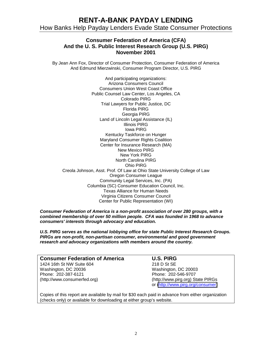#### **Consumer Federation of America (CFA) And the U. S. Public Interest Research Group (U.S. PIRG) November 2001**

By Jean Ann Fox, Director of Consumer Protection, Consumer Federation of America And Edmund Mierzwinski, Consumer Program Director, U.S. PIRG

And participating organizations: Arizona Consumers Council Consumers Union West Coast Office Public Counsel Law Center, Los Angeles, CA Colorado PIRG Trial Lawyers for Public Justice, DC Florida PIRG Georgia PIRG Land of Lincoln Legal Assistance (IL) Illinois PIRG Iowa PIRG Kentucky Taskforce on Hunger Maryland Consumer Rights Coalition Center for Insurance Research (MA) New Mexico PIRG New York PIRG North Carolina PIRG Ohio PIRG Creola Johnson, Asst. Prof. Of Law at Ohio State University College of Law Oregon Consumer League Community Legal Services, Inc. (PA) Columbia (SC) Consumer Education Council, Inc. Texas Alliance for Human Needs Virginia Citizens Consumer Council Center for Public Representation (WI)

*Consumer Federation of America is a non-profit association of over 280 groups, with a combined membership of over 50 million people. CFA was founded in 1968 to advance consumers' interests through advocacy and education.* 

*U.S. PIRG serves as the national lobbying office for state Public Interest Research Groups. PIRGs are non-profit, non-partisan consumer, environmental and good government research and advocacy organizations with members around the country.* 

| <b>Consumer Federation of America</b> |  |
|---------------------------------------|--|
| 1424 16th St NW Suite 604             |  |
| Washington, DC 20036                  |  |
| Phone: 202-387-6121                   |  |
| (http://www.consumerfed.org)          |  |

#### **U.S. PIRG**

218 D St SE Washington, DC 20003 Phone: 202-546-9707 (http://www.pirg.org) State PIRGs or [\(http://www.pirg.org/consumer\)](http://www.pirg.org/consumer)

Copies of this report are available by mail for \$30 each paid in advance from either organization (checks only) or available for downloading at either group's website.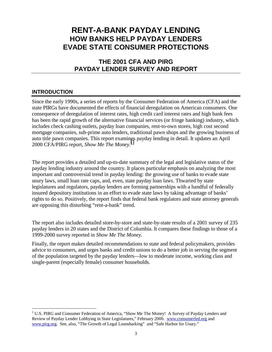# **RENT-A-BANK PAYDAY LENDING HOW BANKS HELP PAYDAY LENDERS EVADE STATE CONSUMER PROTECTIONS**

### **THE 2001 CFA AND PIRG PAYDAY LENDER SURVEY AND REPORT**

#### **INTRODUCTION**

 $\overline{a}$ 

Since the early 1990s, a series of reports by the Consumer Federation of America (CFA) and the state PIRGs have documented the effects of financial deregulation on American consumers. One consequence of deregulation of interest rates, high credit card interest rates and high bank fees has been the rapid growth of the alternative financial services (or fringe banking) industry, which includes check cashing outlets, payday loan companies, rent-to-own stores, high cost second mortgage companies, sub-prime auto lenders, traditional pawn shops and the growing business of auto title pawn companies. This report examines payday lending in detail. It updates an April 2000 CFA/PIRG report, *Show Me The Money.<sup>1</sup>*

The report provides a detailed and up-to-date summary of the legal and legislative status of the payday lending industry around the country. It places particular emphasis on analyzing the most important and controversial trend in payday lending: the growing use of banks to evade state usury laws, small loan rate caps, and, even, state payday loan laws. Thwarted by state legislatures and regulators, payday lenders are forming partnerships with a handful of federally insured depository institutions in an effort to evade state laws by taking advantage of banks' rights to do so. Positively, the report finds that federal bank regulators and state attorney generals are opposing this disturbing "rent-a-bank" trend.

The report also includes detailed store-by-store and state-by-state results of a 2001 survey of 235 payday lenders in 20 states and the District of Columbia. It compares these findings to those of a 1999-2000 survey reported in *Show Me The Money.* 

Finally, the report makes detailed recommendations to state and federal policymakers, provides advice to consumers, and urges banks and credit unions to do a better job in serving the segment of the population targeted by the payday lenders—low to moderate income, working class and single-parent (especially female) consumer households.

<sup>&</sup>lt;sup>1</sup> U.S. PIRG and Consumer Federation of America, "Show Me The Money! A Survey of Payday Lenders and Review of Payday Lender Lobbying in State Legislatures," February 2000. www.consumerfed.org and www.pirg.org. See, also, "The Growth of Legal Loansharking" and "Safe Harbor for Usury."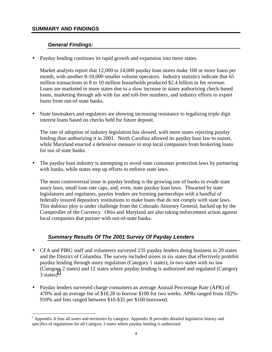#### **SUMMARY AND FINDINGS**

 $\overline{a}$ 

#### *General Findings:*

• Payday lending continues its rapid growth and expansion into more states.

Market analysts report that 12,000 to 14,000 payday loan stores make 100 or more loans per month, with another 8-10,000 smaller volume operators. Industry statistics indicate that 65 million transactions to 8 to 10 million households produced \$2.4 billion in fee revenue. Loans are marketed in more states due to a slow increase in states authorizing check-based loans, marketing through ads with fax and toll-free numbers, and industry efforts to export loans from out-of-state banks.

• State lawmakers and regulators are showing increasing resistance to legalizing triple digit interest loans based on checks held for future deposit.

The rate of adoption of industry legislation has slowed, with more states rejecting payday lending than authorizing it in 2001. North Carolina allowed its payday loan law to sunset, while Maryland enacted a defensive measure to stop local companies from brokering loans for out of state banks.

• The payday loan industry is attempting to avoid state consumer protection laws by partnering with banks, while states step up efforts to enforce state laws.

The most controversial issue in payday lending is the growing use of banks to evade state usury laws, small loan rate caps, and, even, state payday loan laws. Thwarted by state legislatures and regulators, payday lenders are forming partnerships with a handful of federally insured depository institutions to make loans that do not comply with state laws. This dubious ploy is under challenge from the Colorado Attorney General, backed up by the Comptroller of the Currency. Ohio and Maryland are also taking enforcement action against local companies that partner with out-of-state banks.

#### *Summary Results Of The 2001 Survey Of Payday Lenders*

- CFA and PIRG staff and volunteers surveyed 235 payday lenders doing business in 20 states and the District of Columbia. The survey included stores in six states that effectively prohibit payday lending through usury regulation (Category 1 states), in two states with no law (Category 2 states) and 12 states where payday lending is authorized and regulated (Category  $3 \text{ states}$ <sup>2</sup>.
- Payday lenders surveyed charge consumers an average Annual Percentage Rate (APR) of 470% and an average fee of \$18.28 to borrow \$100 for two weeks. APRs ranged from 182%- 910% and fees ranged between \$10-\$35 per \$100 borrowed.

 $2$  Appendix A lists all states and territories by category. Appendix B provides detailed legislative history and specifics of regulations for all Category 3 states where payday lending is authorized.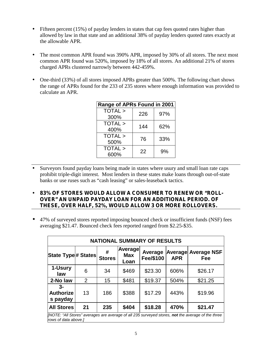- Fifteen percent (15%) of payday lenders in states that cap fees quoted rates higher than allowed by law in that state and an additional 38% of payday lenders quoted rates exactly at the allowable APR.
- The most common APR found was 390% APR, imposed by 30% of all stores. The next most common APR found was 520%, imposed by 18% of all stores. An additional 21% of stores charged APRs clustered narrowly between 442-459%.
- One-third (33%) of all stores imposed APRs greater than 500%. The following chart shows the range of APRs found for the 233 of 235 stores where enough information was provided to calculate an APR.

| Range of APRs Found in 2001 |     |     |
|-----------------------------|-----|-----|
| TOTAL >                     | 226 | 97% |
| 300%                        |     |     |
| TOTAL >                     | 144 | 62% |
| 400%                        |     |     |
| TOTAL >                     | 76  | 33% |
| 500%                        |     |     |
| TOTAL >                     | 22  | 9%  |
| 600%                        |     |     |

- Surveyors found payday loans being made in states where usury and small loan rate caps prohibit triple-digit interest. Most lenders in these states make loans through out-of-state banks or use ruses such as "cash leasing" or sales-leaseback tactics.
- **83% OF STORES WOULD ALLOW A CONSUMER TO RENEW OR "ROLL-OVER" AN UNPAID PAYDAY LOAN FOR AN ADDITIONAL PERIOD. OF THESE, OVER HALF, 52%, WOULD ALLOW 3 OR MORE ROLLOVERS.**
- 47% of surveyed stores reported imposing bounced check or insufficient funds (NSF) fees averaging \$21.47. Bounced check fees reported ranged from \$2.25-\$35.

| <b>NATIONAL SUMMARY OF RESULTS</b>                                                                                               |    |                    |                               |                      |            |                                   |
|----------------------------------------------------------------------------------------------------------------------------------|----|--------------------|-------------------------------|----------------------|------------|-----------------------------------|
| State Type# States                                                                                                               |    | #<br><b>Stores</b> | Average<br><b>Max</b><br>Loan | Average<br>Fee/\$100 | <b>APR</b> | <b>Average Average NSF</b><br>Fee |
| 1-Usury<br>law                                                                                                                   | 6  | 34                 | \$469                         | \$23.30              | 606%       | \$26.17                           |
| 2-No law                                                                                                                         | 2  | 15                 | \$481                         | \$19.37              | 504%       | \$21.25                           |
| $3-$<br><b>Authorize</b><br>s payday                                                                                             | 13 | 186                | \$388                         | \$17.29              | 443%       | \$19.96                           |
| <b>All Stores</b>                                                                                                                | 21 | 235                | \$404                         | \$18.28              | 470%       | \$21.47                           |
| [NOTE: "All Stores" averages are average of all 235 surveyed stores, <b>not</b> the average of the three<br>rows of data above.] |    |                    |                               |                      |            |                                   |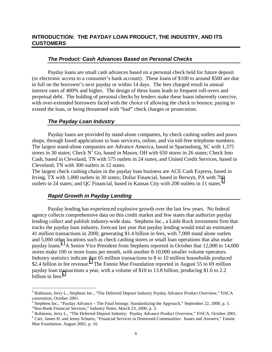#### **INTRODUCTION: THE PAYDAY LOAN PRODUCT, THE INDUSTRY, AND ITS CUSTOMERS**

#### *The Product: Cash Advances Based on Personal Checks*

Payday loans are small cash advances based on a personal check held for future deposit (or electronic access to a consumer's bank account). These loans of \$100 to around \$500 are due in full on the borrower's next payday or within 14 days. The fees charged result in annual interest rates of 400% and higher. The design of these loans leads to frequent roll-overs and perpetual debt. The holding of personal checks by lenders make these loans inherently coercive, with over-extended borrowers faced with the choice of allowing the check to bounce, paying to extend the loan, or being threatened with "bad" check charges or prosecution.

#### *The Payday Loan Industry*

Payday loans are provided by stand-alone companies, by check cashing outlets and pawn shops, through faxed applications to loan servicers, online, and via toll-free telephone numbers. The largest stand-alone companies are Advance America, based in Spartanburg, SC with 1,375 stores in 30 states; Check N' Go, based in Mason, OH with 650 stores in 26 states; Check Into Cash, based in Cleveland, TN with 575 outlets in 24 states, and United Credit Services, based in Cleveland, TN with 300 outlets in 12 states.

The largest check cashing chains in the payday loan business are ACE Cash Express, based in Irving, TX with 1,000 outlets in 30 states; Dollar Financial, based in Berwyn, PA with 700 outlets in 24 states; and QC Financial, based in Kansas City with 200 outlets in 11 states.<sup>3</sup>

#### *Rapid Growth in Payday Lending*

 $\overline{a}$ 

Payday lending has experienced explosive growth over the last few years. No federal agency collects comprehensive data on this credit market and few states that authorize payday lending collect and publish industry-wide data. Stephens Inc., a Little Rock investment firm that tracks the payday loan industry, forecast last year that payday lending would total an estimated 41 million transactions in 2000, generating \$1.4 billion in fees, with 7,000 stand alone outlets and 5,000 other locations such as check cashing stores or small loan operations that also make payday loans.<sup>4</sup> A Senior Vice President from Stephens reported in October that 12,000 to 14,000 stores make 100 or more loans per month, with another 8-10,000 smaller volume operators. Industry statistics indicate that 65 million transactions to 8 to 10 million households produced \$2.4 billion in fee revenue.<sup>5</sup> The Fannie Mae Foundation reported in August 55 to 69 million payday loan transactions a year, with a volume of \$10 to 13.8 billion, producing \$1.6 to 2.2 billion in fees.<sup>6</sup>

6

<sup>&</sup>lt;sup>3</sup> Robinson, Jerry L., Stephens Inc., "The Deferred Deposit Industry Payday Advance Product Overview," FiSCA convention, October 2001.<br><sup>4</sup> Stephens Inc., "Payday Advance – The Final Innings: Standardizing the Approach," September 22, 2000, p. 5.

<sup>&</sup>quot;Non-Bank Financial Services," Industry Notes, March 23, 2000, p. 3.

<sup>&</sup>lt;sup>5</sup> Robinson, Jerry L., "The Deferred Deposit Industry: Payday Advance Product Overview," FiSCA, October 2001.

<sup>&</sup>lt;sup>6</sup> Carr, James H. and Jenny Schuetz, "Financial Services in Distressed Communities: Issues and Answers," Fannie Mae Foundation, August 2001, p. 10.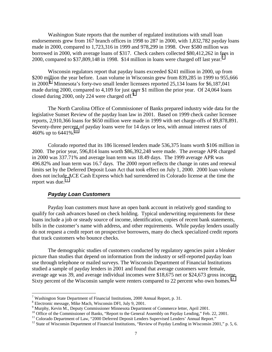Washington State reports that the number of regulated institutions with small loan endorsements grew from 167 branch offices in 1998 to 287 in 2000, with 1,832,782 payday loans made in 2000, compared to 1,723,316 in 1999 and 978,299 in 1998. Over \$580 million was borrowed in 2000, with average loans of \$317. Check cashers collected \$80,412,262 in fees in 2000, compared to \$37,809,148 in 1998. \$14 million in loans were charged off last year.<sup>7</sup>

Wisconsin regulators report that payday loans exceeded \$241 million in 2000, up from \$200 million the year before. Loan volume in Wisconsin grew from 839,285 in 1999 to 955,666 in 2000.<sup>8</sup> Minnesota's forty-two small lender licensees reported 25,134 loans for \$6,187,041 made during 2000, compared to 4,109 for just over \$1 million the prior year. Of 24,064 loans closed during 2000, only 224 were charged off.<sup>9</sup>

The North Carolina Office of Commissioner of Banks prepared industry wide data for the legislative Sunset Review of the payday loan law in 2001. Based on 1999 check casher licensee reports, 2,910,366 loans for \$650 million were made in 1999 with net charge-offs of \$9,878,891. Seventy-three percent of payday loans were for 14 days or less, with annual interest rates of 460% up to 6441%.<sup>10</sup>

 Colorado reported that its 186 licensed lenders made 536,375 loans worth \$106 million in 2000. The prior year, 596,814 loans worth \$86,392,248 were made. The average APR charged in 2000 was 337.71% and average loan term was 18.49 days. The 1999 average APR was 496.82% and loan term was 16.7 days. The 2000 report reflects the change in rates and renewal limits set by the Deferred Deposit Loan Act that took effect on July 1, 2000. 2000 loan volume does not include ACE Cash Express which had surrendered its Colorado license at the time the report was due. $11$ 

#### *Payday Loan Customers*

Payday loan customers must have an open bank account in relatively good standing to qualify for cash advances based on check holding. Typical underwriting requirements for these loans include a job or steady source of income, identification, copies of recent bank statements, bills in the customer's name with address, and other requirements. While payday lenders usually do not request a credit report on prospective borrowers, many do check specialized credit reports that track customers who bounce checks.

The demographic studies of customers conducted by regulatory agencies paint a bleaker picture than studies that depend on information from the industry or self-reported payday loan use through telephone or mailed surveys. The Wisconsin Department of Financial Institutions studied a sample of payday lenders in 2001 and found that average customers were female, average age was 39, and average individual incomes were \$18,675 net or \$24,673 gross income. Sixty percent of the Wisconsin sample were renters compared to 22 percent who own homes.<sup>12</sup>

1

Washington State Department of Financial Institutions, 2000 Annual Report, p. 31.<br><sup>8</sup> Electronia massage, Mike Magh. Wiseonsin DEL July 0, 2001.

<sup>&</sup>lt;sup>8</sup> Electronic message, Mike Mach, Wisconsin DFI, July 9, 2001.

<sup>&</sup>lt;sup>9</sup> Murphy, Kevin M., Deputy Commissioner Minnesota Department of Commerce letter, April 2001.

<sup>&</sup>lt;sup>10</sup> Office of the Commissioner of Banks, "Report to the General Assembly on Payday Lending," Feb. 22, 2001.<br><sup>11</sup> Colorado Department of Law, "2000 Deferred Deposit Lenders Supervised Lenders' Annual Report."

<sup>&</sup>lt;sup>12</sup> State of Wisconsin Department of Financial Institutions, "Review of Payday Lending in Wisconsin 2001," p. 5, 6.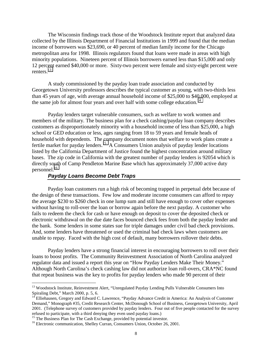The Wisconsin findings track those of the Woodstock Institute report that analyzed data collected by the Illinois Department of Financial Institutions in 1999 and found that the median income of borrowers was \$23,690, or 40 percent of median family income for the Chicago metropolitan area for 1998. Illinois regulators found that loans were made in areas with high minority populations. Nineteen percent of Illinois borrowers earned less than \$15,000 and only 12 percent earned \$40,000 or more. Sixty-two percent were female and sixty-eight percent were renters.<sup>13</sup>

A study commissioned by the payday loan trade association and conducted by Georgetown University professors describes the typical customer as young, with two-thirds less than 45 years of age, with average annual household income of \$25,000 to \$40,000, employed at the same job for almost four years and over half with some college education.<sup>14</sup>

Payday lenders target vulnerable consumers, such as welfare to work women and members of the military. The business plan for a check cashing/payday loan company describes customers as disproportionately minority with a household income of less than \$25,000, a high school or GED education or less, ages ranging from 18 to 59 years and female heads of household with dependents. The company document notes that welfare to work plans create a fertile market for payday lenders.15 A Consumers Union analysis of payday lender locations listed by the California Department of Justice found the highest concentration around military bases. The zip code in California with the greatest number of payday lenders is 92054 which is directly south of Camp Pendleton Marine Base which has approximately 37,000 active duty personnel.16

#### *Payday Loans Become Debt Traps*

 Payday loan customers run a high risk of becoming trapped in perpetual debt because of the design of these transactions. Few low and moderate income consumers can afford to repay the average \$230 to \$260 check in one lump sum and still have enough to cover other expenses without having to roll-over the loan or borrow again before the next payday. A customer who fails to redeem the check for cash or have enough on deposit to cover the deposited check or electronic withdrawal on the due date faces bounced check fees from both the payday lender and the bank. Some lenders in some states sue for triple damages under civil bad check provisions. And, some lenders have threatened or used the criminal bad check laws when customers are unable to repay. Faced with the high cost of default, many borrowers rollover their debts.

Payday lenders have a strong financial interest in encouraging borrowers to roll over their loans to boost profits. The Community Reinvestment Association of North Carolina analyzed regulator data and issued a report this year on "How Payday Lenders Make Their Money." Although North Carolina's check cashing law did not authorize loan roll-overs, CRA\*NC found that repeat business was the key to profits for payday lenders who made 90 percent of their

<sup>&</sup>lt;sup>13</sup> Woodstock Institute, Reinvestment Alert, "Unregulated Payday Lending Pulls Vulnerable Consumers Into Spiraling Debt," March 2000, p. 5, 6.

<sup>&</sup>lt;sup>14</sup> Elliehausen, Gregory and Edward C. Lawrence, "Payday Advance Credit in America: An Analysis of Customer Demand," Monograph #35, Credit Research Center, McDonough School of Business, Georgetown University, April 2001. (Telephone survey of customers provided by payday lenders. Four out of five people contacted for the survey refused to participate, with a third denying they even used payday loans.)

<sup>&</sup>lt;sup>15</sup> The Business Plan for The Cash Exchange, provided by potential investor.

<sup>&</sup>lt;sup>16</sup> Electronic communication, Shelley Curran, Consumers Union, October 26, 2001.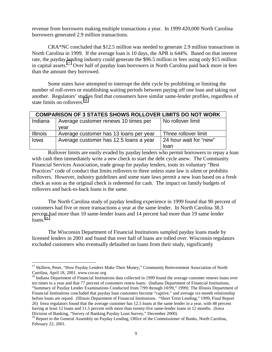revenue from borrowers making multiple transactions a year. In 1999 420,000 North Carolina borrowers generated 2.9 million transactions.

CRA\*NC concluded that \$12.5 million was needed to generate 2.9 million transactions in North Carolina in 1999. If the average loan is 10 days, the APR is 644%. Based on that interest rate, the payday lending industry could generate the \$96.5 million in fees using only \$15 million in capital assets.17 Over half of payday loan borrowers in North Carolina paid back more in fees than the amount they borrowed.

Some states have attempted to interrupt the debt cycle by prohibiting or limiting the number of roll-overs or establishing waiting periods between paying off one loan and taking out another. Regulators' studies find that consumers have similar same-lender profiles, regardless of state limits on rollovers.<sup>18</sup>

|                 | <b>COMPARISON OF 3 STATES SHOWS ROLLOVER LIMITS DO NOT WORK</b> |                        |  |  |  |  |
|-----------------|-----------------------------------------------------------------|------------------------|--|--|--|--|
| Indiana         | Average customer renews 10 times per                            | No rollover limit      |  |  |  |  |
|                 | vear                                                            |                        |  |  |  |  |
| <b>Illinois</b> | Average customer has 13 loans per year                          | Three rollover limit   |  |  |  |  |
| Iowa            | Average customer has 12.5 loans a year                          | 24 hour wait for "new" |  |  |  |  |
|                 |                                                                 | loan                   |  |  |  |  |

Rollover limits are easily evaded by payday lenders who permit borrowers to repay a loan with cash then immediately write a new check to start the debt cycle anew. The Community Financial Services Association, trade group for payday lenders, touts its voluntary "Best Practices" code of conduct that limits rollovers to three unless state law is silent or prohibits rollovers. However, industry guidelines and some state laws permit a new loan based on a fresh check as soon as the original check is redeemed for cash. The impact on family budgets of rollovers and back-to-back loans is the same.

The North Carolina study of payday lending experience in 1999 found that 90 percent of customers had five or more transactions a year at the same lender. In North Carolina 38.3 percent had more than 10 same-lender loans and 14 percent had more than 19 same lender  $\arctan 19$ 

The Wisconsin Department of Financial Institutions sampled payday loans made by licensed lenders in 2001 and found that over half of loans are rolled over. Wisconsin regulators excluded customers who eventually defaulted on loans from their study, significantly

<sup>&</sup>lt;sup>17</sup> Skillern, Peter, "How Payday Lenders Make Their Money," Community Reinvestment Association of North Carolina, April 18, 2001. www.cra-nc.org<br><sup>18</sup> Indiana Department of Financial Institutions data collected in 1999 found the average customer renews loans over

ten times in a year and that 77 percent of customers renew loans. (Indiana Department of Financial Institutions, "Summary of Payday Lender Examinations Conducted from 7/99 through 10/99," 1999) The Illinois Department of Financial Institutions concluded that payday loan customers become "captive," and average six-month relationship before loans are repaid. (Illinois Department of Financial Institutions. "Short Term Lending," 1999, Final Report 26) Iowa regulators found that the average customer has 12.5 loans at the same lender in a year, with 48 percent having at least 12 loans and 11.5 percent with more than twenty-five same-lender loans in 12 months. (Iowa Division of Banking, "Survey of Banking Payday Loan Survey," December 2000)

<sup>&</sup>lt;sup>19</sup> Report to the General Assembly on Payday Lending, Office of the Commissioner of Banks, North Carolina, February 22, 2001.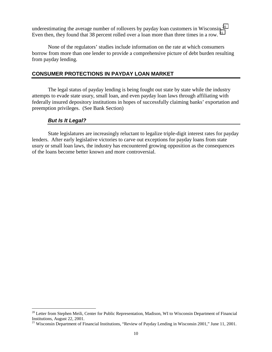underestimating the average number of rollovers by payday loan customers in Wisconsin.<sup>20</sup> Even then, they found that 38 percent rolled over a loan more than three times in a row.  $^{21}$ 

None of the regulators' studies include information on the rate at which consumers borrow from more than one lender to provide a comprehensive picture of debt burden resulting from payday lending.

#### **CONSUMER PROTECTIONS IN PAYDAY LOAN MARKET**

 The legal status of payday lending is being fought out state by state while the industry attempts to evade state usury, small loan, and even payday loan laws through affiliating with federally insured depository institutions in hopes of successfully claiming banks' exportation and preemption privileges. (See Bank Section)

#### *But Is It Legal?*

 $\overline{a}$ 

 State legislatures are increasingly reluctant to legalize triple-digit interest rates for payday lenders. After early legislative victories to carve out exceptions for payday loans from state usury or small loan laws, the industry has encountered growing opposition as the consequences of the loans become better known and more controversial.

<sup>&</sup>lt;sup>20</sup> Letter from Stephen Meili, Center for Public Representation, Madison, WI to Wisconsin Department of Financial Institutions, August 22, 2001.<br><sup>21</sup> Wisconsin Department of Financial Institutions, "Review of Payday Lending in Wisconsin 2001," June 11, 2001.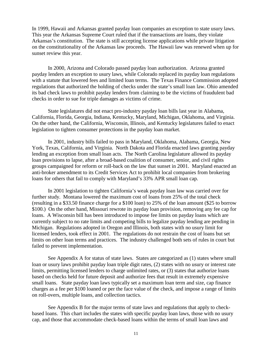In 1999, Hawaii and Arkansas granted payday loan companies an exception to state usury laws. This year the Arkansas Supreme Court ruled that if the transactions are loans, they violate Arkansas's constitution. The state is still accepting license applications while private litigation on the constitutionality of the Arkansas law proceeds. The Hawaii law was renewed when up for sunset review this year.

In 2000, Arizona and Colorado passed payday loan authorization. Arizona granted payday lenders an exception to usury laws, while Colorado replaced its payday loan regulations with a statute that lowered fees and limited loan terms. The Texas Finance Commission adopted regulations that authorized the holding of checks under the state's small loan law. Ohio amended its bad check laws to prohibit payday lenders from claiming to be the victims of fraudulent bad checks in order to sue for triple damages as victims of crime.

State legislatures did not enact pro-industry payday loan bills last year in Alabama, California, Florida, Georgia, Indiana, Kentucky, Maryland, Michigan, Oklahoma, and Virginia. On the other hand, the California, Wisconsin, Illinois, and Kentucky legislatures failed to enact legislation to tighten consumer protections in the payday loan market.

In 2001, industry bills failed to pass in Maryland, Oklahoma, Alabama, Georgia, New York, Texas, California, and Virginia. North Dakota and Florida enacted laws granting payday lending an exception from small loan acts. The North Carolina legislature allowed its payday loan provisions to lapse, after a broad-based coalition of consumer, senior, and civil rights groups campaigned for reform or roll-back on the law that sunset in 2001. Maryland enacted an anti-broker amendment to its Credit Services Act to prohibit local companies from brokering loans for others that fail to comply with Maryland's 33% APR small loan cap.

In 2001 legislation to tighten California's weak payday loan law was carried over for further study. Montana lowered the maximum cost of loans from 25% of the total check (resulting in a \$33.50 finance charge for a \$100 loan) to 25% of the loan amount (\$25 to borrow \$100.) On the other hand, Missouri rewrote its payday loan provision, removing any fee cap for loans. A Wisconsin bill has been introduced to impose fee limits on payday loans which are currently subject to no rate limits and competing bills to legalize payday lending are pending in Michigan. Regulations adopted in Oregon and Illinois, both states with no usury limit for licensed lenders, took effect in 2001. The regulations do not restrain the cost of loans but set limits on other loan terms and practices. The industry challenged both sets of rules in court but failed to prevent implementation.

 See Appendix A for status of state laws. States are categorized as (1) states where small loan or usury laws prohibit payday loan triple digit rates, (2) states with no usury or interest rate limits, permitting licensed lenders to charge unlimited rates, or (3) states that authorize loans based on checks held for future deposit and authorize fees that result in extremely expensive small loans. State payday loan laws typically set a maximum loan term and size, cap finance charges as a fee per \$100 loaned or per the face value of the check, and impose a range of limits on roll-overs, multiple loans, and collection tactics.

See Appendix B for the major terms of state laws and regulations that apply to checkbased loans. This chart includes the states with specific payday loan laws, those with no usury cap, and those that accommodate check-based loans within the terms of small loan laws and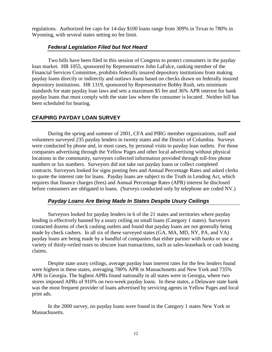regulations. Authorized fee caps for 14-day \$100 loans range from 309% in Texas to 780% in Wyoming, with several states setting no fee limit.

#### *Federal Legislation Filed but Not Heard*

Two bills have been filed in this session of Congress to protect consumers in the payday loan market. HR 1055, sponsored by Representative John LaFalce, ranking member of the Financial Services Committee, prohibits federally insured depository institutions from making payday loans directly or indirectly and outlaws loans based on checks drawn on federally insured depository institutions. HR 1319, sponsored by Representative Bobby Rush, sets minimum standards for state payday loan laws and sets a maximum \$5 fee and 36% APR interest for bank payday loans that must comply with the state law where the consumer is located. Neither bill has been scheduled for hearing.

#### **CFA/PIRG PAYDAY LOAN SURVEY**

During the spring and summer of 2001, CFA and PIRG member organizations, staff and volunteers surveyed 235 payday lenders in twenty states and the District of Columbia. Surveys were conducted by phone and, in most cases, by personal visits to payday loan outlets. For those companies advertising through the Yellow Pages and other local advertising without physical locations in the community, surveyors collected information provided through toll-free phone numbers or fax numbers. Surveyors did not take out payday loans or collect completed contracts. Surveyors looked for signs posting fees and Annual Percentage Rates and asked clerks to quote the interest rate for loans. Payday loans are subject to the Truth in Lending Act, which requires that finance charges (fees) and Annual Percentage Rates (APR) interest be disclosed before consumers are obligated to loans. (Surveys conducted only by telephone are coded NV.)

#### *Payday Loans Are Being Made In States Despite Usury Ceilings*

 Surveyors looked for payday lenders in 6 of the 21 states and territories where payday lending is effectively banned by a usury ceiling on small loans (Category 1 states). Surveyors contacted dozens of check cashing outlets and found that payday loans are not generally being made by check cashers. In all six of these surveyed states (GA, MA, MD, NY, PA, and VA) payday loans are being made by a handful of companies that either partner with banks or use a variety of thinly-veiled ruses to obscure loan transactions, such as sales-leaseback or cash leasing claims.

Despite state usury ceilings, average payday loan interest rates for the few lenders found were highest in these states, averaging 780% APR in Massachusetts and New York and 735% APR in Georgia. The highest APRs found nationally in all states were in Georgia, where two stores imposed APRs of 910% on two-week payday loans. In these states, a Delaware state bank was the most frequent provider of loans advertised by servicing agents in Yellow Pages and local print ads.

 In the 2000 survey, no payday loans were found in the Category 1 states New York or Massachusetts.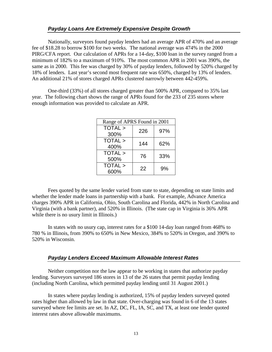#### *Payday Loans Are Extremely Expensive Despite Growth*

 Nationally, surveyors found payday lenders had an average APR of 470% and an average fee of \$18.28 to borrow \$100 for two weeks. The national average was 474% in the 2000 PIRG/CFA report. Our calculation of APRs for a 14-day, \$100 loan in the survey ranged from a minimum of 182% to a maximum of 910%. The most common APR in 2001 was 390%, the same as in 2000. This fee was charged by 30% of payday lenders, followed by 520% charged by 18% of lenders. Last year's second most frequent rate was 650%, charged by 13% of lenders. An additional 21% of stores charged APRs clustered narrowly between 442-459%.

 One-third (33%) of all stores charged greater than 500% APR, compared to 35% last year. The following chart shows the range of APRs found for the 233 of 235 stores where enough information was provided to calculate an APR.

| Range of APRS Found in 2001 |     |     |  |  |  |  |
|-----------------------------|-----|-----|--|--|--|--|
| TOTAL >                     | 226 | 97% |  |  |  |  |
| 300%                        |     |     |  |  |  |  |
| TOTAL >                     | 144 | 62% |  |  |  |  |
| 400%                        |     |     |  |  |  |  |
| TOTAL >                     | 76  | 33% |  |  |  |  |
| 500%                        |     |     |  |  |  |  |
| TOTAL >                     | 22  | 9%  |  |  |  |  |
| 600%                        |     |     |  |  |  |  |

 Fees quoted by the same lender varied from state to state, depending on state limits and whether the lender made loans in partnership with a bank. For example, Advance America charges 390% APR in California, Ohio, South Carolina and Florida, 442% in North Carolina and Virginia (with a bank partner), and 520% in Illinois. (The state cap in Virginia is 36% APR while there is no usury limit in Illinois.)

 In states with no usury cap, interest rates for a \$100 14-day loan ranged from 468% to 780 % in Illinois, from 390% to 650% in New Mexico, 384% to 520% in Oregon, and 390% to 520% in Wisconsin.

#### *Payday Lenders Exceed Maximum Allowable Interest Rates*

 Neither competition nor the law appear to be working in states that authorize payday lending. Surveyors surveyed 186 stores in 13 of the 26 states that permit payday lending (including North Carolina, which permitted payday lending until 31 August 2001.)

In states where payday lending is authorized, 15% of payday lenders surveyed quoted rates higher than allowed by law in that state. Over-charging was found in 6 of the 13 states surveyed where fee limits are set. In AZ, DC, FL, IA, SC, and TX, at least one lender quoted interest rates above allowable maximums.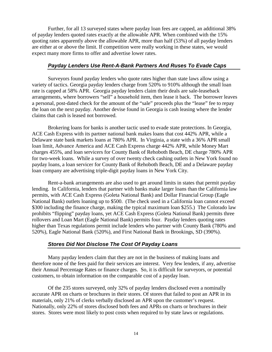Further, for all 13 surveyed states where payday loan fees are capped, an additional 38% of payday lenders quoted rates exactly at the allowable APR. When combined with the 15% quoting rates apparently above the allowable APR, more than half (53%) of all payday lenders are either at or above the limit. If competition were really working in these states, we would expect many more firms to offer and advertise lower rates.

#### *Payday Lenders Use Rent-A-Bank Partners And Ruses To Evade Caps*

 Surveyors found payday lenders who quote rates higher than state laws allow using a variety of tactics. Georgia payday lenders charge from 520% to 910% although the small loan rate is capped at 58% APR. Georgia payday lenders claim their deals are sale-leaseback arrangements, where borrowers "sell" a household item, then lease it back. The borrower leaves a personal, post-dated check for the amount of the "sale" proceeds plus the "lease" fee to repay the loan on the next payday. Another devise found in Georgia is cash leasing where the lender claims that cash is leased not borrowed.

Brokering loans for banks is another tactic used to evade state protections. In Georgia, ACE Cash Express with its partner national bank makes loans that cost 442% APR, while a Delaware state bank markets loans at 780% APR. In Virginia, a state with a 36% APR small loan limit, Advance America and ACE Cash Express charge 442% APR, while Money Mart charges 455%, and loan servicers for County Bank of Rehoboth Beach, DE charge 780% APR for two-week loans. While a survey of over twenty check cashing outlets in New York found no payday loans, a loan servicer for County Bank of Rehoboth Beach, DE and a Delaware payday loan company are advertising triple-digit payday loans in New York City.

Rent-a-bank arrangements are also used to get around limits in states that permit payday lending. In California, lenders that partner with banks make larger loans than the California law permits, with ACE Cash Express (Goleta National Bank) and Dollar Financial Group (Eagle National Bank) outlets loaning up to \$500. (The check used in a California loan cannot exceed \$300 including the finance charge, making the typical maximum loan \$255.) The Colorado law prohibits "flipping" payday loans, yet ACE Cash Express (Goleta National Bank) permits three rollovers and Loan Mart (Eagle National Bank) permits four. Payday lenders quoting rates higher than Texas regulations permit include lenders who partner with County Bank (780% and 520%), Eagle National Bank (520%), and First National Bank in Brookings, SD (390%).

#### *Stores Did Not Disclose The Cost Of Payday Loans*

 Many payday lenders claim that they are not in the business of making loans and therefore none of the fees paid for their services are interest. Very few lenders, if any, advertise their Annual Percentage Rates or finance charges. So, it is difficult for surveyors, or potential customers, to obtain information on the comparable cost of a payday loan.

Of the 235 stores surveyed, only 32% of payday lenders disclosed even a nominally accurate APR on charts or brochures in their stores. Of stores that failed to post an APR in its materials, only 21% of clerks verbally disclosed an APR upon the customer's request. Nationally, only 22% of stores disclosed both fees and APRs on charts or brochures in their stores. Stores were most likely to post costs when required to by state laws or regulations.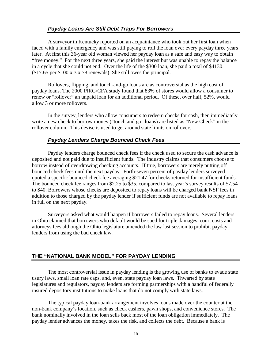A surveyor in Kentucky reported on an acquaintance who took out her first loan when faced with a family emergency and was still paying to roll the loan over every payday three years later. At first this 36-year old woman viewed her payday loan as a safe and easy way to obtain "free money." For the next three years, she paid the interest but was unable to repay the balance in a cycle that she could not end. Over the life of the \$300 loan, she paid a total of \$4130. (\$17.65 per \$100 x 3 x 78 renewals) She still owes the principal.

Rollovers, flipping, and touch-and-go loans are as controversial as the high cost of payday loans. The 2000 PIRG/CFA study found that 83% of stores would allow a consumer to renew or "rollover" an unpaid loan for an additional period. Of these, over half, 52%, would allow 3 or more rollovers.

In the survey, lenders who allow consumers to redeem checks for cash, then immediately write a new check to borrow money ("touch and go" loans) are listed as "New Check" in the rollover column. This devise is used to get around state limits on rollovers.

#### *Payday Lenders Charge Bounced Check Fees*

 Payday lenders charge bounced check fees if the check used to secure the cash advance is deposited and not paid due to insufficient funds. The industry claims that consumers choose to borrow instead of overdrawing checking accounts. If true, borrowers are merely putting off bounced check fees until the next payday. Forth-seven percent of payday lenders surveyed quoted a specific bounced check fee averaging \$21.47 for checks returned for insufficient funds. The bounced check fee ranges from \$2.25 to \$35, compared to last year's survey results of \$7.54 to \$40. Borrowers whose checks are deposited to repay loans will be charged bank NSF fees in addition to those charged by the payday lender if sufficient funds are not available to repay loans in full on the next payday.

 Surveyors asked what would happen if borrowers failed to repay loans. Several lenders in Ohio claimed that borrowers who default would be sued for triple damages, court costs and attorneys fees although the Ohio legislature amended the law last session to prohibit payday lenders from using the bad check law.

#### **THE "NATIONAL BANK MODEL" FOR PAYDAY LENDING**

 The most controversial issue in payday lending is the growing use of banks to evade state usury laws, small loan rate caps, and, even, state payday loan laws. Thwarted by state legislatures and regulators, payday lenders are forming partnerships with a handful of federally insured depository institutions to make loans that do not comply with state laws.

 The typical payday loan-bank arrangement involves loans made over the counter at the non-bank company's location, such as check cashers, pawn shops, and convenience stores. The bank nominally involved in the loan sells back most of the loan obligation immediately. The payday lender advances the money, takes the risk, and collects the debt. Because a bank is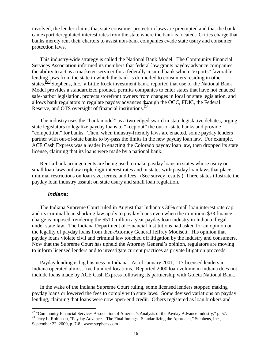involved, the lender claims that state consumer protection laws are preempted and that the bank can export deregulated interest rates from the state where the bank is located. Critics charge that banks merely rent their charters to assist non-bank companies evade state usury and consumer protection laws.

This industry-wide strategy is called the National Bank Model. The Community Financial Services Association informed its members that federal law grants payday advance companies the ability to act as a marketer-servicer for a federally-insured bank which "exports" favorable lending laws from the state in which the bank is domiciled to consumers residing in other states.<sup>22</sup> Stephens, Inc., a Little Rock investment bank, reported that use of the National Bank Model provides a standardized product, permits companies to enter states that have not enacted safe-harbor legislation, protects storefront owners from changes in local or state legislation, and allows bank regulators to regulate payday advances through the OCC, FDIC, the Federal Reserve, and OTS oversight of financial institutions.<sup>23</sup>

The industry uses the "bank model" as a two-edged sword in state legislative debates, urging state legislators to legalize payday loans to "keep out" the out-of-state banks and provide "competition" for banks. Then, when industry-friendly laws are enacted, some payday lenders partner with out-of-state banks to by-pass the limits in the new payday loan law. For example, ACE Cash Express was a leader in enacting the Colorado payday loan law, then dropped its state license, claiming that its loans were made by a national bank.

Rent-a-bank arrangements are being used to make payday loans in states whose usury or small loan laws outlaw triple digit interest rates and in states with payday loan laws that place minimal restrictions on loan size, terms, and fees. (See survey results.) Three states illustrate the payday loan industry assault on state usury and small loan regulation.

#### *Indiana:*

 $\overline{a}$ 

The Indiana Supreme Court ruled in August that Indiana's 36% small loan interest rate cap and its criminal loan sharking law apply to payday loans even when the minimum \$33 finance charge is imposed, rendering the \$510 million a year payday loan industry in Indiana illegal under state law. The Indiana Department of Financial Institutions had asked for an opinion on the legality of payday loans from then-Attorney General Jeffrey Modisett. His opinion that payday loans violate civil and criminal law touched off litigation by the industry and consumers. Now that the Supreme Court has upheld the Attorney General's opinion, regulators are moving to inform licensed lenders and to investigate current practices as private litigation proceeds.

Payday lending is big business in Indiana. As of January 2001, 117 licensed lenders in Indiana operated almost five hundred locations. Reported 2000 loan volume in Indiana does not include loans made by ACE Cash Express following its partnership with Goleta National Bank.

In the wake of the Indiana Supreme Court ruling, some licensed lenders stopped making payday loans or lowered the fees to comply with state laws. Some devised variations on payday lending, claiming that loans were now open-end credit. Others registered as loan brokers and

<sup>&</sup>lt;sup>22</sup> "Community Financial Services Association of America's Analysis of the Payday Advance Industry," p. 57.

<sup>&</sup>lt;sup>23</sup> Jerry L. Robinson, "Payday Advance – The Final Innings: Standardizing the Approach," Stephens, Inc., September 22, 2000, p. 7-8. www.stephens.com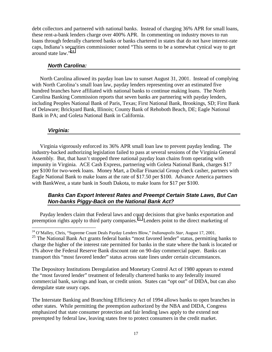debt collectors and partnered with national banks. Instead of charging 36% APR for small loans, these rent-a-bank lenders charge over 400% APR. In commenting on industry moves to run loans through federally chartered banks or banks chartered in states that do not have interest-rate caps, Indiana's securities commissioner noted "This seems to be a somewhat cynical way to get around state law."24

#### *North Carolina:*

North Carolina allowed its payday loan law to sunset August 31, 2001. Instead of complying with North Carolina's small loan law, payday lenders representing over an estimated five hundred branches have affiliated with national banks to continue making loans. The North Carolina Banking Commission reports that seven banks are partnering with payday lenders, including Peoples National Bank of Paris, Texas; First National Bank, Brookings, SD; First Bank of Delaware; Brickyard Bank, Illinois; County Bank of Rehoboth Beach, DE; Eagle National Bank in PA; and Goleta National Bank in California.

#### *Virginia:*

Virginia vigorously enforced its 36% APR small loan law to prevent payday lending. The industry-backed authorizing legislation failed to pass at several sessions of the Virginia General Assembly. But, that hasn't stopped three national payday loan chains from operating with impunity in Virginia. ACE Cash Express, partnering with Goleta National Bank, charges \$17 per \$100 for two-week loans. Money Mart, a Dollar Financial Group check casher, partners with Eagle National Bank to make loans at the rate of \$17.50 per \$100. Advance America partners with BankWest, a state bank in South Dakota, to make loans for \$17 per \$100.

#### *Banks Can Export Interest Rates and Preempt Certain State Laws, But Can Non-banks Piggy-Back on the National Bank Act?*

Payday lenders claim that Federal laws and court decisions that give banks exportation and preemption rights apply to third party companies.<sup>25</sup> Lenders point to the direct marketing of

The Depository Institutions Deregulation and Monetary Control Act of 1980 appears to extend the "most favored lender" treatment of federally chartered banks to any federally insured commercial bank, savings and loan, or credit union. States can "opt out" of DIDA, but can also deregulate state usury caps.

The Interstate Banking and Branching Efficiency Act of 1994 allows banks to open branches in other states. While permitting the preemption authorized by the NBA and DIDA, Congress emphasized that state consumer protection and fair lending laws apply to the extend not preempted by federal law, leaving states free to protect consumers in the credit market.

 $\overline{a}$ 24 O'Malley, Chris, "Supreme Count Deals Payday Lenders Blow," *Indianapolis Star*, August 17, 2001.

<sup>&</sup>lt;sup>25</sup> The National Bank Act grants federal banks "most favored lender" status, permitting banks to charge the higher of the interest rate permitted for banks in the state where the bank is located or 1% above the Federal Reserve Bank discount rate on 90-day commercial paper. Banks can transport this "most favored lender" status across state lines under certain circumstances.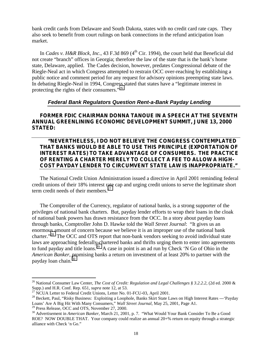bank credit cards from Delaware and South Dakota, states with no credit card rate caps. They also seek to benefit from court rulings on bank connections in the refund anticipation loan market.

In *Cades v. H&R Block, Inc.*, 43 F.3d 869 (4<sup>th</sup> Cir. 1994), the court held that Beneficial did not create "branch" offices in Georgia; therefore the law of the state that is the bank's home state, Delaware, applied. The Cades decision, however, predates Congressional debate of the Riegle-Neal act in which Congress attempted to restrain OCC over-reaching by establishing a public notice and comment period for any request for advisory opinions preempting state laws. In debating Riegle-Neal in 1994, Congress stated that states have a "legitimate interest in protecting the rights of their consumers."<sup>26</sup>

#### *Federal Bank Regulators Question Rent-a***-***Bank Payday Lending*

#### **FORMER FDIC CHAIRMAN DONNA TANOUE IN A SPEECH AT THE SEVENTH ANNUAL GREENLINING ECONOMIC DEVELOPMENT SUMMIT, JUNE 13, 2000 STATED:**

#### **"NEVERTHELESS, I DO NOT BELIEVE THE CONGRESS CONTEMPLATED THAT BANKS WOULD BE ABLE TO USE THIS PRINCIPLE (EXPORTATION OF INTEREST RATES) TO TAKE ADVANTAGE OF CONSUMERS. THE PRACTICE OF RENTING A CHARTER MERELY TO COLLECT A FEE TO ALLOW A HIGH-COST PAYDAY LENDER TO CIRCUMVENT STATE LAW IS INAPPROPRIATE."**

The National Credit Union Administration issued a directive in April 2001 reminding federal credit unions of their 18% interest rate cap and urging credit unions to serve the legitimate short term credit needs of their members. $27$ 

The Comptroller of the Currency, regulator of national banks, is a strong supporter of the privileges of national bank charters. But, payday lender efforts to wrap their loans in the cloak of national bank powers has drawn resistance from the OCC. In a story about payday loans through banks, Comptroller John D. Hawke told the *Wall Street Journal*: "It gives us an enormous amount of concern because we believe it is an improper use of the national bank charter."<sup>28</sup> The OCC and OTS report that non-bank vendors seeking to avoid individual state laws are approaching federally-chartered banks and thrifts urging them to enter into agreements to fund payday and title loans.<sup>29</sup> A case in point is an ad run by Check 'N Go of Ohio in the *American Banker*, promising banks a return on investment of at least 20% to partner with the payday loan chain. $30$ 

<sup>29</sup> Press Release, OCC and OTS, November 27, 2000.

<sup>&</sup>lt;sup>26</sup> National Consumer Law Center, *The Cost of Credit: Regulation and Legal Challenges § 3.2.2.2,* (2d ed. 2000 & Supp.) and H.R. Conf. Rep. 651, *supra* note 12, at 53.

<sup>&</sup>lt;sup>27</sup> NCUA Letter to Federal Credit Unions, Letter No. 01-FCU-03, April 2001.

<sup>&</sup>lt;sup>28</sup> Beckett, Paul, "Risky Business: Exploiting a Loophole, Banks Skirt State Laws on High Interest Rates --- 'Payday Loans' Are A Big Hit With Many Consumers," *Wall Street Journal*, May 25, 2001, Page A1.

<sup>30</sup> Advertisement in *American Banker*, March 21, 2001, p. 7. "What Would Your Bank Consider To Be a Good ROE? NOW DOUBLE THAT. Your company could realize an annual 20+% return on equity through a strategic alliance with Check 'n Go."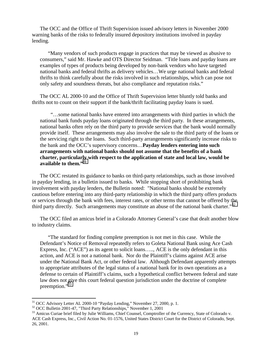The OCC and the Office of Thrift Supervision issued advisory letters in November 2000 warning banks of the risks to federally insured depository institutions involved in payday lending.

"Many vendors of such products engage in practices that may be viewed as abusive to consumers," said Mr. Hawke and OTS Director Seidman. "Title loans and payday loans are examples of types of products being developed by non-bank vendors who have targeted national banks and federal thrifts as delivery vehicles…We urge national banks and federal thrifts to think carefully about the risks involved in such relationships, which can pose not only safety and soundness threats, but also compliance and reputation risks."

The OCC AL 2000-10 and the Office of Thrift Supervision letter bluntly told banks and thrifts not to count on their support if the bank/thrift facilitating payday loans is sued.

 "…some national banks have entered into arrangements with third parties in which the national bank funds payday loans originated through the third party. In these arrangements, national banks often rely on the third party to provide services that the bank would normally provide itself. These arrangements may also involve the sale to the third party of the loans or the servicing right to the loans. Such third-party arrangements significantly increase risks to the bank and the OCC's supervisory concerns…**Payday lenders entering into such arrangements with national banks should not assume that the benefits of a bank charter, particularly with respect to the application of state and local law, would be available to them."<sup>31</sup>**

The OCC restated its guidance to banks on third-party relationships, such as those involved in payday lending, in a bulletin issued to banks. While stopping short of prohibiting bank involvement with payday lenders, the Bulletin noted: "National banks should be extremely cautious before entering into any third-party relationship in which the third party offers products or services through the bank with fees, interest rates, or other terms that cannot be offered by the third party directly. Such arrangements may constitute an abuse of the national bank charter."<sup>32</sup>

The OCC filed an amicus brief in a Colorado Attorney General's case that dealt another blow to industry claims.

"The standard for finding complete preemption is not met in this case. While the Defendant's Notice of Removal repeatedly refers to Goleta National Bank using Ace Cash Express, Inc. ("ACE") as its agent to solicit loans….., ACE is the only defendant in this action, and ACE is not a national bank. Nor do the Plaintiff's claims against ACE arise under the National Bank Act, or other federal law. Although Defendant apparently attempts to appropriate attributes of the legal status of a national bank for its own operations as a defense to certain of Plaintiff's claims, such a hypothetical conflict between federal and state law does not give this court federal question jurisdiction under the doctrine of complete preemption."33

1

 $31$  OCC Advisory Letter AL 2000-10 "Payday Lending," November 27, 2000, p. 1.

<sup>32</sup> OCC Bulletin 2001-47, "Third Party Relationships," November 1, 2001

<sup>&</sup>lt;sup>33</sup> Amicus Curiae brief filed by Julie Williams, Chief Counsel, Comptroller of the Currency, State of Colorado v. ACE Cash Express, Inc., Civil Action No. 01-1576, United States District Court for the District of Colorado, Sept. 26, 2001.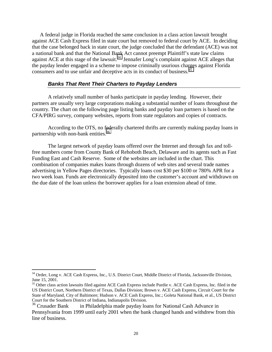A federal judge in Florida reached the same conclusion in a class action lawsuit brought against ACE Cash Express filed in state court but removed to federal court by ACE. In deciding that the case belonged back in state court, the judge concluded that the defendant (ACE) was not a national bank and that the National Bank Act cannot preempt Plaintiff's state law claims against ACE at this stage of the lawsuit.<sup>34</sup> Jennafer Long's complaint against ACE alleges that the payday lender engaged in a scheme to impose criminally usurious charges against Florida consumers and to use unfair and deceptive acts in its conduct of business.<sup>35</sup>

#### *Banks That Rent Their Charters to Payday Lenders*

A relatively small number of banks participate in payday lending. However, their partners are usually very large corporations making a substantial number of loans throughout the country. The chart on the following page listing banks and payday loan partners is based on the CFA/PIRG survey, company websites, reports from state regulators and copies of contracts.

 According to the OTS, no federally chartered thrifts are currently making payday loans in partnership with non-bank entities.<sup>36</sup>

The largest network of payday loans offered over the Internet and through fax and tollfree numbers come from County Bank of Rehoboth Beach, Delaware and its agents such as Fast Funding East and Cash Reserve. Some of the websites are included in the chart. This combination of companies makes loans through dozens of web sites and several trade names advertising in Yellow Pages directories. Typically loans cost \$30 per \$100 or 780% APR for a two week loan. Funds are electronically deposited into the customer's account and withdrawn on the due date of the loan unless the borrower applies for a loan extension ahead of time.

<sup>&</sup>lt;sup>34</sup> Order, Long v. ACE Cash Express, Inc., U.S. District Court, Middle District of Florida, Jacksonville Division, June 15, 2001.

<sup>&</sup>lt;sup>35</sup> Other class action lawsuits filed against ACE Cash Express include Purdie v. ACE Cash Express, Inc. filed in the US District Court, Northern District of Texas, Dallas Division; Brown v. ACE Cash Express, Circuit Court for the State of Maryland, City of Baltimore; Hudson v. ACE Cash Express, Inc.; Goleta National Bank, et al., US District Court for the Southern District of Indiana, Indianapolis Division.

 $36$  Crusader Bank in Philadelphia made payday loans for National Cash Advance in Pennsylvania from 1999 until early 2001 when the bank changed hands and withdrew from this line of business.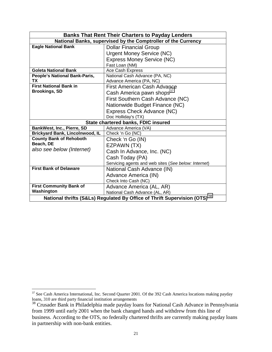|                                                                                       | <b>Banks That Rent Their Charters to Payday Lenders</b>       |  |  |  |
|---------------------------------------------------------------------------------------|---------------------------------------------------------------|--|--|--|
|                                                                                       | National Banks, supervised by the Comptroller of the Currency |  |  |  |
| <b>Eagle National Bank</b>                                                            | <b>Dollar Financial Group</b>                                 |  |  |  |
|                                                                                       | <b>Urgent Money Service (NC)</b>                              |  |  |  |
|                                                                                       | <b>Express Money Service (NC)</b>                             |  |  |  |
|                                                                                       | Fast Loan (NM)                                                |  |  |  |
| <b>Goleta National Bank</b>                                                           | Ace Cash Express                                              |  |  |  |
| People's National Bank-Paris,                                                         | National Cash Advance (PA, NC)                                |  |  |  |
| ТX                                                                                    | Advance America (PA, NC)                                      |  |  |  |
| <b>First National Bank in</b>                                                         | <b>First American Cash Advance</b>                            |  |  |  |
| <b>Brookings, SD</b>                                                                  | Cash America pawn shops <sup>37</sup>                         |  |  |  |
|                                                                                       | First Southern Cash Advance (NC)                              |  |  |  |
|                                                                                       | Nationwide Budget Finance (NC)                                |  |  |  |
|                                                                                       | Express Check Advance (NC)                                    |  |  |  |
|                                                                                       | Doc Holliday's (TX)                                           |  |  |  |
|                                                                                       | State chartered banks, FDIC insured                           |  |  |  |
| BankWest, Inc., Pierre, SD                                                            | Advance America (VA)                                          |  |  |  |
| <b>Brickyard Bank, Lincolnwood, IL</b>                                                | Check 'n Go (NC)                                              |  |  |  |
| <b>County Bank of Rehoboth</b>                                                        | Check 'n Go (IN)                                              |  |  |  |
| Beach, DE                                                                             | EZPAWN (TX)                                                   |  |  |  |
| also see below (Internet)                                                             | Cash In Advance, Inc. (NC)                                    |  |  |  |
|                                                                                       | Cash Today (PA)                                               |  |  |  |
|                                                                                       | Servicing agents and web sites (See below: Internet)          |  |  |  |
| <b>First Bank of Delaware</b>                                                         | National Cash Advance (IN)                                    |  |  |  |
|                                                                                       | Advance America (IN)                                          |  |  |  |
|                                                                                       | Check Into Cash (NC)                                          |  |  |  |
| <b>First Community Bank of</b>                                                        | Advance America (AL, AR)                                      |  |  |  |
| Washington                                                                            | National Cash Advance (AL, AR)                                |  |  |  |
| National thrifts (S&Ls) Regulated By Office of Thrift Supervision (OTS) <sup>38</sup> |                                                               |  |  |  |

 $37$  See Cash America International, Inc. Second Quarter 2001. Of the 392 Cash America locations making payday loans, 310 are third party financial institution arrangements

 $38$  Crusader Bank in Philadelphia made payday loans for National Cash Advance in Pennsylvania from 1999 until early 2001 when the bank changed hands and withdrew from this line of business. According to the OTS, no federally chartered thrifts are currently making payday loans in partnership with non-bank entities.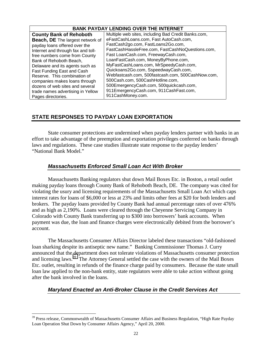| <b>BANK PAYDAY LENDING OVER THE INTERNET</b>                                                                                                                                                                                                                                                                                                                                         |                                                                                                                                                                                                                                                                                                                                                                                                                                                                                |  |  |  |  |  |
|--------------------------------------------------------------------------------------------------------------------------------------------------------------------------------------------------------------------------------------------------------------------------------------------------------------------------------------------------------------------------------------|--------------------------------------------------------------------------------------------------------------------------------------------------------------------------------------------------------------------------------------------------------------------------------------------------------------------------------------------------------------------------------------------------------------------------------------------------------------------------------|--|--|--|--|--|
| <b>County Bank of Rehoboth</b>                                                                                                                                                                                                                                                                                                                                                       | Multiple web sites, including Bad Credit Banks.com,                                                                                                                                                                                                                                                                                                                                                                                                                            |  |  |  |  |  |
| <b>Beach, DE</b> The largest network of<br>payday loans offered over the<br>Internet and through fax and toll-<br>free numbers come from County<br>Bank of Rehoboth Beach,<br>Delaware and its agents such as<br>Fast Funding East and Cash<br>Reserve. This combination of<br>companies makes loans through<br>dozens of web sites and several<br>trade names advertising in Yellow | eFastCashLoans.com, Fast AutoCash.com,<br>FastCash2go.com, FastLoans2Go.com,<br>FastCashHassleFree.com, FastCashNoQuestions.com,<br>Fast LoanCash.com, FreewayCash.com,<br>LoanFastCash.com, MoneyByPhone.com,<br>MyFastCashLoans.com, MrSpeedyCash.com,<br>Quickoans2Go.com, SspeedwayCash.com,<br>Webfastcash.com, 500fastcash.com, 500CashNow.com,<br>500Cash.com, 500CashHotline.com,<br>500EmergencyCash.com, 500quickcash.com,<br>911EmergencyCash.com, 911CashFast.com, |  |  |  |  |  |
| Pages directories.                                                                                                                                                                                                                                                                                                                                                                   | 911CashMoney.com.                                                                                                                                                                                                                                                                                                                                                                                                                                                              |  |  |  |  |  |

#### **STATE RESPONSES TO PAYDAY LOAN EXPORTATION**

 State consumer protections are undermined when payday lenders partner with banks in an effort to take advantage of the preemption and exportation privileges conferred on banks through laws and regulations. These case studies illustrate state response to the payday lenders' "National Bank Model."

#### *Massachusetts Enforced Small Loan Act With Broker*

Massachusetts Banking regulators shut down Mail Boxes Etc. in Boston, a retail outlet making payday loans through County Bank of Rehoboth Beach, DE. The company was cited for violating the usury and licensing requirements of the Massachusetts Small Loan Act which caps interest rates for loans of \$6,000 or less at 23% and limits other fees at \$20 for both lenders and brokers. The payday loans provided by County Bank had annual percentage rates of over 476% and as high as 2,190%. Loans were cleared through the Cheyenne Servicing Company in Colorado with County Bank transferring up to \$300 into borrowers' bank accounts. When payment was due, the loan and finance charges were electronically debited from the borrower's account.

The Massachusetts Consumer Affairs Director labeled these transactions "old-fashioned loan sharking despite its antiseptic new name." Banking Commissioner Thomas J. Curry announced that the department does not tolerate violations of Massachusetts consumer protection and licensing laws.<sup>39</sup> The Attorney General settled the case with the owners of the Mail Boxes Etc. outlet, resulting in refunds of the finance charge paid by consumers. Because the state small loan law applied to the non-bank entity, state regulators were able to take action without going after the bank involved in the loans.

#### *Maryland Enacted an Anti-Broker Clause in the Credit Services Act*

 $\overline{a}$ <sup>39</sup> Press release, Commonwealth of Massachusetts Consumer Affairs and Business Regulation, "High Rate Payday Loan Operation Shut Down by Consumer Affairs Agency," April 20, 2000.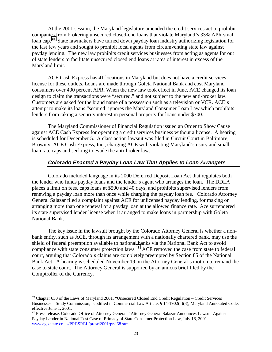At the 2001 session, the Maryland legislature amended the credit services act to prohibit companies from brokering unsecured closed-end loans that violate Maryland's 33% APR small loan cap<sup>40</sup> State lawmakers have turned down payday loan industry authorizing legislation for the last few years and sought to prohibit local agents from circumventing state law against payday lending. The new law prohibits credit services businesses from acting as agents for out of state lenders to facilitate unsecured closed end loans at rates of interest in excess of the Maryland limit.

 ACE Cash Express has 41 locations in Maryland but does not have a credit services license for these outlets. Loans are made through Goleta National Bank and cost Maryland consumers over 400 percent APR. When the new law took effect in June, ACE changed its loan design to claim the transactions were "secured," and not subject to the new anti-broker law. Customers are asked for the brand name of a possession such as a television or VCR. ACE's attempt to make its loans "secured' ignores the Maryland Consumer Loan Law which prohibits lenders from taking a security interest in personal property for loans under \$700.

 The Maryland Commissioner of Financial Regulation issued an Order to Show Cause against ACE Cash Express for operating a credit services business without a license. A hearing is scheduled for December 5. A class action lawsuit was filed in Circuit Court in Baltimore, Brown v. ACE Cash Express, Inc., charging ACE with violating Maryland's usury and small loan rate caps and seeking to evade the anti-broker law.

#### *Colorado Enacted a Payday Loan Law That Applies to Loan Arrangers*

Colorado included language in its 2000 Deferred Deposit Loan Act that regulates both the lender who funds payday loans and the lender's agent who arranges the loan. The DDLA places a limit on fees, caps loans at \$500 and 40 days, and prohibits supervised lenders from renewing a payday loan more than once while charging the payday loan fee. Colorado Attorney General Salazar filed a complaint against ACE for unlicensed payday lending, for making or arranging more than one renewal of a payday loan at the allowed finance rate. Ace surrendered its state supervised lender license when it arranged to make loans in partnership with Goleta National Bank.

The key issue in the lawsuit brought by the Colorado Attorney General is whether a nonbank entity, such as ACE, through its arrangement with a nationally chartered bank, may use the shield of federal preemption available to national banks via the National Bank Act to avoid compliance with state consumer protection laws.<sup>41</sup> ACE removed the case from state to federal court, arguing that Colorado's claims are completely preempted by Section 85 of the National Bank Act. A hearing is scheduled November 19 on the Attorney General's motion to remand the case to state court. The Attorney General is supported by an amicus brief filed by the Comptroller of the Currency.

<sup>&</sup>lt;sup>40</sup> Chapter 630 of the Laws of Maryland 2001, "Unsecured Closed End Credit Regulation – Credit Services Businesses – Study Commission," codified in Commercial Law Article, § 14-1902(a)(8), Maryland Annotated Code, effective June 1, 2001.

<sup>&</sup>lt;sup>41</sup> Press release, Colorado Office of Attorney General, "Attorney General Salazar Announces Lawsuit Against Payday Lender in National Test Case of Primacy of State Consumer Protection Law, July 16, 2001. www.ago.state.co.us/PRESREL/presrl2001/prsl68.stm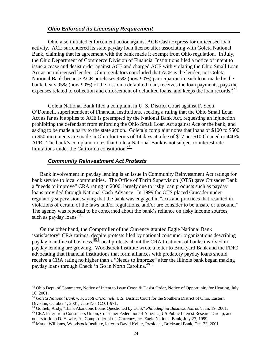#### *Ohio Enforced its Licensing Requirement*

 Ohio also initiated enforcement action against ACE Cash Express for unlicensed loan activity. ACE surrendered its state payday loan license after associating with Goleta National Bank, claiming that its agreement with the bank made it exempt from Ohio regulation. In July, the Ohio Department of Commerce Division of Financial Institutions filed a notice of intent to issue a cease and desist order against ACE and charged ACE with violating the Ohio Small Loan Act as an unlicensed lender. Ohio regulators concluded that ACE is the lender, not Goleta National Bank because ACE purchases 95% (now 90%) participation in each loan made by the bank, bears 95% (now 90%) of the loss on a defaulted loan, receives the loan payments, pays the expenses related to collection and enforcement of defaulted loans, and keeps the loan records.<sup>42</sup>

 Goleta National Bank filed a complaint in U. S. District Court against F. Scott O'Donnell, superintendent of Financial Institutions, seeking a ruling that the Ohio Small Loan Act as far as it applies to ACE is preempted by the National Bank Act, requesting an injunction prohibiting the defendant from enforcing the Ohio Small Loan Act against Ace or the bank, and asking to be made a party to the state action. Goleta's complaint notes that loans of \$100 to \$500 in \$50 increments are made in Ohio for terms of 14 days at a fee of \$17 per \$100 loaned or 440% APR. The bank's complaint notes that Goleta National Bank is not subject to interest rate limitations under the California constitution. $43$ 

#### *Community Reinvestment Act Protests*

<u>.</u>

Bank involvement in payday lending is an issue in Community Reinvestment Act ratings for bank service to local communities. The Office of Thrift Supervision (OTS) gave Crusader Bank a "needs to improve" CRA rating in 2000, largely due to risky loan products such as payday loans provided through National Cash Advance. In 1999 the OTS placed Crusader under regulatory supervision, saying that the bank was engaged in "acts and practices that resulted in violations of certain of the laws and/or regulations..and/or are consider to be unsafe or unsound." The agency was reported to be concerned about the bank's reliance on risky income sources, such as payday loans.  $44$ 

On the other hand, the Comptroller of the Currency granted Eagle National Bank 'satisfactory" CRA ratings, despite protests filed by national consumer organizations describing payday loan line of business.45 Local protests about the CRA treatment of banks involved in payday lending are growing. Woodstock Institute wrote a letter to Brickyard Bank and the FDIC advocating that financial institutions that form alliances with predatory payday loans should receive a CRA rating no higher than a "Needs to Improve" after the Illinois bank began making payday loans through Check 'n Go in North Carolina.46

<sup>&</sup>lt;sup>42</sup> Ohio Dept. of Commerce, Notice of Intent to Issue Cease & Desist Order, Notice of Opportunity for Hearing, July 16, 2001.

<sup>&</sup>lt;sup>43</sup> Goleta National Bank v. F. Scott O'Donnell, U.S. District Court for the Southern District of Ohio, Eastern Division, October 1, 2001, Case No. C2 01-971.<br><sup>44</sup> Gotlieb, Andy, "Bank Abandons Loans Questioned by OTS," *Philadelphia Business Journal*, Jan. 19, 2001.

<sup>&</sup>lt;sup>45</sup> CRA letter from Consumers Union, Consumer Federation of America, US Public Interest Research Group, and others to John D. Hawke, Jr., Comptroller of the Currency, re: Eagle National Bank, July 27, 1999.

<sup>46</sup> Marva Williams, Woodstock Institute, letter to David Keller, President, Brickyard Bank, Oct. 22, 2001.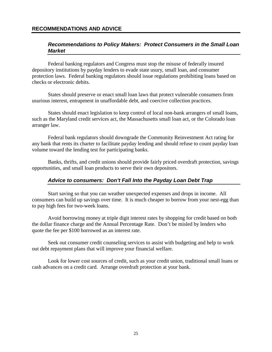#### **RECOMMENDATIONS AND ADVICE**

#### *Recommendations to Policy Makers: Protect Consumers in the Small Loan Market*

 Federal banking regulators and Congress must stop the misuse of federally insured depository institutions by payday lenders to evade state usury, small loan, and consumer protection laws. Federal banking regulators should issue regulations prohibiting loans based on checks or electronic debits.

 States should preserve or enact small loan laws that protect vulnerable consumers from usurious interest, entrapment in unaffordable debt, and coercive collection practices.

 States should enact legislation to keep control of local non-bank arrangers of small loans, such as the Maryland credit services act, the Massachusetts small loan act, or the Colorado loan arranger law.

 Federal bank regulators should downgrade the Community Reinvestment Act rating for any bank that rents its charter to facilitate payday lending and should refuse to count payday loan volume toward the lending test for participating banks.

 Banks, thrifts, and credit unions should provide fairly priced overdraft protection, savings opportunities, and small loan products to serve their own depositors.

#### *Advice to consumers: Don't Fall Into the Payday Loan Debt Trap*

Start saving so that you can weather unexpected expenses and drops in income. All consumers can build up savings over time. It is much cheaper to borrow from your nest-egg than to pay high fees for two-week loans.

 Avoid borrowing money at triple digit interest rates by shopping for credit based on both the dollar finance charge and the Annual Percentage Rate. Don't be misled by lenders who quote the fee per \$100 borrowed as an interest rate.

 Seek out consumer credit counseling services to assist with budgeting and help to work out debt repayment plans that will improve your financial welfare.

 Look for lower cost sources of credit, such as your credit union, traditional small loans or cash advances on a credit card. Arrange overdraft protection at your bank.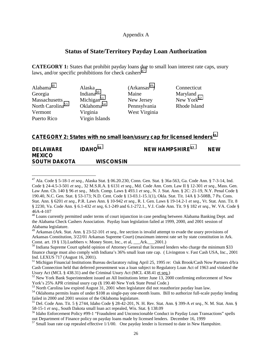#### Appendix A

#### **Status of State/Territory Payday Loan Authorization**

**CATEGORY 1:** States that prohibit payday loans due to small loan interest rate caps, usury laws, and/or specific prohibitions for check cashers<sup>47</sup>

| Alabama <sup>48</sup>        | Alaska                 | (Arkansas <sup>49</sup> ) | Connecticut            |
|------------------------------|------------------------|---------------------------|------------------------|
| Georgia                      | Indiana <sup>50</sup>  | Maine                     | Maryland               |
| Massachusetts                | Michigan $51$          | New Jersey                | New York <sup>52</sup> |
| North Carolina <sup>53</sup> | Oklahoma <sup>54</sup> | Pennsylvania              | Rhode Island           |
| Vermont                      | Virginia               | West Virginia             |                        |
| Puerto Rico                  | Virgin Islands         |                           |                        |

#### **CATEGORY 2: States with no small loan/usury cap for licensed lenders55**

| <b>DELAWARE</b>     | IDAHO <sup>56</sup> | NEW HAMPSHIRE <sup>57</sup> | <b>NEW</b> |
|---------------------|---------------------|-----------------------------|------------|
| <b>MEXICO</b>       |                     |                             |            |
| <b>SOUTH DAKOTA</b> | <b>WISCONSIN</b>    |                             |            |

<sup>47</sup> Ala. Code § 5-18-1 *et seq.*, Alaska Stat. § 06.20.230, Conn. Gen. Stat. § 36a-563, Ga. Code Ann. § 7-3-14, Ind. Code § 24-4.5-3-501 *et seq.*, 32 M.S.R.A. § 6131 *et seq.*, Md. Code Ann. Com. Law II § 12-301 *et seq.*, Mass. Gen. Law Ann. Ch. 140 § 96 *et seq.*, Mich. Comp. Laws § 493.1 *et seq.*, N. J. Stat. Ann. § 2C: 21-19, N.Y. Penal Code § 190.40, N.C. Gen. Stat. § 53-173; N.D. Cent. Code § 13-03.1-15.1(1), Okla. Stat. Tit. 14A § 3-508B, 7 Pa. Cons. Stat. Ann. § 6201 *et seq.*, P.R. Laws Ann. § 10-942 *et seq.*, R. I. Gen. Laws § 19-14.2-1 *et seq.*, Vt. Stat. Ann. Tit. 8 § 2230, Va. Code Ann. § 6.1-432 *et seq*, 6.1-249 and 6.1-272.1*.*, V.I. Code Ann. Tit. 9 § 182 *et seq.*, W. VA. Code § 46A-4-107

<sup>&</sup>lt;sup>48</sup> Loans currently permitted under terms of court injunction in case pending between Alabama Banking Dept. and the Alabama Check Cashers Association. Payday loan legislation failed at 1999, 2000, and 2001 session of Alabama legislature.

<sup>49</sup> Arkansas (Ark. Stat. Ann. § 23-52-101 *et seq.,* fee section is invalid attempt to evade the usury provisions of Arkansas Constitution, 3/22/01 Arkansas Supreme Court) (maximum interest rate set by state constitution in Ark. Const. art. 19 § 13).Luebbers v. Money Store, Inc., et al, \_\_\_Ark.\_\_\_2001.)

<sup>&</sup>lt;sup>50</sup> Indiana Supreme Court upheld opinion of Attorney General that licensed lenders who charge the minimum \$33 finance charge must also comply with Indiana's 36% small loan rate cap. ( Livingston v. Fast Cash USA, Inc., 2001 Ind. LEXUS 717 (August 16, 2001).<br><sup>51</sup> Michigan Financial Institutions Bureau declaratory ruling April 25, 1995 re: Oak Brook/Cash Now Partners d/b/a

Cash Connection held that deferred presentment was a loan subject to Regulatory Loan Act of 1963 and violated the Usury Act (MCL § 438.31) and the Criminal Usury Act (MCL 438.41 et seq.)<br><sup>52</sup> New York Bank Superintendent issued an All Institutions letter June 13, 2000 confirming enforcement of New

York's 25% APR criminal usury cap (§ 190.40 New York State Penal Code.)

<sup>53</sup> North Carolina law expired August 31, 2001 when legislature did not reauthorize payday loan law.<br><sup>54</sup> Oklahoma permits loans of under \$108 as single-pay one-month loans. Bill to authorize full-scale payday lending

failed in 2000 and 2001 session of the Oklahoma legislature.

<sup>55</sup> Del. Code Ann. Tit. 5 § 2744, Idaho Code § 28-42-201, N. H. Rev. Stat. Ann. § 399-A *et seq.*, N. M. Stat. Ann. § 58-15-1 *et seq.*, South Dakota small loan act repealed, Wis. Stat. § 138.09<br><sup>56</sup> Idaho Enforcement Policy #99-1 "Fraudulent and Unconscionable Conduct in Payday Loan Transactions" spells

out Department of Finance policy on payday loans made by licensed lenders. December 16, 1999

 $57$  Small loan rate cap repealed effective  $1/1/00$ . One payday lender is licensed to date in New Hampshire.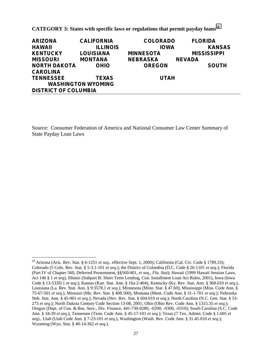**CATEGORY 3: States with specific laws or regulations that permit payday loans<sup>58</sup>**

| <b>ARIZONA</b>              | <b>CALIFORNIA</b>         | <b>COLORADO</b>  | <b>FLORIDA</b>     |
|-----------------------------|---------------------------|------------------|--------------------|
| <b>HAWAII</b>               | <b>ILLINOIS</b>           | <b>IOWA</b>      | <b>KANSAS</b>      |
| <b>KENTUCKY</b>             | <b>LOUISIANA</b>          | <b>MINNESOTA</b> | <b>MISSISSIPPI</b> |
| <b>MISSOURI</b>             | <b>MONTANA</b>            | <b>NEBRASKA</b>  | <b>NEVADA</b>      |
| <b>NORTH DAKOTA</b>         | <b>OHIO</b>               | <b>OREGON</b>    | <b>SOUTH</b>       |
| <b>CAROLINA</b>             |                           |                  |                    |
| <b>TENNESSEE</b>            | <b>TEXAS</b>              | <b>UTAH</b>      |                    |
|                             | <b>WASHINGTON WYOMING</b> |                  |                    |
| <b>DISTRICT OF COLUMBIA</b> |                           |                  |                    |

Source: Consumer Federation of America and National Consumer Law Center Summary of State Payday Loan Laws

 $\overline{a}$ 58 Arizona (Ariz. Rev. Stat. § 6-1251 *et seq.*, effective Sept. 1, 2000); California (Cal. Civ. Code § 1789.33); Colorado (5 Colo. Rev. Stat. § 5-3.1-101 *et seq.*); the District of Columbia (D.C. Code § 26-1101 *et seq.*); Florida (Part IV of Chapter 560, Deferred Presentment, §§560/401, *et seq.*, *Fla. Stat*); Hawaii (1999 Hawaii Session Laws, Act 146 § 1 *et seq*), Illinois (Subpart B: Short Term Lending, Con. Installment Loan Act Rules, 2001), Iowa (Iowa Code § 13-533D.1 *et seq.*); Kansas (Kan. Stat. Ann. § 16a-2-404), Kentucky (Ky. Rev. Stat. Ann. § 368.010 *et seq.*), Louisiana (La. Rev. Stat. Ann. § 9:3578.1 *et seq.*); Minnesota (Minn. Stat. § 47.60), Mississippi (Miss. Code Ann. § 75-67-501 *et seq.*), Missouri (Mo. Rev. Stat. § 408.500), Montana (Mont. Code Ann. § 31-1-701 *et seq.*); Nebraska Neb. Stat. Ann. § 45-901 *et seq.*); Nevada (Nev. Rev. Stat. § 604.010 *et seq.*); North Carolina (N.C. Gen. Stat. § 53- 275 *et seq.*); North Dakota Century Code Section 13-08, 2001; Ohio (Ohio Rev. Code Ann. § 1315.35 *et seq.*); Oregon (Dept. of Con. & Bus. Serv., Div. Finance, 441-730-0280, -0290, -0300, -0310); South Carolina (S.C. Code Ann. § 34-39 *et seq.*); Tennessee (Tenn. Code Ann. § 45-17-101 *et seq.*); Texas (7 Tex. Admin. Code § 1.605 *et seq).*, Utah (Utah Code Ann. § 7-23-101 *et seq.*), Washington (Wash. Rev. Code Ann. § 31.45.010 *et seq.*); Wyoming (Wyo. Stat. § 40-14-362 *et seq.*).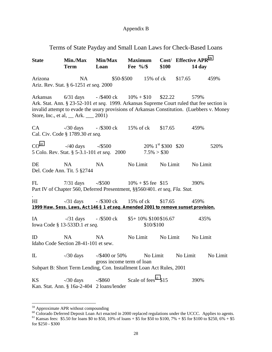#### Appendix B

#### Terms of State Payday and Small Loan Laws for Check-Based Loans

**State Min./Max Min/Max Maximum Cost/ Effective APR59 Term Loan Fee %/\$ \$100 14 day**  Arizona NA \$50-\$500 15% of ck \$17.65 459% Ariz. Rev. Stat. § 6-1251 *et seq.* 2000 Arkansas 6/31 days - /\$400 ck 10% + \$10 \$22.22 579% Ark. Stat. Ann. § 23-52-101 *et seq.* 1999. Arkansas Supreme Court ruled that fee section is invalid attempt to evade the usury provisions of Arkansas Constitution. (Luebbers v. Money Store, Inc., et al, Ark. 2001) CA -/30 days - /\$300 ck 15% of ck \$17.65 459% Cal. Civ. Code § 1789.30 *et seq.*  $CO<sup>60</sup>$  -/40 days -/\$500 20% 1<sup>st</sup> \$300 \$20 520% 5 Colo. Rev. Stat. § 5-3.1-101 *et seq.* 2000 7.5% > \$30 DE NA NA No Limit No Limit No Limit Del. Code Ann. Tit. 5 §2744 FL 7/31 days -/\$500 10% + \$5 fee \$15 390% Part IV of Chapter 560, Deferred Presentment, §§560/401. *et seq, Fla. Stat. .* HI -/31 days - /\$300 ck 15% of ck \$17.65 459% **1999 Haw. Sess. Laws, Act 146 § 1 et seq. Amended 2001 to remove sunset provision.** IA -/31 days - /\$500 ck \$5+ 10% \$100 \$16.67 435% Iowa Code § 13-533D.1 *et seq.* \$10/\$100 ID NA NA No Limit No Limit No Limit Idaho Code Section 28-41-101 et sew. IL  $-$ /30 days  $-$ /\$400 or 50% No Limit No Limit No Limit gross income term of loan Subpart B: Short Term Lending, Con. Installment Loan Act Rules, 2001 KS  $-$ /30 days  $-$ /\$860 Scale of fees<sup>61</sup> \$15 390% Kan. Stat. Ann. § 16a-2-404 2 loans/lender

<sup>59</sup> Approximate APR without compounding

<sup>&</sup>lt;sup>60</sup> Colorado Deferred Deposit Loan Act enacted in 2000 replaced regulations under the UCCC. Applies to agents.<br><sup>61</sup> Kansas fees: \$5.50 for loans \$0 to \$50, 10% of loans + \$5 for \$50 to \$100, 7% + \$5 for \$100 to \$250, 6%

for \$250 - \$300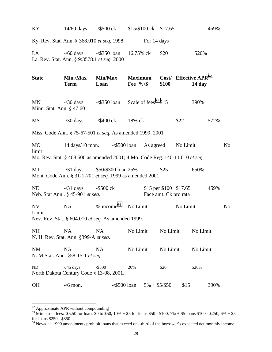| KY                             |                                                        | $14/60$ days $-$ /\$500 ck                                                                                                     | \$15/\$100 ck \$17.65               |                 |                                                 | 459%              |                |
|--------------------------------|--------------------------------------------------------|--------------------------------------------------------------------------------------------------------------------------------|-------------------------------------|-----------------|-------------------------------------------------|-------------------|----------------|
|                                |                                                        | Ky. Rev. Stat. Ann. § 368.010 et seq, 1998                                                                                     |                                     | For 14 days     |                                                 |                   |                |
| LA                             | La. Rev. Stat. Ann. § 9:3578.1 et seq. 2000            | $-$ /60 days $-$ /\$350 loan                                                                                                   | 16.75% ck                           | \$20            |                                                 | 520%              |                |
| <b>State</b>                   | Min./Max<br><b>Term</b>                                | Min/Max<br>Loan                                                                                                                | <b>Maximum</b><br>Fee $\frac{9}{6}$ |                 | Cost/ Effective APR <sup>62</sup><br>\$100      | $14 \mathrm{day}$ |                |
| MN<br>Minn. Stat. Ann. § 47.60 | $-$ /30 days                                           | $-\frac{$350 \text{ loan}}{2}$ Scale of fees <sup>63</sup> \$15                                                                |                                     |                 |                                                 | 390%              |                |
| MS                             | $-$ /30 days                                           | $-$ /\$400 ck                                                                                                                  | 18% ck                              |                 | \$22                                            | 572%              |                |
|                                |                                                        | Miss. Code Ann. § 75-67-501 et seq. As amended 1999, 2001                                                                      |                                     |                 |                                                 |                   |                |
| MO<br>limit                    |                                                        | $14 \text{ days}/10 \text{ mon.}$ -/\$500 loan<br>Mo. Rev. Stat. § 408.500 as amended 2001; 4 Mo. Code Reg. 140-11.010 et seq. |                                     | As agreed       | No Limit                                        |                   | N <sub>o</sub> |
| MT                             |                                                        | $-731 \text{ days}$ \$50/\$300 loan 25%<br>Mont. Code Ann. § 31-1-701 et seq. 1999 as amended 2001                             |                                     | \$25            |                                                 | 650%              |                |
| <b>NE</b>                      | $-\frac{31}{3}$ days<br>Neb. Stat Ann § 45-901 et seq. | -\$500 ck                                                                                                                      |                                     |                 | \$15 per \$100 \$17.65<br>Face amt. Ck pro rata | 459%              |                |
| NV<br>Limit                    | <b>NA</b>                                              | $%$ income <sup>64</sup><br>Nev. Rev. Stat. § 604.010 et seq. As amended 1999.                                                 | No Limit                            |                 | No Limit                                        |                   | N <sub>o</sub> |
| NH                             | <b>NA</b><br>N. H. Rev. Stat. Ann. §399-A et seq.      | NA                                                                                                                             | No Limit                            |                 | No Limit                                        | No Limit          |                |
| NM                             | <b>NA</b><br>N. M Stat. Ann. §58-15-1 et seq.          | NA                                                                                                                             | No Limit                            |                 | No Limit                                        | No Limit          |                |
| ND                             | $-45$ days<br>North Dakota Century Code § 13-08, 2001. | /\$500                                                                                                                         | 20%                                 | \$20            |                                                 | 520%              |                |
| OH                             | $-$ /6 mon.                                            | $-\frac{$500}{}$ loan                                                                                                          |                                     | $5\% + $5/\$50$ | \$15                                            | 390%              |                |

 $62$  Approximate APR without compounding

 $^{63}$  Minnesota fees: \$5.50 for loans \$0 to \$50, 10% + \$5 for loans \$50 - \$100, 7% + \$5 loans \$100 - \$250, 6% + \$5 for loans \$250 - \$350

<sup>&</sup>lt;sup>64</sup> Nevada: 1999 amendments prohibit loans that exceed one-third of the borrower's expected net monthly income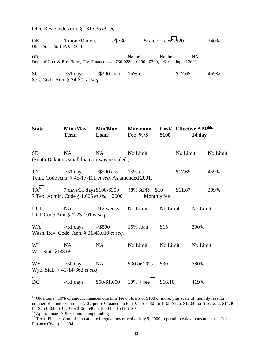Ohio Rev. Code Ann. § 1315.35 *et seq.* 

OK 1 mon./10mon.  $-$ /\$730 Scale of fees<sup>65</sup> \$20 240% Okla. Stat. Tit. 14A §3-508B

OR - - No limit No limit NA Dept. of Con. & Bus. Serv., Div. Finance, 441-730-0280, -0290, -0300, -0310, adopted 2001.

SC -/31 days -/\$300 loan 15% ck \$17.65 459% S.C. Code Ann. § 34-39 *et seq*.

| <b>State</b>             | Min./Max<br><b>Term</b>                                                 | Min/Max<br>Loan                                           | <b>Maximum</b><br>Fee $\frac{9}{6}$ | \$100    |          | Cost/ Effective APR <sup>66</sup><br>$14 \mathrm{day}$ |          |
|--------------------------|-------------------------------------------------------------------------|-----------------------------------------------------------|-------------------------------------|----------|----------|--------------------------------------------------------|----------|
| <b>SD</b>                | NA<br>(South Dakota's small loan act was repealed.)                     | NA                                                        | No Limit                            |          | No Limit |                                                        | No Limit |
| TN                       | Tenn. Code Ann. § 45-17-101 et seq. As amended 2001.                    | $-731 \text{ days}$ $-7500 \text{ cks}$ $15\% \text{ ck}$ |                                     |          | \$17.65  |                                                        | 459%     |
| $TX^{67}$                | 7 days/31 days \$100-\$350<br>7 Tex. Admin. Code § 1.605 et seq., 2000  |                                                           | $48\%$ APR + \$10<br>Monthly fee    |          | \$11.87  |                                                        | 309%     |
| Utah                     | NA<br>Utah Code Ann. § 7-23-101 et seq.                                 | $-12$ weeks                                               | No Limit                            | No Limit |          | No Limit                                               |          |
| WA                       | $-731 \text{ days}$ $-7500$<br>Wash. Rev. Code Ann. § 31.45.010 et seq. |                                                           | $15\%$ loan                         | \$15     |          | 390%                                                   |          |
| WI<br>Wis. Stat. §138.09 | NA                                                                      | NA                                                        | No Limit                            | No Limit |          | No Limit                                               |          |
| $WY$ -/30 days           | Wyo. Stat. § 40-14-362 et seq                                           | NA                                                        | \$30 or 20%                         | \$30     |          | 780%                                                   |          |
| DC                       | $-\frac{31}{3}$ days                                                    | \$50/\$1,000                                              | $10\% + \text{fee}^{68}$            | \$16.10  |          | 419%                                                   |          |

<sup>&</sup>lt;sup>65</sup> Oklahoma: 10% of amount financed one time fee on loans of \$108 or more, plus scale of monthly fees for number of months contracted: \$2 per \$10 loaned up to \$108, \$10.80 for \$108-\$126, \$12.60 for \$127-252, \$14.40 for \$253-360, \$16.20 for \$361-540, \$18.00 for \$541-\$720.

1

<sup>&</sup>lt;sup>66</sup> Approximate APR without compounding

<sup>&</sup>lt;sup>67</sup> Texas Finance Commission adopted regulations effective July 9, 2000 to permit payday loans under the Texas Finance Code § 11.304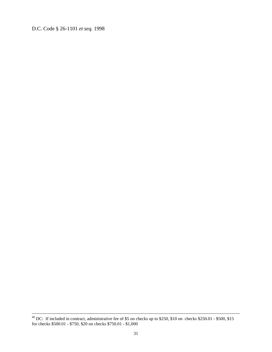D.C. Code § 26-1101 *et seq.* 1998

 <sup>68</sup> DC: If included in contract, administrative fee of \$5 on checks up to \$250, \$10 on checks \$250.01 - \$500, \$15 for checks \$500.01 - \$750, \$20 on checks \$750.01 - \$1,000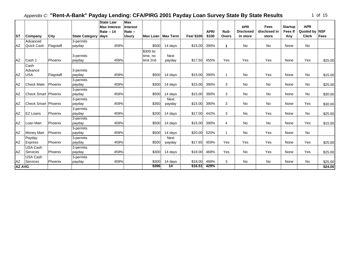|  | οf | 15 |
|--|----|----|
|--|----|----|

|               |                            |           |                       | <b>State Law</b><br><b>Max Interest</b> | <b>Max</b><br><b>Interest</b> |           |                     |            |       |                | <b>APR</b>       | <b>Fees</b>  | <b>Startup</b> | <b>APR</b>    |             |
|---------------|----------------------------|-----------|-----------------------|-----------------------------------------|-------------------------------|-----------|---------------------|------------|-------|----------------|------------------|--------------|----------------|---------------|-------------|
|               |                            |           |                       | Rate -- 14                              | Rate --                       |           |                     |            | APR/  | Roll-          | <b>Disclosed</b> | disclosed in | <b>Fees If</b> | Quoted by NSF |             |
| <b>ST</b>     | Company                    | City      | <b>State Category</b> | days                                    | <b>Usury</b>                  |           | Max Loan   Max Term | Fee/ \$100 | \$100 | <b>Overs</b>   | in store         | store        | Any            | <b>Clerk</b>  | <b>Fees</b> |
|               | Advanced                   |           | 3-permits             |                                         |                               |           |                     |            |       |                |                  |              |                |               |             |
| AZ            | Quick Cash                 | Flagstaff | payday                | 459%                                    |                               | \$500     | 14 days             | \$15.00    | 390%  | 1              | No               | <b>No</b>    | None           | <b>No</b>     |             |
|               |                            |           |                       |                                         |                               | \$300 lst |                     |            |       |                |                  |              |                |               |             |
|               |                            |           | 3-permits             |                                         |                               | time, no  | <b>Next</b>         |            |       |                |                  |              |                |               |             |
| AZ            | Cash 1                     | Phoenix   | payday                | 459%                                    |                               | limit 2nd | payday              | \$17.50    | 455%  | Yes            | Yes              | Yes          | None           | Yes           | \$25.00     |
|               | Cash                       |           |                       |                                         |                               |           |                     |            |       |                |                  |              |                |               |             |
|               | Advance                    |           | 3-permits             |                                         |                               |           |                     |            |       |                |                  |              |                |               |             |
| <b>AZ</b>     | <b>USA</b>                 | Flagstaff | payday                | 459%                                    |                               | \$500     | 14 days             | \$15.00    | 390%  | $\overline{1}$ | No               | Yes          | None           | No            | \$15.00     |
|               |                            |           | 3-permits             |                                         |                               |           |                     |            |       |                |                  |              |                |               |             |
| AZ            | <b>Check Mate</b>          | Phoenix   | payday                | 459%                                    |                               | \$300     | 14 days             | \$15.00    | 390%  | 3              | No               | No           | None           | No            | \$25.00     |
|               |                            |           | 3-permits             |                                         |                               |           |                     |            |       |                |                  |              |                |               |             |
| AZ            | <b>Check Smart Phoenix</b> |           | payday                | 459%                                    |                               | \$500     | 14 days             | \$15.00    | 390%  | 3              | No               | No           | None           | No            | \$30.00     |
|               |                            |           | 3-permits             |                                         |                               |           | Next                |            |       |                |                  |              |                |               |             |
| AZ            | <b>Check Smart Phoenix</b> |           | payday                | 459%                                    |                               | \$350     | payday              | \$15.00    | 390%  | 3              | No               | No           | None           | Yes           | \$30.00     |
|               |                            |           | 3-permits             |                                         |                               |           |                     |            |       |                |                  |              |                |               |             |
| AZ            | <b>EZ Loans</b>            | Phoenix   | payday                | 459%                                    |                               | \$200     | 14 days             | \$17.00    | 442%  | 3              | No               | Yes          | None           | No            | \$25.00     |
|               |                            |           | 3-permits             |                                         |                               |           |                     |            |       |                |                  |              |                |               |             |
| AZ            | Loan Mart                  | Phoenix   | payday                | 459%                                    |                               | \$500     | 14 days             | \$15.00    | 390%  | 4              | No               | <b>No</b>    | None           | Yes           | \$15.00     |
|               |                            |           | 3-permits             |                                         |                               |           |                     |            |       |                |                  |              |                |               |             |
| AZ            | Money Mart                 | Phoenix   | payday                | 459%                                    |                               | \$500     | 14 days             | \$20.00    | 520%  | $\mathbf{1}$   | No               | Yes          | None           | No            |             |
|               | Payday                     |           | 3-permits             |                                         |                               |           | Next                |            |       |                |                  |              |                |               |             |
| AZ            | <b>Express</b>             | Phoenix   | payday                | 459%                                    |                               | \$500     | payday              | \$17.65    | 459%  | Yes            | Yes              | Yes          | None           | Yes           | \$25.00     |
|               | USA Cash                   |           | 3-permits             |                                         |                               |           |                     |            |       |                |                  |              |                |               |             |
| AZ            | Services                   | Phoenix   | payday                | 459%                                    |                               | \$300     | 14 days             | \$18.00    | 468%  | Yes            | No               | Yes          | None           | Yes           | \$25.00     |
|               | USA Cash                   |           | 3-permits             |                                         |                               |           |                     |            |       |                |                  |              |                |               |             |
| AZ            | Services                   | Phoenix   | payday                | 459%                                    |                               | \$300     | 14 days             | \$18.00    | 468%  | 3              | No               | No           | None           | No            | \$25.00     |
| <b>AZ AVG</b> |                            |           |                       |                                         |                               | \$396     | 14                  | \$16.51    | 429%  |                |                  |              |                |               | \$24.00     |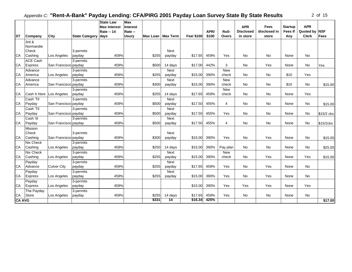|               |                 |                      |                       | <b>State Law</b>    | <b>Max</b>      |                     |            |       |                |                  |              |                |              |             |
|---------------|-----------------|----------------------|-----------------------|---------------------|-----------------|---------------------|------------|-------|----------------|------------------|--------------|----------------|--------------|-------------|
|               |                 |                      |                       | <b>Max Interest</b> | <b>Interest</b> |                     |            |       |                | <b>APR</b>       | <b>Fees</b>  | <b>Startup</b> | <b>APR</b>   |             |
|               |                 |                      |                       | <b>Rate -- 14</b>   | Rate --         |                     |            | APR/  | Roll-          | <b>Disclosed</b> | disclosed in | <b>Fees If</b> | Quoted by    | <b>NSF</b>  |
| <b>ST</b>     | Company         | City                 | <b>State Category</b> | days                | <b>Usury</b>    | Max Loan   Max Term | Fee/ \$100 | \$100 | Overs          | in store         | store        | Any            | <b>Clerk</b> | <b>Fees</b> |
|               | 3rd &           |                      |                       |                     |                 |                     |            |       |                |                  |              |                |              |             |
|               | Normandie       |                      |                       |                     |                 |                     |            |       |                |                  |              |                |              |             |
|               | Check           |                      | 3-permits             |                     |                 | Next                |            |       |                |                  |              |                |              |             |
| CA            | Cashing         | Los Angeles          | payday                | 459%                | \$255           | payday              | \$17.65    | 459%  | Yes            | No               | <b>No</b>    | None           | No           |             |
|               | <b>ACE Cash</b> |                      | 3-permits             |                     |                 |                     |            |       |                |                  |              |                |              |             |
| <b>CA</b>     | <b>Express</b>  | San Francisco payday |                       | 459%                | \$500           | 14 days             | \$17.00    | 442%  | 3              | No               | Yes          | None           | No           | Yes         |
|               | Advance         |                      | 3-permits             |                     |                 | <b>Next</b>         |            |       | <b>New</b>     |                  |              |                |              |             |
| CA            | America         | Los Angeles          | payday                | 459%                | \$255           | payday              | \$15.00    | 390%  | check          | <b>No</b>        | No           | \$10           | Yes          |             |
|               | Advance         |                      | 3-permits             |                     |                 | Next                |            |       | <b>New</b>     |                  |              |                |              |             |
| <b>CA</b>     | America         | San Francisco payday |                       | 459%                | \$300           | payday              | \$15.00    | 390%  | check          | No               | No           | \$10           | No           | \$15.00     |
|               |                 |                      | 3-permits             |                     |                 |                     |            |       | <b>New</b>     |                  |              |                |              |             |
| CA            | Cash It Here    | Los Angeles          | payday                | 459%                | \$255           | 14 days             | \$17.65    | 459%  | check          | No               | No           | None           | Yes          |             |
|               | Cash 'Til       |                      | 3-permits             |                     |                 | <b>Next</b>         |            |       |                |                  |              |                |              |             |
| CA            | Payday          | San Francisco payday |                       | 459%                | \$500           | payday              | \$17.50    | 455%  | 4              | No               | No           | None           | No           | \$15.00     |
|               | Cash 'Til       |                      | 3-permits             |                     |                 | Next                |            |       |                |                  |              |                |              |             |
| CA            | Payday          | San Francisco payday |                       | 459%                | \$500           | payday              | \$17.50    | 455%  | Yes            | No               | No           | None           | No           | \$15/2 cks  |
|               | Cash 'til       |                      | 3-permits             |                     |                 | Next                |            |       |                |                  |              |                |              |             |
| <b>CA</b>     | Payday          | San Francisco payday |                       | 459%                | \$500           | payday              | \$17.50    | 455%  | $\overline{4}$ | No               | No           | None           | No           | \$15/2cks   |
|               | Mission         |                      |                       |                     |                 |                     |            |       |                |                  |              |                |              |             |
|               | <b>Check</b>    |                      | 3-permits             |                     |                 | Next                |            |       |                |                  |              |                |              |             |
| CA            | Cashing         | San Francisco payday |                       | 459%                | \$300           | payday              | \$15.00    | 390%  | Yes            | No               | Yes          | None           | <b>No</b>    | \$15.00     |
|               | Nix Check       |                      | 3-permits             |                     |                 |                     |            |       |                |                  |              |                |              |             |
| CA            | Cashing         | Los Angeles          | payday                | 459%                | \$250           | 14 days             | \$15.00    | 390%  | Pay plan       | <b>No</b>        | <b>No</b>    | None           | <b>No</b>    | \$25.00     |
|               | Nix Check       |                      | 3-permits             |                     |                 | Next                |            |       | <b>New</b>     |                  |              |                |              |             |
| <b>CA</b>     | Cashing         | Los Angeles          | payday                | 459%                | \$255           | payday              | \$15.00    | 390%  | check          | No               | Yes          | None           | Yes          | \$15.00     |
|               | Payday          |                      | 3-permits             |                     |                 | Next                |            |       |                |                  |              |                |              |             |
| <b>CA</b>     | Advance         | <b>Culver City</b>   | payday                | 459%                | \$255           | payday              | \$17.65    | 459%  | Yes            | No               | Yes          | None           | No           |             |
|               | Payday          |                      | 3-permits             |                     |                 | Next                |            |       |                |                  |              |                |              |             |
| <b>CA</b>     | <b>Express</b>  | Los Angeles          | payday                | 459%                | \$255           | payday              | \$15.00    | 390%  | Yes            | <b>No</b>        | Yes          | None           | <b>No</b>    |             |
|               | Payday          |                      | 3-permits             |                     |                 |                     |            |       |                |                  |              |                |              |             |
| CA            | Express         | Los Angeles          | payday                | 459%                |                 |                     | \$15.00    | 390%  | Yes            | Yes              | Yes          | None           | Yes          |             |
|               | The Payday      |                      | 3-permits             |                     |                 |                     |            |       |                |                  |              |                |              |             |
| CA            | Store           | Los Angeles          | payday                | 459%                | \$255           | 14 days             | \$17.65    | 459%  | Yes            | No               | <b>No</b>    | None           | <b>No</b>    |             |
| <b>CA AVG</b> |                 |                      |                       |                     | \$331           | 14                  | \$16.34    | 425%  |                |                  |              |                |              | \$17.00     |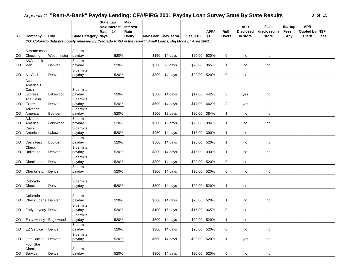|  | Ωf | 1<br>5 |
|--|----|--------|
|--|----|--------|

|           |                           |                |                                                                                                            | <b>State Law</b>    | Max             |                     |                |              |       |              |                  |              |                |               |      |
|-----------|---------------------------|----------------|------------------------------------------------------------------------------------------------------------|---------------------|-----------------|---------------------|----------------|--------------|-------|--------------|------------------|--------------|----------------|---------------|------|
|           |                           |                |                                                                                                            | <b>Max Interest</b> | <b>Interest</b> |                     |                |              |       |              | <b>APR</b>       | Fees         | <b>Startup</b> | <b>APR</b>    |      |
|           |                           |                |                                                                                                            | <b>Rate -- 14</b>   | Rate --         |                     |                |              | APR/  | <b>Roll-</b> | <b>Disclosed</b> | disclosed in | <b>Fees If</b> | Quoted by NSF |      |
| <b>ST</b> | Company                   | City           | State Category days                                                                                        |                     | <b>Usury</b>    | Max Loan   Max Term |                | Fee/ \$100   | \$100 | Overs        | in store         | store        | Any            | <b>Clerk</b>  | Fees |
|           |                           |                | CO: Colorado data previously released by Colorado PIRG in the report "Small Loans, Big Money," April 2001. |                     |                 |                     |                |              |       |              |                  |              |                |               |      |
|           |                           |                |                                                                                                            |                     |                 |                     |                |              |       |              |                  |              |                |               |      |
|           | A Acme cash               |                | 3-permits                                                                                                  |                     |                 |                     |                |              |       |              |                  |              |                |               |      |
| <b>CO</b> | Checking                  | Westminster    | payday                                                                                                     | 520%                |                 |                     | \$150 14 days  | \$20.00      | 520%  | 0            | no               | no           |                |               |      |
|           | A&A check                 |                | 3-permits                                                                                                  |                     |                 |                     |                |              |       |              |                  |              |                |               |      |
| CO        | loan                      | Denver         | payday                                                                                                     | 520%                |                 | \$500               | 20 days        | \$20.00      | 365%  | 1            | no               | no           |                |               |      |
|           |                           |                | 3-permits                                                                                                  |                     |                 |                     |                |              |       |              |                  |              |                |               |      |
| CO        | A1 Cash                   | Denver         | payday                                                                                                     | 520%                |                 | \$300               | 14 days        | \$20.00      | 520%  | 0            | no               | no           |                |               |      |
|           | Ace                       |                |                                                                                                            |                     |                 |                     |                |              |       |              |                  |              |                |               |      |
|           | America's                 |                |                                                                                                            |                     |                 |                     |                |              |       |              |                  |              |                |               |      |
|           | Cash                      |                | 3-permits                                                                                                  |                     |                 |                     |                |              |       |              |                  |              |                |               |      |
| <b>CO</b> | <b>Express</b>            | Lakewood       | payday                                                                                                     | 520%                |                 |                     | $$500$ 14 days | \$17.00      | 442%  | 3            | yes              | no           |                |               |      |
| <b>CO</b> | Ace Cash<br>Express       | Denver         | 3-permits<br>payday                                                                                        | 520%                |                 |                     | \$500 14 days  | \$17.00      | 442%  | 3            |                  | no           |                |               |      |
|           | Advance                   |                | 3-permits                                                                                                  |                     |                 |                     |                |              |       |              | yes              |              |                |               |      |
| <b>CO</b> | America                   | <b>Boulder</b> | payday                                                                                                     | 520%                |                 | \$500               | 19 days        | \$20.00      | 384%  | 1            | no               | no           |                |               |      |
|           | Advance                   |                | 3-permits                                                                                                  |                     |                 |                     |                |              |       |              |                  |              |                |               |      |
| <b>CO</b> | America                   | Lakewood       | payday                                                                                                     | 520%                |                 | \$500               | 19 days        | \$20.00      | 384%  | $\mathbf{1}$ | no               | no           |                |               |      |
|           | Cash                      |                | 3-permits                                                                                                  |                     |                 |                     |                |              |       |              |                  |              |                |               |      |
| <b>CO</b> | America                   | Lakewood       | payday                                                                                                     | 520%                |                 | \$250               | 14 days        | \$15.00      | 390%  | 1            | no               | no           |                |               |      |
|           |                           |                | 3-permits                                                                                                  |                     |                 |                     |                |              |       |              |                  |              |                |               |      |
| CO        | Cash Fast                 | <b>Boulder</b> | payday                                                                                                     | 520%                |                 | \$500               | 14 days        | \$20.00      | 520%  | $\mathbf{1}$ | no               | no           |                |               |      |
|           | Check                     |                | 3-permits                                                                                                  |                     |                 |                     |                |              |       |              |                  |              |                |               |      |
| CO        | Unlimited                 | Denver         | payday                                                                                                     | 520%                |                 |                     | $$300$ 14 days | \$15.00      | 390%  | $\mathbf{1}$ | no               | no           |                |               |      |
|           |                           |                | 3-permits                                                                                                  |                     |                 |                     |                |              |       |              |                  |              |                |               |      |
| <b>CO</b> | Checks etc.               | Denver         | payday                                                                                                     | 520%                |                 | \$300               | 14 days        | \$20.00      | 520%  | 0            | no               | no           |                |               |      |
|           |                           |                | 3-permits                                                                                                  |                     |                 |                     |                |              |       |              |                  |              |                |               |      |
| <b>CO</b> | Checks etc.               | Denver         | payday                                                                                                     | 520%                |                 | \$300               | 14 days        | \$20.00      | 520%  | 0            | no               | no           |                |               |      |
|           |                           |                |                                                                                                            |                     |                 |                     |                |              |       |              |                  |              |                |               |      |
|           | Colorado                  |                | 3-permits                                                                                                  |                     |                 |                     |                |              |       |              |                  |              |                |               |      |
| ICO.      | Check Loans Denver        |                | payday                                                                                                     | 520%                |                 |                     | \$500 14 days  | \$20.00      | 520%  | $\mathbf{1}$ | no               | no           |                |               |      |
|           |                           |                |                                                                                                            |                     |                 |                     |                |              |       |              |                  |              |                |               |      |
|           | Colorado                  |                | 3-permits                                                                                                  |                     |                 |                     |                |              |       |              |                  |              |                |               |      |
| <b>CO</b> | <b>Check Loans Denver</b> |                | payday                                                                                                     | 520%                |                 |                     | \$500 14 days  | \$20.00      | 520%  | 1            | no               | no           |                |               |      |
|           |                           |                | 3-permits                                                                                                  |                     |                 |                     |                |              |       |              |                  |              |                |               |      |
| CO        | Early payday Denver       |                | payday                                                                                                     | 520%                |                 |                     | \$100 15 days  | \$15.00      | 365%  | 0            | no               | no           |                |               |      |
|           |                           |                | 3-permits                                                                                                  |                     |                 |                     |                |              |       |              |                  |              |                |               |      |
|           | CO Easy Money Englewood   |                | payday                                                                                                     | 520%                |                 |                     | \$500 14 days  | \$20.00      | 520%  | $\mathbf{1}$ | no               | no           |                |               |      |
|           |                           |                | 3-permits                                                                                                  |                     |                 |                     |                |              |       |              |                  |              |                |               |      |
|           | CO EZ Service             | Denver         | payday                                                                                                     | 520%                |                 |                     | \$300 14 days  | \$20.00      | 520%  | 0            | no               | no           |                |               |      |
|           |                           |                | 3-permits                                                                                                  |                     |                 |                     |                |              |       |              |                  |              |                |               |      |
| <b>CO</b> | <b>Fast Bucks</b>         | Denver         | payday                                                                                                     | 520%                |                 |                     | \$500 14 days  | \$20.00      | 520%  | $\mathbf{1}$ | yes              | no           |                |               |      |
|           | Four Star                 |                |                                                                                                            |                     |                 |                     |                |              |       |              |                  |              |                |               |      |
|           | Check                     |                | 3-permits                                                                                                  |                     |                 |                     |                |              |       |              |                  |              |                |               |      |
| CO        | Service                   | Denver         | payday                                                                                                     | 520%                |                 |                     | \$300 14 days  | \$20.00 520% |       | 0            | no               | no           |                |               |      |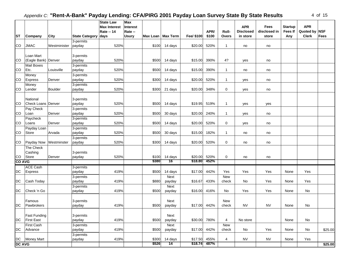| 4 | οf | 15 |
|---|----|----|
|---|----|----|

|               |                           |                |                       | <b>State Law</b>    | Max                                 |         |            |       |              |                  |              |                |               |         |
|---------------|---------------------------|----------------|-----------------------|---------------------|-------------------------------------|---------|------------|-------|--------------|------------------|--------------|----------------|---------------|---------|
|               |                           |                |                       | <b>Max Interest</b> | <b>Interest</b>                     |         |            |       |              | <b>APR</b>       | Fees         | <b>Startup</b> | <b>APR</b>    |         |
|               |                           |                |                       | <b>Rate -- 14</b>   | Rate --                             |         |            | APR/  | Roll-        | <b>Disclosed</b> | disclosed in | Fees If        | Quoted by NSF |         |
| <b>ST</b>     | Company                   | City           | <b>State Category</b> | days                | Max Loan   Max Term<br><b>Usury</b> |         | Fee/ \$100 | \$100 | Overs        | in store         | store        | Any            | <b>Clerk</b>  | Fees    |
|               |                           |                | 3-permits             |                     |                                     |         |            |       |              |                  |              |                |               |         |
| CO            | <b>JMAC</b>               | Westminister   | payday                | 520%                | \$100                               | 14 days | \$20.00    | 520%  | $\mathbf{1}$ | no               | no           |                |               |         |
|               |                           |                |                       |                     |                                     |         |            |       |              |                  |              |                |               |         |
|               | Loan Mart                 |                | 3-permits             |                     |                                     |         |            |       |              |                  |              |                |               |         |
| <b>CO</b>     | (Eagle Bank) Denver       |                | payday                | 520%                | \$500                               | 14 days | \$15.00    | 390%  | 4?           | yes              | no           |                |               |         |
|               | <b>Mail Boxes</b>         |                | 3-permits             |                     |                                     |         |            |       |              |                  |              |                |               |         |
| <b>CO</b>     | Etc.                      | Louisville     | payday                | 520%                | \$500                               | 14 days | \$15.00    | 390%  | $\mathbf{1}$ | no               | no           |                |               |         |
|               | Money                     |                | 3-permits             |                     |                                     |         |            |       |              |                  |              |                |               |         |
| CO.           | <b>Express</b>            | Denver         | payday                | 520%                | \$300                               | 14 days | \$20.00    | 520%  | $\mathbf{1}$ | yes              | no           |                |               |         |
|               | Money                     |                | 3-permits             |                     |                                     |         |            |       |              |                  |              |                |               |         |
| CO.           | Lender                    | <b>Boulder</b> | payday                | 520%                | \$300                               | 21 days | \$20.00    | 348%  | $\mathbf 0$  | yes              | no           |                |               |         |
|               |                           |                |                       |                     |                                     |         |            |       |              |                  |              |                |               |         |
|               | National                  |                | 3-permits             |                     |                                     |         |            |       |              |                  |              |                |               |         |
| ICO.          | <b>Check Loans Denver</b> |                | payday                | 520%                | \$500                               | 14 days | \$19.95    | 519%  | $\mathbf{1}$ | yes              | yes          |                |               |         |
|               | Pay Check                 |                | 3-permits             |                     |                                     |         |            |       |              |                  |              |                |               |         |
| <b>CO</b>     | Loan                      | Denver         | payday                | 520%                | \$500                               | 30 days | \$20.00    | 240%  | $\mathbf{1}$ | yes              | no           |                |               |         |
|               | Paycheck                  |                | 3-permits             |                     |                                     |         |            |       |              |                  |              |                |               |         |
| <b>CO</b>     | Loans                     | Denver         | payday                | 520%                | \$500                               | 14 days | \$20.00    | 520%  | 0            | yes              | no           |                |               |         |
|               | Payday Loan               |                | 3-permits             |                     |                                     |         |            |       |              |                  |              |                |               |         |
| CO.           | Store                     | Arvada         | payday                | 520%                | \$500                               | 30 days | \$15.00    | 182%  | $\mathbf{1}$ | no               | no           |                |               |         |
|               |                           |                | 3-permits             |                     |                                     |         |            |       |              |                  |              |                |               |         |
| CO            | Payday Now                | Westminster    | payday                | 520%                | \$300                               | 14 days | \$20.00    | 520%  | $\mathbf 0$  | no               | no           |                |               |         |
|               | The Check                 |                |                       |                     |                                     |         |            |       |              |                  |              |                |               |         |
|               | Cashing                   |                | 3-permits             |                     |                                     |         |            |       |              |                  |              |                |               |         |
| CO.           | Store                     | Denver         | payday                | 520%                | \$100                               | 14 days | \$20.00    | 520%  | $\mathbf 0$  | no               | no           |                |               |         |
| <b>CO AVG</b> |                           |                |                       |                     | \$380                               | 16      | \$18.80    | 452%  |              |                  |              |                |               |         |
|               | <b>ACE Cash</b>           |                | 3-permits             |                     |                                     |         |            |       |              |                  |              |                |               |         |
| DC            | Express                   |                | payday                | 419%                | \$500                               | 14 days | \$17.00    | 442%  | Yes          | Yes              | Yes          | None           | Yes           |         |
|               |                           |                | 3-permits             |                     |                                     | Next    |            |       | <b>New</b>   |                  |              |                |               |         |
| DC            | Cash Today                |                | payday                | 419%                | \$880                               | payday  | \$16.67    | 433%  | check        | No               | Yes          | None           | Yes           |         |
|               |                           |                | 3-permits             |                     |                                     | Next    |            |       |              |                  |              |                |               |         |
| DC            | Check 'n Go               |                | payday                | 419%                | \$500                               | payday  | \$16.00    | 416%  | No           | Yes              | Yes          | None           | No            |         |
|               |                           |                |                       |                     |                                     |         |            |       |              |                  |              |                |               |         |
|               | Famous                    |                | 3-permits             |                     |                                     | Next    |            |       | <b>New</b>   |                  |              |                |               |         |
| <b>DC</b>     | Pawbrokers                |                | payday                | 419%                | \$500                               | payday  | \$17.00    | 442%  | check        | <b>NV</b>        | <b>NV</b>    | None           | No            |         |
|               |                           |                |                       |                     |                                     |         |            |       |              |                  |              |                |               |         |
|               | Fast Funding              |                | 3-permits             |                     |                                     | Next    |            |       |              |                  |              |                |               |         |
| DC            | <b>First East</b>         |                | payday                | 419%                | \$500                               | payday  | \$30.00    | 780%  | 4            | No store         |              | None           | No            |         |
|               | <b>First Cash</b>         |                | 3-permits             |                     |                                     | Next    |            |       | <b>New</b>   |                  |              |                |               |         |
| DC            | Advance                   |                | payday                | 419%                | \$500                               | payday  | \$17.00    | 442%  | check        | No               | Yes          | None           | No            | \$25.00 |
|               |                           |                | 3-permits             |                     |                                     |         |            |       |              |                  |              |                |               |         |
| DC            | Money Mart                |                | payday                | 419%                | \$300                               | 14 days | \$17.50    | 455%  | 4            | <b>NV</b>        | <b>NV</b>    | None           | Yes           |         |
| <b>DC AVG</b> |                           |                |                       |                     | \$526                               | 14      | \$18.74    | 487%  |              |                  |              |                |               | \$25.00 |
|               |                           |                |                       |                     |                                     |         |            |       |              |                  |              |                |               |         |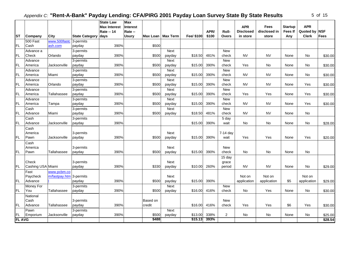$\mathbf{r}$ 

|  | ΩT | 5 |
|--|----|---|
|--|----|---|

| <b>ST</b>     | Company           | City                    | <b>State Category</b> | <b>State Law</b><br><b>Max Interest</b><br>Rate -- 14<br>days | <b>Max</b><br><b>Interest</b><br>Rate --<br><b>Usury</b> |          | Max Loan   Max Term | Fee/ \$100 | APR/<br>\$100 | Roll-<br><b>Overs</b> | <b>APR</b><br><b>Disclosed</b><br>in store | Fees<br>disclosed in<br>store | <b>Startup</b><br>Fees If<br>Any | <b>APR</b><br>Quoted by NSF<br><b>Clerk</b> | <b>Fees</b> |
|---------------|-------------------|-------------------------|-----------------------|---------------------------------------------------------------|----------------------------------------------------------|----------|---------------------|------------|---------------|-----------------------|--------------------------------------------|-------------------------------|----------------------------------|---------------------------------------------|-------------|
|               | 500 Fast          | www.500fastc            | 3-permits             |                                                               |                                                          |          |                     |            |               |                       |                                            |                               |                                  |                                             |             |
| <b>FL</b>     | Cash              | ash.com                 | payday                | 390%                                                          |                                                          | \$500    |                     |            |               |                       |                                            |                               |                                  |                                             |             |
|               | Advance a         |                         | 3-permits             |                                                               |                                                          |          | <b>Next</b>         |            |               | <b>New</b>            |                                            |                               |                                  |                                             |             |
| FL.           | Check             | Orlando                 | payday                | 390%                                                          |                                                          | \$500    | payday              | \$18.50    | 481%          | check                 | <b>NV</b>                                  | <b>NV</b>                     | None                             | No                                          | \$30.00     |
|               | Advance           |                         | 3-permits             |                                                               |                                                          |          | Next                |            |               | <b>New</b>            |                                            |                               |                                  |                                             |             |
| <b>FL</b>     | America           | Jacksonville            | payday                | 390%                                                          |                                                          | \$500    | payday              | \$15.00    | 390%          | check                 | Yes                                        | No                            | None                             | No                                          | \$30.00     |
|               | Advance           |                         | 3-permits             |                                                               |                                                          |          | Next                |            |               | <b>New</b>            |                                            |                               |                                  |                                             |             |
| FL.           | America           | Miami                   | payday                | 390%                                                          |                                                          | \$500    | payday              | \$15.00    | 390%          | check                 | <b>NV</b>                                  | <b>NV</b>                     | None                             | No                                          | \$30.00     |
|               | Advance           |                         | 3-permits             |                                                               |                                                          |          | Next                |            |               | New                   |                                            |                               |                                  |                                             |             |
| FL.           | America           | Orlando                 | payday                | 390%                                                          |                                                          | \$500    | payday              | \$15.00    | 390%          | check                 | <b>NV</b>                                  | <b>NV</b>                     | None                             | Yes                                         | \$30.00     |
|               | Advance           |                         | 3-permits             |                                                               |                                                          |          | Next                |            |               | <b>New</b>            |                                            |                               |                                  |                                             |             |
| FL.           | America           | Tallahassee             | payday                | 390%                                                          |                                                          | \$500    | payday              | \$15.00    | 390%          | check                 | Yes                                        | Yes                           | None                             | Yes                                         | \$30.00     |
|               | Advance           |                         | 3-permits             |                                                               |                                                          |          | Next                |            |               | New                   |                                            |                               |                                  |                                             |             |
| <b>FL</b>     | America           | Tampa                   | payday                | 390%                                                          |                                                          | \$500    | payday              | \$15.00    | 390%          | check                 | <b>NV</b>                                  | <b>NV</b>                     | None                             | Yes                                         | \$30.00     |
|               | Cash              |                         | 3-permits             |                                                               |                                                          |          | Next                |            |               | New                   |                                            |                               |                                  |                                             |             |
| FL.           | Advance           | Miami                   | payday                | 390%                                                          |                                                          | \$500    | payday              | \$18.50    | 481%          | check                 | <b>NV</b>                                  | <b>NV</b>                     | None                             | No                                          |             |
| <b>FL</b>     | Cash              |                         | 3-permits             |                                                               |                                                          |          |                     |            |               | 5 day                 |                                            |                               |                                  |                                             |             |
|               | Advance           | Jacksonville            | payday                | 390%                                                          |                                                          |          |                     | \$15.00    | 390%          | wait                  | No                                         | No                            | None                             | No                                          | \$28.00     |
|               | Cash              |                         |                       |                                                               |                                                          |          |                     |            |               |                       |                                            |                               |                                  |                                             |             |
| FL.           | America<br>Pawn   | Jacksonville            | 3-permits<br>payday   | 390%                                                          |                                                          | \$500    | Next<br>payday      | \$15.00    | 390%          | 7-14 day<br>wait      | Yes                                        | Yes                           | None                             | Yes                                         |             |
|               |                   |                         |                       |                                                               |                                                          |          |                     |            |               |                       |                                            |                               |                                  |                                             | \$20.00     |
|               | Cash<br>America   |                         | 3-permits             |                                                               |                                                          |          | Next                |            |               | <b>New</b>            |                                            |                               |                                  |                                             |             |
| FL.           | Pawn              | Tallahassee             | payday                | 390%                                                          |                                                          | \$500    | payday              | \$15.00    | 390%          | check                 | No                                         | No                            | None                             | No                                          |             |
|               |                   |                         |                       |                                                               |                                                          |          |                     |            |               | 15 day                |                                            |                               |                                  |                                             |             |
|               | Check             |                         | 3-permits             |                                                               |                                                          |          | Next                |            |               | grace                 |                                            |                               |                                  |                                             |             |
| <b>FL</b>     | Cashing USA Miami |                         | payday                | 390%                                                          |                                                          | \$330    | payday              | \$10.00    | 260%          | period                | <b>NV</b>                                  | <b>NV</b>                     | None                             | No                                          | \$29.00     |
|               | Fast              | www.pcbm.co             |                       |                                                               |                                                          |          |                     |            |               |                       |                                            |                               |                                  |                                             |             |
|               | Paycheck          | m/fastpay.htm 3-permits |                       |                                                               |                                                          |          | Next                |            |               |                       | Not on                                     | Not on                        |                                  | Not on                                      |             |
| FL.           | Advance           |                         | payday                | 390%                                                          |                                                          | \$500    | payday              | \$15.00    | 390%          |                       | application                                | application                   | \$5                              | application                                 | \$29.00     |
|               | Money For         |                         | 3-permits             |                                                               |                                                          |          | Next                |            |               | <b>New</b>            |                                            |                               |                                  |                                             |             |
| FL.           | You               | Tallahassee             | payday                | 390%                                                          |                                                          | \$500    | payday              | \$16.00    | 416%          | check                 | No                                         | Yes                           | None                             | No                                          | \$30.00     |
|               | National          |                         |                       |                                                               |                                                          |          |                     |            |               |                       |                                            |                               |                                  |                                             |             |
|               | Cash              |                         | 3-permits             |                                                               |                                                          | Based on |                     |            |               | <b>New</b>            |                                            |                               |                                  |                                             |             |
| <b>FL</b>     | Advance           | Tallahassee             | payday                | 390%                                                          |                                                          | credit   |                     | \$16.00    | 416%          | check                 | Yes                                        | Yes                           | \$6                              | Yes                                         | \$30.00     |
|               | Pawn              |                         | 3-permits             |                                                               |                                                          |          | Next                |            |               |                       |                                            |                               |                                  |                                             |             |
| <b>FL</b>     | Emporium          | Jacksonville            | payday                | 390%                                                          |                                                          | \$500    | payday              | \$13.00    | 338%          | 2                     | No                                         | No                            | None                             | No                                          | \$25.00     |
| <b>FL AVG</b> |                   |                         |                       |                                                               |                                                          | \$488    |                     | \$15.13    | 393%          |                       |                                            |                               |                                  |                                             | \$28.54     |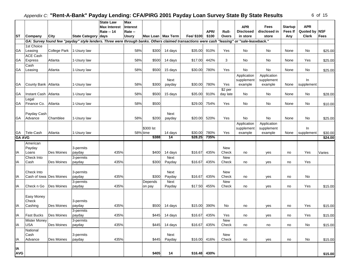| 6 | Ωf | 15 |
|---|----|----|
|---|----|----|

|                     |                            |                   |                                                                                                                                             | <b>State Law</b><br><b>Max Interest</b> | Max<br>Interest |                     |                |                    |              |              | <b>APR</b>       | Fees         | <b>Startup</b> | <b>APR</b>    |                    |
|---------------------|----------------------------|-------------------|---------------------------------------------------------------------------------------------------------------------------------------------|-----------------------------------------|-----------------|---------------------|----------------|--------------------|--------------|--------------|------------------|--------------|----------------|---------------|--------------------|
|                     |                            |                   |                                                                                                                                             | <b>Rate -- 14</b>                       | Rate --         |                     |                |                    | APR/         | Roll-        | <b>Disclosed</b> | disclosed in | <b>Fees If</b> | Quoted by NSF |                    |
| IST                 | Company                    | City              | State Category days                                                                                                                         |                                         | <b>Usury</b>    | Max Loan   Max Term |                | Fee/ \$100         | \$100        | Overs        | in store         | store        | Any            | <b>Clerk</b>  | Fees               |
|                     |                            |                   | GA: Survey found few "payday" style lenders. Three were through banks. Others claimed transactions were cash "leasing" or "sale-leaseback." |                                         |                 |                     |                |                    |              |              |                  |              |                |               |                    |
| <b>GA</b>           | 1st Choice<br>Leasing      | College Park      | 1-Usury law                                                                                                                                 |                                         | 58%             | \$300               | 14 days        | \$35.00            | 910%         | Yes          | No               | <b>No</b>    | None           | No            |                    |
|                     | ACE Cash                   |                   |                                                                                                                                             |                                         |                 |                     |                |                    |              |              |                  |              |                |               | \$25.00            |
| <b>GA</b>           | Express                    | Atlanta           | 1-Usury law                                                                                                                                 |                                         | 58%             | \$500               | 14 days        | \$17.00            | 442%         | 3            | No               | No           | None           | Yes           | \$25.00            |
| GA                  | Cash<br>Leasing            | Atlanta           | 1-Usury law                                                                                                                                 |                                         | 58%             | \$500               | 15 days        | \$30.00            | 780%         | Yes          | No               | <b>No</b>    | None           | No            | \$25.00            |
|                     |                            |                   |                                                                                                                                             |                                         |                 |                     |                |                    |              |              | Application      | Application  |                |               |                    |
|                     |                            |                   |                                                                                                                                             |                                         |                 |                     | Next           |                    |              |              | supplement       | supplement   |                | In            |                    |
| <b>GA</b>           | County Bank Atlanta        |                   | 1-Usury law                                                                                                                                 |                                         | 58%             | \$300               | payday         | \$30.00            | 780%         | Yes          | example          | example      | None           | supplement    |                    |
|                     |                            |                   |                                                                                                                                             |                                         |                 |                     |                |                    |              | \$2 per      |                  |              |                |               |                    |
| GA                  | Instant Cash Atlanta       |                   | 1-Usury law                                                                                                                                 |                                         | 58%             | \$500               | 15 days        | \$35.00            | 910%         | day late     | No               | No           | None           | No            | \$28.00            |
| GA                  | Legal<br>Finance Co.       | Atlanta           | 1-Usury law                                                                                                                                 |                                         | 58%             | \$500               |                | \$29.00            | 754%         | Yes          | No               | <b>No</b>    | None           | No            | \$10.00            |
|                     |                            |                   |                                                                                                                                             |                                         |                 |                     |                |                    |              |              |                  |              |                |               |                    |
|                     | Payday Cash                |                   |                                                                                                                                             |                                         |                 |                     | Next           |                    |              |              |                  |              |                |               |                    |
| GA                  | Advance                    | Chamblee          | 1-Usury law                                                                                                                                 |                                         | 58%             | \$200               | payday         | \$20.00            | 520%         | Yes          | No               | No           | None           | No            | \$25.00            |
|                     |                            |                   |                                                                                                                                             |                                         |                 |                     |                |                    |              |              | Application      | Application  |                |               |                    |
|                     |                            |                   |                                                                                                                                             |                                         |                 | \$300 lst           |                |                    |              |              | supplement       | supplement   |                | In            |                    |
| GA<br><b>GA AVG</b> | Tele-Cash                  | Atlanta           | 1-Usury law                                                                                                                                 |                                         | 58% time        | \$388               | 14 days<br>14  | \$30.00<br>\$28.25 | 780%<br>735% | Yes          | example          | example      | None           | supplement    | \$30.00<br>\$24.00 |
|                     | American                   |                   |                                                                                                                                             |                                         |                 |                     |                |                    |              |              |                  |              |                |               |                    |
|                     | Payday                     |                   | 3-permits                                                                                                                                   |                                         |                 |                     |                |                    |              | <b>New</b>   |                  |              |                |               |                    |
| IA                  | Loans                      | Des Moines        | payday                                                                                                                                      | 435%                                    |                 | \$400               | 14 days        | \$16.67            | 435%         | Check        | no               | yes          | no             | Yes           | Varies             |
|                     | Check Into                 |                   | 3-permits                                                                                                                                   |                                         |                 |                     | Next           |                    |              | <b>New</b>   |                  |              |                |               |                    |
| IA                  | Cash                       | Des Moines        | payday                                                                                                                                      | 435%                                    |                 | \$300               | Payday         | \$16.67            | 435%         | Check        | no               | yes          | no             | Yes           |                    |
|                     | Check Into                 |                   |                                                                                                                                             |                                         |                 |                     |                |                    |              | <b>New</b>   |                  |              |                |               |                    |
| IA                  | Cash of Iowa Des Moines    |                   | 3-permits<br>payday                                                                                                                         | 435%                                    |                 | \$300               | Next<br>Payday | \$16.67            | 435%         | Check        | no               | yes          | no             | No            |                    |
|                     |                            |                   | 3-permits                                                                                                                                   |                                         |                 | Depends             | Next           |                    |              | New          |                  |              |                |               |                    |
| ΙA                  | Check n Go                 | <b>Des Moines</b> | payday                                                                                                                                      | 435%                                    |                 | on pay              | Payday         | \$17.50            | 455%         | Check        | no               | yes          | no             | Yes           | \$15.00            |
|                     |                            |                   |                                                                                                                                             |                                         |                 |                     |                |                    |              |              |                  |              |                |               |                    |
|                     | Easy Money                 |                   |                                                                                                                                             |                                         |                 |                     |                |                    |              |              |                  |              |                |               |                    |
|                     | Check                      |                   | 3-permits                                                                                                                                   |                                         |                 |                     |                |                    |              |              |                  |              |                |               |                    |
| IA                  | Cashing                    | Des Moines        | payday                                                                                                                                      | 435%                                    |                 |                     | $$500$ 14 days | \$15.00            | 390%         | No           | no               | yes          | no             | Yes           | \$15.00            |
|                     |                            | <b>Des Moines</b> | 3-permits                                                                                                                                   |                                         |                 |                     |                |                    |              |              |                  |              |                |               |                    |
| IA                  | Fast Bucks                 |                   | payday                                                                                                                                      | 435%                                    |                 | \$445               | 14 days        | \$16.67            | 435%         | Yes          | no               | yes          | no             | Yes           | \$15.00            |
| IA                  | Mister Money<br><b>USA</b> | Des Moines        | ∣3-permits<br>payday                                                                                                                        | 435%                                    |                 |                     | \$445 14 days  | \$16.67            | 435%         | New<br>Check | no               | no           | no             | No            | \$15.00            |
|                     | National                   |                   |                                                                                                                                             |                                         |                 |                     |                |                    |              |              |                  |              |                |               |                    |
|                     | Cash                       |                   | 3-permits                                                                                                                                   |                                         |                 |                     | Next           |                    |              | New          |                  |              |                |               |                    |
| IA                  | Advance                    | Des Moines        | payday                                                                                                                                      | 435%                                    |                 | \$445               | Payday         | \$16.00            | 416%         | Check        | no               | yes          | no             | No            | \$15.00            |
|                     |                            |                   |                                                                                                                                             |                                         |                 |                     |                |                    |              |              |                  |              |                |               |                    |
| IA                  |                            |                   |                                                                                                                                             |                                         |                 |                     |                |                    |              |              |                  |              |                |               |                    |
| <b>AVG</b>          |                            |                   |                                                                                                                                             |                                         |                 | \$405               | 14             | \$16.48 430%       |              |              |                  |              |                |               | \$15.00            |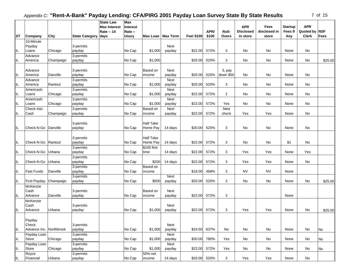|  | ۱T |  |
|--|----|--|
|--|----|--|

|                                   |                     |            |                     | <b>State Law</b><br><b>Max Interest</b><br><b>Rate -- 14</b> | <b>Max</b><br>Interest<br>Rate -- |                     |                |            | APR/  | Roll-          | <b>APR</b><br><b>Disclosed</b> | Fees<br>disclosed in | <b>Startup</b><br><b>Fees If</b> | <b>APR</b><br>Quoted by      | <b>NSF</b> |
|-----------------------------------|---------------------|------------|---------------------|--------------------------------------------------------------|-----------------------------------|---------------------|----------------|------------|-------|----------------|--------------------------------|----------------------|----------------------------------|------------------------------|------------|
| <b>ST</b>                         | Company             | City       | State Category days |                                                              | <b>Usury</b>                      | Max Loan   Max Term |                | Fee/ \$100 | \$100 | Overs          | in store                       | store                | Any                              | <b>Clerk</b>                 | Fees       |
|                                   | 10-Minute           |            |                     |                                                              |                                   |                     |                |            |       |                |                                |                      |                                  |                              |            |
|                                   | Payday              |            | 3-permits           |                                                              |                                   |                     | Next           |            |       |                |                                |                      |                                  |                              |            |
| IL                                | Loans               | Chicago    | payday              |                                                              | No Cap                            | \$1,000             | payday         | \$22.00    | 572%  | 3              | No                             | No                   | None                             | No                           |            |
|                                   | Advance             |            | 3-permits           |                                                              |                                   |                     |                |            |       |                |                                |                      |                                  |                              |            |
| IL                                | America             | Champaign  | payday              |                                                              | No Cap                            | \$1,000             |                | \$20.00    | 520%  | 3              | No                             | No                   | None                             | No                           | \$25.00    |
|                                   |                     |            |                     |                                                              |                                   |                     |                |            |       |                |                                |                      |                                  |                              |            |
|                                   | Advance             |            | 3-permits           |                                                              |                                   | Based on            | Next           |            |       | 3, pay         |                                |                      |                                  |                              |            |
| IL                                | America             | Danville   | payday              |                                                              | No Cap                            | income              | payday         | \$20.00    | 520%  | down \$50      | No                             | No                   | None                             | No                           |            |
| IL                                | Advance<br>America  | Rantoul    | 3-permits<br>payday |                                                              | No Cap                            | \$1,000             | Next<br>payday | \$20.00    | 520%  | 3              | No                             | No                   | None                             | No                           |            |
|                                   | Americash           |            |                     |                                                              |                                   |                     | Next           |            |       |                |                                |                      |                                  |                              |            |
| IL                                | Loans               | Chicago    | 3-permits<br>payday |                                                              | No Cap                            | \$1,000             | payday         | \$22.00    | 572%  | $\overline{2}$ | No                             | No                   | None                             | No                           |            |
|                                   | Americash           |            | 3-permits           |                                                              |                                   |                     | Next           |            |       |                |                                |                      |                                  |                              |            |
| IL                                | Loans               | Chicago    | payday              |                                                              | No Cap                            | \$1,000             | payday         | \$22.00    | 572%  | Yes            | No                             | No                   | None                             | No                           |            |
|                                   | Check Into          |            | 3-permits           |                                                              |                                   | Based on            | Next           |            |       | <b>New</b>     |                                |                      |                                  |                              |            |
| IL                                | Cash                | Champaign  | payday              |                                                              | No Cap                            | income              | payday         | \$22.00    | 572%  | check          | Yes                            | Yes                  | None                             | No                           |            |
|                                   |                     |            |                     |                                                              |                                   |                     |                |            |       |                |                                |                      |                                  |                              |            |
|                                   |                     |            | 3-permits           |                                                              |                                   | <b>Half Take</b>    |                |            |       |                |                                |                      |                                  |                              |            |
| IL                                | Check-N-Go          | Danville   | payday              |                                                              | No Cap                            | Home Pay            | 14 days        | \$20.00    | 520%  | 3              | No                             | No                   | None                             | No                           |            |
|                                   |                     |            |                     |                                                              |                                   |                     |                |            |       |                |                                |                      |                                  |                              |            |
|                                   |                     |            | 3-permits           |                                                              |                                   | <b>Half Take</b>    |                |            |       |                |                                |                      |                                  |                              |            |
| IL                                | Check-N-Go          | Rantoul    | payday              |                                                              | No Cap                            | Home Pay            | 14 days        | \$22.00    | 572%  | 3              | No                             | No                   | \$1                              | No                           |            |
|                                   |                     |            | 3-permits           |                                                              |                                   | \$100 first         |                |            |       |                |                                |                      |                                  |                              |            |
| IL                                | Check-N-Go          | Urbana     | payday              |                                                              | No Cap                            | time                | 14 days        | \$22.00    | 572%  | 3              | Yes                            | Yes                  | None                             | Yes                          |            |
|                                   |                     |            | 3-permits           |                                                              |                                   |                     |                |            |       |                |                                |                      |                                  |                              |            |
| IL                                | Check-N-Go          | Urbana     | payday              |                                                              | No Cap                            | \$200               | 14 days        | \$22.00    | 572%  | 3              | Yes                            | Yes                  | None                             | No                           |            |
|                                   |                     |            | 3-permits           |                                                              |                                   | Based on            |                |            |       |                | <b>NV</b>                      | <b>NV</b>            |                                  |                              |            |
| IL                                | <b>Fast Funds</b>   | Danville   | payday              |                                                              | No Cap                            | income              |                | \$18.00    | 468%  | 3              |                                |                      | None                             |                              |            |
| IL                                | <b>First Payday</b> | Champaign  | 3-permits<br>payday |                                                              | No Cap                            | \$500               | Next<br>payday | \$20.00    | 520%  | 3              | No                             | No                   | None                             | No                           | \$25.00    |
|                                   | McKenzie            |            |                     |                                                              |                                   |                     |                |            |       |                |                                |                      |                                  |                              |            |
|                                   | Cash                |            | 3-permits           |                                                              |                                   | Based on            | Next           |            |       |                |                                |                      |                                  |                              |            |
| IL                                | Advance             | Danville   | payday              |                                                              | No Cap                            | income              | payday         | \$22.00    | 572%  | 3              |                                |                      | None                             |                              |            |
|                                   | McKenzie            |            |                     |                                                              |                                   |                     |                |            |       |                |                                |                      |                                  |                              |            |
|                                   | Cash                |            | 3-permits           |                                                              |                                   |                     | Next           |            |       |                |                                |                      |                                  |                              |            |
| IL                                | Advance             | Urbana     | payday              |                                                              | No Cap                            | \$1,000             | payday         | \$22.00    | 572%  | 3              | Yes                            | Yes                  | None                             | No                           | \$25.00    |
|                                   |                     |            |                     |                                                              |                                   |                     |                |            |       |                |                                |                      |                                  |                              |            |
|                                   | Payday              |            |                     |                                                              |                                   |                     |                |            |       |                |                                |                      |                                  |                              |            |
|                                   | Check               |            | 3-permits           |                                                              |                                   |                     | Next           |            |       |                |                                |                      |                                  |                              |            |
| IL                                | Advance Inc.        | Northbrook | payday              |                                                              | No Cap                            | \$1,000             | payday         | \$24.50    | 637%  | No             | $\operatorname{\mathsf{No}}$   | No                   | None                             | No                           | No         |
|                                   | Payday Loan         |            | 3-permits           |                                                              |                                   |                     | Next           |            |       |                |                                |                      |                                  |                              |            |
| IL                                | Store               | Chicago    | payday              |                                                              | No Cap                            | \$1,000             | payday         | \$30.00    | 780%  | Yes            | No                             | No                   | None                             | No                           | No         |
|                                   | Payday Loan         |            | 3-permits           |                                                              |                                   |                     | Next           |            |       |                |                                |                      |                                  |                              |            |
| IL                                | Store               | Chicago    | payday              |                                                              | No Cap                            | \$1,000             | payday         | \$22.00    | 572%  | Yes            | $\operatorname{\mathsf{No}}$   | No                   | None                             | $\operatorname{\mathsf{No}}$ | No         |
|                                   | Royce               |            | 3-permits           |                                                              |                                   | 50% net             |                |            |       |                |                                |                      |                                  |                              |            |
| $\ensuremath{\mathsf{IL}}\xspace$ | Financial           | Urbana     | payday              |                                                              | No Cap                            | income              | 14 days        | \$20.00    | 520%  | 3              | Yes                            | Yes                  | None                             | No                           |            |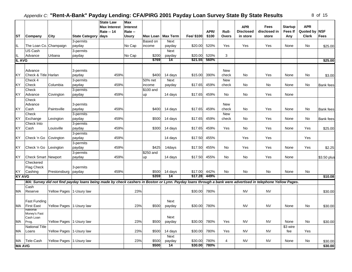| 8 | οf | 15 |
|---|----|----|
|---|----|----|

|               |                            |                           |                                                                                                                                                            | <b>State Law</b>                         | Max                        |           |                     |              |       |                     |                                |                             |                           |                             |                  |
|---------------|----------------------------|---------------------------|------------------------------------------------------------------------------------------------------------------------------------------------------------|------------------------------------------|----------------------------|-----------|---------------------|--------------|-------|---------------------|--------------------------------|-----------------------------|---------------------------|-----------------------------|------------------|
|               |                            |                           |                                                                                                                                                            | <b>Max Interest</b><br><b>Rate -- 14</b> | <b>Interest</b><br>Rate -- |           |                     |              | APR/  | Roll-               | <b>APR</b><br><b>Disclosed</b> | <b>Fees</b><br>disclosed in | <b>Startup</b><br>Fees If | <b>APR</b><br>Quoted by NSF |                  |
| <b>ST</b>     | Company                    | City                      | <b>State Category</b>                                                                                                                                      | days                                     | Usury                      |           | Max Loan   Max Term | Fee/ \$100   | \$100 | <b>Overs</b>        | in store                       | store                       | Any                       | <b>Clerk</b>                | <b>Fees</b>      |
|               |                            |                           | 3-permits                                                                                                                                                  |                                          |                            | Based on  | Next                |              |       |                     |                                |                             |                           |                             |                  |
| IL            | The Loan Co. Champaign     |                           | payday                                                                                                                                                     |                                          | No Cap                     | income    | payday              | \$20.00      | 520%  | Yes                 | Yes                            | Yes                         | None                      | No                          | \$25.00          |
|               | US Cash                    |                           | 3-permits                                                                                                                                                  |                                          |                            |           | Next                |              |       |                     |                                |                             |                           |                             |                  |
| IL.           | Advance                    | Urbana                    | payday                                                                                                                                                     |                                          | No Cap                     | \$200     | payday              | \$20.00      | 520%  | 3                   |                                |                             |                           |                             |                  |
| <b>IL AVG</b> |                            |                           |                                                                                                                                                            |                                          |                            | \$769     | 14                  | \$21.55      | 560%  |                     |                                |                             |                           |                             | \$25.00          |
|               |                            |                           |                                                                                                                                                            |                                          |                            |           |                     |              |       |                     |                                |                             |                           |                             |                  |
|               | Advance                    |                           | 3-permits                                                                                                                                                  |                                          |                            |           |                     |              |       | New                 |                                |                             |                           |                             |                  |
| KY            | Check & Title Harlan       |                           | payday                                                                                                                                                     | 459%                                     |                            | \$400     | 14 days             | \$15.00      | 390%  | check               | No.                            | Yes                         | None                      | No                          | \$3.00           |
|               | Check 4                    |                           | 3-permits                                                                                                                                                  |                                          |                            | 50% net   | Next                |              |       | New                 |                                |                             |                           |                             |                  |
| KY            | Check                      | Columbia                  | payday                                                                                                                                                     | 459%                                     |                            | income    | payday              | \$17.65      | 459%  | check               | No                             | No                          | None                      | No                          | <b>Bank</b> fees |
|               | Check                      |                           | 3-permits                                                                                                                                                  |                                          |                            | \$100 and |                     |              |       |                     |                                |                             |                           |                             |                  |
| ΚY            | Advance                    | Covington                 | payday                                                                                                                                                     | 459%                                     |                            | up        | 14 days             | \$17.65      | 459%  | No                  | <b>No</b>                      | Yes                         | None                      |                             |                  |
|               |                            |                           |                                                                                                                                                            |                                          |                            |           |                     |              |       |                     |                                |                             |                           |                             |                  |
|               | Check                      |                           |                                                                                                                                                            |                                          |                            |           |                     |              |       |                     |                                |                             |                           |                             |                  |
| KY            | Advance<br>Cash            | Paintsville               | 3-permits                                                                                                                                                  | 459%                                     |                            | \$400     |                     | \$17.65      | 459%  | New<br>check        | No                             | Yes                         | None                      | No                          |                  |
|               |                            |                           | payday                                                                                                                                                     |                                          |                            |           | 14 days             |              |       |                     |                                |                             |                           |                             | <b>Bank</b> fees |
| KY            | Check                      |                           | 3-permits                                                                                                                                                  | 459%                                     |                            | \$500     |                     |              | 459%  | <b>New</b><br>check | <b>No</b>                      |                             |                           |                             |                  |
|               | Exchange                   | Lexington                 | payday                                                                                                                                                     |                                          |                            |           | 14 days             | \$17.65      |       |                     |                                | Yes                         | None                      | No                          | Bank fees        |
|               | Check Into                 |                           | 3-permits                                                                                                                                                  |                                          |                            |           |                     |              |       |                     |                                |                             |                           |                             |                  |
| KY            | Cash                       | Louisville                | payday                                                                                                                                                     | 459%                                     |                            | \$300     | 14 days             | \$17.65      | 459%  | Yes                 | No.                            | Yes                         | None                      | Yes                         | \$25.00          |
|               |                            |                           | 3-permits                                                                                                                                                  |                                          |                            |           |                     |              |       |                     |                                |                             |                           |                             |                  |
| ΚY            | Check 'n Go   Covington    |                           | payday                                                                                                                                                     | 459%                                     |                            |           | 14 days             | \$17.50      | 455%  |                     | Yes                            | Yes                         |                           | Yes                         |                  |
|               |                            |                           | 3-permits                                                                                                                                                  |                                          |                            |           |                     |              |       |                     |                                |                             |                           |                             |                  |
| ΚY            | Check 'n Go Lexington      |                           | payday                                                                                                                                                     | 459%                                     |                            | \$425     | 14days              | \$17.50      | 455%  | No                  | Yes                            | Yes                         | None                      | Yes                         | \$2.25           |
|               |                            |                           | 3-permits                                                                                                                                                  |                                          |                            | \$250 and |                     |              |       |                     |                                |                             |                           |                             |                  |
| KY.           | <b>Check Smart Newport</b> |                           | payday                                                                                                                                                     | 459%                                     |                            | up        | 14 days             | \$17.50      | 455%  | No                  | No                             | Yes                         | None                      |                             | \$3.50 plus      |
|               | Checkered                  |                           |                                                                                                                                                            |                                          |                            |           |                     |              |       |                     |                                |                             |                           |                             |                  |
|               | Flag Check                 |                           | 3-permits                                                                                                                                                  |                                          |                            |           |                     |              |       |                     |                                |                             |                           |                             |                  |
| KY            | Cashing                    | Prestonsburg payday       |                                                                                                                                                            | 459%                                     |                            | \$500     | 14 days             | \$17.00      | 442%  | No                  | No                             | No                          | None                      | No                          |                  |
| <b>KY AVG</b> |                            |                           |                                                                                                                                                            |                                          |                            | \$359     | 14                  | \$17.28      | 449%  |                     |                                |                             |                           |                             | \$10.08          |
|               |                            |                           | MA: Survey did not find payday loans being made by check cashers in Boston or Lynn. Payday loans through a bank were advertised in telephone Yellow Pages. |                                          |                            |           |                     |              |       |                     |                                |                             |                           |                             |                  |
|               | Cash                       |                           |                                                                                                                                                            |                                          |                            |           |                     |              |       |                     |                                |                             |                           |                             |                  |
| MA            | Reserve                    | Yellow Pages 1-Usury law  |                                                                                                                                                            |                                          | 23%                        |           |                     | \$30.00      | 780%  |                     | <b>NV</b>                      | <b>NV</b>                   |                           |                             | \$30.00          |
|               |                            |                           |                                                                                                                                                            |                                          |                            |           |                     |              |       |                     |                                |                             |                           |                             |                  |
|               | <b>Fast Funding</b>        |                           |                                                                                                                                                            |                                          |                            |           | Next                |              |       |                     |                                |                             |                           |                             |                  |
| MA            | <b>First East</b>          | Yellow Pages 1-Usury law  |                                                                                                                                                            |                                          | 23%                        | \$500     | payday              | \$30.00      | 780%  |                     | <b>NV</b>                      | <b>NV</b>                   | None                      | No                          | \$30.00          |
|               | National                   |                           |                                                                                                                                                            |                                          |                            |           |                     |              |       |                     |                                |                             |                           |                             |                  |
|               | Money's Fast               |                           |                                                                                                                                                            |                                          |                            |           | Next                |              |       |                     |                                |                             |                           |                             |                  |
| MA            | Cash Loan                  |                           |                                                                                                                                                            |                                          | 23%                        | \$500     |                     | \$30.00      | 780%  | Yes                 | <b>NV</b>                      | <b>NV</b>                   | None                      | No                          |                  |
|               | Prog.                      | Yellow Pages 1-Usury law  |                                                                                                                                                            |                                          |                            |           | payday              |              |       |                     |                                |                             |                           |                             | \$30.00          |
|               | National Title             |                           |                                                                                                                                                            |                                          |                            |           |                     |              |       |                     |                                |                             | \$3 wire                  |                             |                  |
| МA            | Loans                      | Yellow Pages 1-Usury law  |                                                                                                                                                            |                                          | 23%                        | \$500     | 14 days             | \$30.00      | 780%  | Yes                 | <b>NV</b>                      | NV                          | fee                       | Yes                         |                  |
|               |                            |                           |                                                                                                                                                            |                                          |                            |           | Next                |              |       |                     |                                |                             |                           |                             |                  |
| MA            | Tele-Cash                  | Yellow Pages  1-Usury law |                                                                                                                                                            |                                          | 23%                        | \$500     | payday              | \$30.00      | 780%  | 4                   | <b>NV</b>                      | <b>NV</b>                   | None                      | No                          | \$30.00          |
| <b>MA AVG</b> |                            |                           |                                                                                                                                                            |                                          |                            | \$500     | 14                  | \$30.00 780% |       |                     |                                |                             |                           |                             | \$30.00          |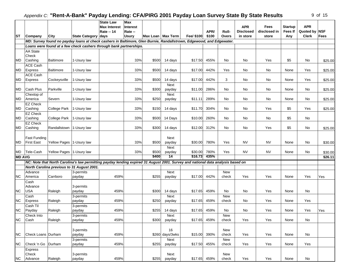|               |                       |                           |                                                                                                                                 | <b>State Law</b><br><b>Max Interest</b> | <b>Max</b><br><b>Interest</b> |                     |                 |              |       |                     | <b>APR</b>       | Fees         | <b>Startup</b> | <b>APR</b>    |                     |
|---------------|-----------------------|---------------------------|---------------------------------------------------------------------------------------------------------------------------------|-----------------------------------------|-------------------------------|---------------------|-----------------|--------------|-------|---------------------|------------------|--------------|----------------|---------------|---------------------|
|               |                       |                           |                                                                                                                                 | <b>Rate -- 14</b>                       | Rate --                       |                     |                 |              | APR/  | Roll-               | <b>Disclosed</b> | disclosed in | Fees If        | Quoted by NSF |                     |
| <b>ST</b>     | Company               | City                      | State Category days                                                                                                             |                                         | <b>Usury</b>                  | Max Loan   Max Term |                 | Fee/ \$100   | \$100 | <b>Overs</b>        | in store         | store        | Any            | <b>Clerk</b>  | <b>Fees</b>         |
|               |                       |                           | MD: Survey found no payday loans at check cashers in Baltimore, Glen Burnie, Randallstrown, Edgewood, and Edgewater.            |                                         |                               |                     |                 |              |       |                     |                  |              |                |               |                     |
|               |                       |                           | Loans were found at a few check cashers through bank partnerships.                                                              |                                         |                               |                     |                 |              |       |                     |                  |              |                |               |                     |
|               | <b>AA State</b>       |                           |                                                                                                                                 |                                         |                               |                     |                 |              |       |                     |                  |              |                |               |                     |
|               | Check                 |                           |                                                                                                                                 |                                         |                               |                     |                 |              |       |                     |                  |              |                |               |                     |
| MD            | Cashing               | <b>Baltimore</b>          | 1-Usury law                                                                                                                     |                                         | 33%                           | \$500               | 14 days         | \$17.50      | 455%  | No                  | No               | Yes          | \$5            | No            | \$25.00             |
|               | <b>ACE Cash</b>       |                           |                                                                                                                                 |                                         |                               |                     |                 |              |       |                     |                  |              |                |               |                     |
| MD            | Express               | <b>Baltimore</b>          | 1-Usury law                                                                                                                     |                                         | 33%                           | \$500               | 14 days         | \$17.00      | 442%  | Yes                 | No               | <b>No</b>    | None           | Yes           | \$25.00             |
|               | <b>ACE Cash</b>       |                           |                                                                                                                                 |                                         |                               |                     |                 |              |       |                     |                  |              |                |               |                     |
| <b>MD</b>     | Express               | Cockeysville              | 1-Usury law                                                                                                                     |                                         | 33%                           | \$500               | 14 days         | \$17.00      | 442%  | 3                   | No               | <b>No</b>    | None           | Yes           | \$25.00             |
|               |                       |                           |                                                                                                                                 |                                         |                               |                     | Next            |              |       |                     |                  |              |                |               |                     |
| <b>MD</b>     | <b>Cash Plus</b>      | Parkville                 | 1-Usury law                                                                                                                     |                                         | 33%                           | \$300               | payday          | \$11.00      | 286%  | No                  | No               | No           | None           | No            | \$25.00             |
| <b>MD</b>     | Chextop of<br>America |                           |                                                                                                                                 |                                         | 33%                           | \$250               | Next            | \$11.11      | 289%  | No                  |                  | No           |                | No            |                     |
|               | <b>EZ Check</b>       | Severn                    | 1-Usury law                                                                                                                     |                                         |                               |                     | payday          |              |       |                     | No               |              | None           |               | \$25.00             |
| MD            | Cashing               | College Park              | 1-Usury law                                                                                                                     |                                         | 33%                           | \$150               | 14 days         | \$11.70      | 304%  | No                  | No               | Yes          | \$5            | Yes           | \$25.00             |
|               | <b>EZ Check</b>       |                           |                                                                                                                                 |                                         |                               |                     |                 |              |       |                     |                  |              |                |               |                     |
| MD            | Cashing               | <b>College Park</b>       | 1-Usury law                                                                                                                     |                                         | 33%                           | \$500               | 14 Days         | \$10.00      | 260%  | No                  | No               | No           | \$5            | No            |                     |
|               | <b>EZ Check</b>       |                           |                                                                                                                                 |                                         |                               |                     |                 |              |       |                     |                  |              |                |               |                     |
| MD            | Cashing               | Randallstown 1-Usury law  |                                                                                                                                 |                                         | 33%                           | \$300               | 14 days         | \$12.00      | 312%  | No                  | No               | Yes          | \$5            | No            | \$25.00             |
|               |                       |                           |                                                                                                                                 |                                         |                               |                     |                 |              |       |                     |                  |              |                |               |                     |
|               | <b>Fast Funding</b>   |                           |                                                                                                                                 |                                         |                               |                     | Next            |              |       |                     |                  |              |                |               |                     |
| MD            | <b>First East</b>     | Yellow Pages  1-Usury law |                                                                                                                                 |                                         | 33%                           | \$500               | payday          | \$30.00      | 780%  | Yes                 | <b>NV</b>        | <b>NV</b>    | None           | No            | \$30.00             |
|               |                       |                           |                                                                                                                                 |                                         |                               |                     | Next            |              |       |                     |                  |              |                |               |                     |
| MD            | Tele-Cash             | Yellow Pages  1-Usury law |                                                                                                                                 |                                         | 33%                           | \$500               | payday          | \$30.00      | 780%  | Yes                 | NV               | <b>NV</b>    | None           | No            | \$30.00             |
| <b>MD AVG</b> |                       |                           |                                                                                                                                 |                                         |                               | \$400               | 14              | \$16.73      | 435%  |                     |                  |              |                |               | $\overline{$}26.11$ |
|               |                       |                           | NC: Note that North Carolina's law permitting payday lending expired 31 August 2001. Survey and national data analysis based on |                                         |                               |                     |                 |              |       |                     |                  |              |                |               |                     |
|               |                       |                           | North Carolina previous to 31 August 2001.                                                                                      |                                         |                               |                     |                 |              |       |                     |                  |              |                |               |                     |
|               | Advance               |                           | 3-permits                                                                                                                       |                                         |                               |                     | Next            |              |       | <b>New</b>          |                  |              |                |               |                     |
| <b>NC</b>     | America               | Carrboro                  | payday                                                                                                                          | 459%                                    |                               | \$255               | payday          | \$17.00      | 442%  | check               | Yes              | Yes          | None           | Yes           | Yes                 |
|               | Cash                  |                           |                                                                                                                                 |                                         |                               |                     |                 |              |       |                     |                  |              |                |               |                     |
|               | Advance               |                           | 3-permits                                                                                                                       |                                         |                               |                     |                 |              |       |                     |                  |              |                |               |                     |
| <b>NC</b>     | <b>USA</b>            | Raleigh                   | payday                                                                                                                          | 459%                                    |                               | \$300               | 14 days         | \$17.65      | 459%  | No                  | No               | Yes          | None           | No            |                     |
|               | Cash                  |                           | 3-permits                                                                                                                       |                                         |                               |                     | Next            |              |       | <b>New</b>          |                  |              |                |               |                     |
| <b>NC</b>     | <b>Express</b>        | Raleigh                   | payday                                                                                                                          | 459%                                    |                               | \$250               | payday          | \$17.65      | 459%  | check               | No               | Yes          | None           | Yes           |                     |
|               | Cash Til              |                           | 3-permits                                                                                                                       |                                         |                               |                     |                 |              |       |                     |                  |              |                |               |                     |
| <b>NC</b>     | Payday                | Raleigh                   | payday                                                                                                                          | 459%                                    |                               | \$255               | 14 days<br>Next | \$17.65      | 459%  | No                  | No               | Yes          | None           | Yes           | Yes                 |
| NC            | Check Into<br>Cash    | Raleigh                   | 3-permits<br>payday                                                                                                             | 459%                                    |                               | \$300               | payday          | \$17.65      | 459%  | <b>New</b><br>check | Yes              | Yes          | None           | No            |                     |
|               |                       |                           |                                                                                                                                 |                                         |                               |                     |                 |              |       |                     |                  |              |                |               |                     |
|               |                       |                           | 3-permits                                                                                                                       |                                         |                               |                     | 16              |              |       | New                 |                  |              |                |               |                     |
| <b>NC</b>     | Check Loans Durham    |                           | payday                                                                                                                          | 459%                                    |                               |                     | \$260 days/3wks | \$15.00      | 390%  | check               | Yes              | Yes          | None           | No            |                     |
|               |                       |                           | 3-permits                                                                                                                       |                                         |                               |                     | Next            |              |       | New                 |                  |              |                |               |                     |
| <b>NC</b>     | Check 'n Go   Durham  |                           | payday                                                                                                                          | 459%                                    |                               | \$255               | payday          | \$17.50      | 455%  | check               | Yes              | Yes          | None           | Yes           |                     |
|               | Express               |                           |                                                                                                                                 |                                         |                               |                     |                 |              |       |                     |                  |              |                |               |                     |
|               | Check                 |                           | 3-permits                                                                                                                       |                                         |                               |                     | Next            |              |       | <b>New</b>          |                  |              |                |               |                     |
| NC            | Advance               | Raleigh                   | payday                                                                                                                          | 459%                                    |                               | \$255               | payday          | \$17.65 459% |       | check               | Yes              | Yes          | None           | No            |                     |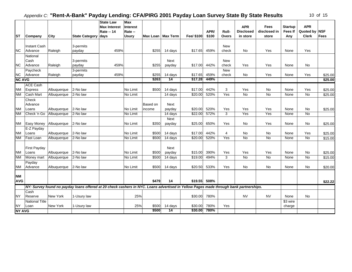| <b>ST</b>               | Company                             | City                       | <b>State Category</b>                                                                                                                 | <b>State Law</b><br><b>Max Interest</b><br><b>Rate -- 14</b><br>days | Max<br><b>Interest</b><br>Rate --<br><b>Usury</b> |                | Max Loan   Max Term       | Fee/ \$100         | APR/<br>\$100 | Roll-<br><b>Overs</b> | <b>APR</b><br><b>Disclosed</b><br>in store | <b>Fees</b><br>disclosed in<br>store | <b>Startup</b><br><b>Fees If</b><br>Any | <b>APR</b><br>Quoted by NSF<br><b>Clerk</b> | Fees                           |
|-------------------------|-------------------------------------|----------------------------|---------------------------------------------------------------------------------------------------------------------------------------|----------------------------------------------------------------------|---------------------------------------------------|----------------|---------------------------|--------------------|---------------|-----------------------|--------------------------------------------|--------------------------------------|-----------------------------------------|---------------------------------------------|--------------------------------|
|                         | <b>Instant Cash</b>                 |                            | 3-permits                                                                                                                             |                                                                      |                                                   |                |                           |                    |               | <b>New</b>            |                                            |                                      |                                         |                                             |                                |
| <b>NC</b>               | Advance                             | Raleigh                    | payday                                                                                                                                | 459%                                                                 |                                                   | \$255          | 14 days                   | \$17.65            | 459%          | check                 | No                                         | Yes                                  | None                                    | Yes                                         |                                |
|                         | National<br>Cash                    |                            | 3-permits                                                                                                                             |                                                                      |                                                   |                | Next                      |                    |               | New                   |                                            |                                      |                                         |                                             |                                |
| <b>NC</b>               | Advance                             | Raleigh                    | payday<br>3-permits                                                                                                                   | 459%                                                                 |                                                   | \$255          | payday                    | \$17.00            | 442%          | check<br><b>New</b>   | Yes                                        | Yes                                  | None                                    | No                                          |                                |
| <b>NC</b>               | Paycheck<br>Advance                 | Raleigh                    | payday                                                                                                                                | 459%                                                                 |                                                   | \$255          | 14 days                   | \$17.65            | 459%          | check                 | No                                         | Yes                                  | None                                    | Yes                                         | \$25.00                        |
| <b>NC AVG</b>           |                                     |                            |                                                                                                                                       |                                                                      |                                                   | \$263          | 14                        | \$17.28            | 449%          |                       |                                            |                                      |                                         |                                             | \$25.00                        |
|                         | <b>ACE Cash</b>                     |                            |                                                                                                                                       |                                                                      |                                                   |                |                           |                    |               |                       |                                            |                                      |                                         |                                             |                                |
| <b>NM</b>               | Express                             | Albuquerque                | 2-No law                                                                                                                              |                                                                      | No Limit                                          | \$500          | 14 days                   | \$17.00            | 442%          | 3                     | Yes                                        | <b>No</b>                            | None                                    | Yes                                         | \$25.00                        |
| <b>NM</b>               | <b>Cash Mart</b>                    | Albuquerque                | 2-No law                                                                                                                              |                                                                      | No Limit                                          |                | 14 days                   | \$20.00            | 520%          | Yes                   | $\overline{N}$                             | $\overline{N}$                       | None                                    | No                                          | \$25.00                        |
|                         | Check<br>Advance                    |                            |                                                                                                                                       |                                                                      |                                                   | Based on       | <b>Next</b>               |                    |               |                       |                                            |                                      |                                         |                                             |                                |
| <b>NM</b>               | Loans                               | Albuquerque                | 2-No law                                                                                                                              |                                                                      | No Limit                                          | income         | payday                    | \$20.00            | 520%          | Yes                   | Yes<br>Yes                                 | Yes                                  | None                                    | No                                          | \$25.00                        |
| <b>NN</b>               | Check 'n Go                         | Albuquerque                | 2-No law                                                                                                                              |                                                                      | No Limit                                          |                | 14 days                   | \$22.00            | 572%          | 3                     |                                            | Yes                                  | None                                    | No                                          |                                |
| <b>NM</b>               | <b>Easy Money</b>                   | Albuquerque                | 2-No law                                                                                                                              |                                                                      | No Limit                                          | \$350          | Next<br>payday            | \$25.00            | 650%          | Yes                   | No                                         | Yes                                  | None                                    | No                                          | \$25.00                        |
| <b>NM</b>               | E-Z Payday<br>Loans                 | Albuquerque                | 2-No law                                                                                                                              |                                                                      | No Limit                                          | \$500          | 14 days                   | \$17.00            | 442%          | $\overline{4}$        | No                                         | No                                   | None                                    | Yes                                         | \$25.00                        |
| <b>NM</b>               | <b>Fast Loan</b>                    | Albuquerque                | 2-No law                                                                                                                              |                                                                      | No Limit                                          | \$500          | 14 days                   | \$20.00            | 520%          | Yes                   | No                                         | No                                   | None                                    | No                                          | \$15.00                        |
| <b>NM</b><br><b>NM</b>  | First Payday<br>Loans<br>Money mart | Albuquerque<br>Albuquerque | 2-No law<br>2-No law                                                                                                                  |                                                                      | No Limit<br>No Limit                              | \$500<br>\$500 | Next<br>payday<br>14 days | \$15.00<br>\$19.00 | 390%<br>494%  | Yes<br>3              | Yes<br>$\overline{N}$                      | Yes<br>$\overline{N}$                | None<br>None                            | No<br>No                                    | \$25.00<br>$\overline{$}15.00$ |
| <b>NM</b>               | Payday<br>Advance                   | Albuquerque                | 2-No law                                                                                                                              |                                                                      | No Limit                                          | \$500          | 14 days                   | \$20.50            | 533%          | Yes                   | No                                         | <b>No</b>                            | None                                    | No                                          | \$20.00                        |
| <b>NM</b><br><b>AVG</b> |                                     |                            |                                                                                                                                       |                                                                      |                                                   | \$479          | 14                        | \$19.55            | 508%          |                       |                                            |                                      |                                         |                                             | \$22.22                        |
|                         |                                     |                            | NY: Survey found no payday loans offered at 20 check cashers in NYC. Loans advertised in Yellow Pages made through bank partnerships. |                                                                      |                                                   |                |                           |                    |               |                       |                                            |                                      |                                         |                                             |                                |
| <b>NY</b>               | Cash<br>Reserve                     | New York                   | 1-Usury law                                                                                                                           |                                                                      | 25%                                               |                |                           | \$30.00            | 780%          |                       | <b>NV</b>                                  | <b>NV</b>                            | None                                    | No                                          |                                |
| <b>NY</b>               | <b>National Title</b><br>Loan       | New York                   | 1-Usury law                                                                                                                           |                                                                      | 25%                                               | \$500          | 14 days                   | \$30.00            | 780%          | Yes                   |                                            |                                      | \$3 wire<br>charge                      |                                             |                                |
| <b>NY AVG</b>           |                                     |                            |                                                                                                                                       |                                                                      |                                                   | \$500          | 14                        | \$30.00            | 780%          |                       |                                            |                                      |                                         |                                             |                                |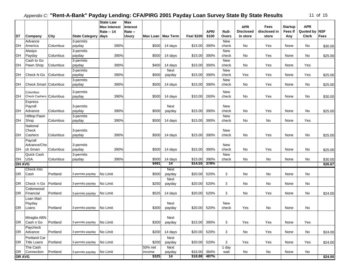|               |                             |          |                       | <b>State Law</b><br><b>Max Interest</b> | <b>Max</b><br><b>Interest</b> |         |                     |            |       |              | <b>APR</b>       | Fees         | <b>Startup</b> | <b>APR</b>    |             |
|---------------|-----------------------------|----------|-----------------------|-----------------------------------------|-------------------------------|---------|---------------------|------------|-------|--------------|------------------|--------------|----------------|---------------|-------------|
|               |                             |          |                       | <b>Rate -- 14</b>                       | Rate --                       |         |                     |            | APR/  | Roll-        | <b>Disclosed</b> | disclosed in | Fees If        | Quoted by NSF |             |
| <b>ST</b>     | Company                     | City     | <b>State Category</b> | days                                    | <b>Usury</b>                  |         | Max Loan   Max Term | Fee/ \$100 | \$100 | Overs        | in store         | store        | Any            | <b>Clerk</b>  | <b>Fees</b> |
|               | Advance                     |          | 3-permits             |                                         |                               |         |                     |            |       | <b>New</b>   |                  |              |                |               |             |
| OH            | America                     | Columbus | payday                | 390%                                    |                               | \$500   | 14 days             | \$15.00    | 390%  | check        | No               | Yes          | None           | No            | \$30.00     |
|               | Always                      |          | 3-permits             |                                         |                               |         |                     |            |       | <b>New</b>   |                  | Yes          |                |               |             |
| OH            | Payday                      | Columbus | payday                | 390%                                    |                               | \$500   | 14 days             | \$15.00    | 390%  | check        | No               |              | None           | No            | \$25.00     |
|               | Cash to Go<br>Pawn Shop     | Columbus | 3-permits             | 390%                                    |                               | \$400   | 14 days             | \$15.00    | 390%  | New<br>check | No               | Yes          | None           | Yes           |             |
| OН            |                             |          | payday<br>3-permits   |                                         |                               |         | Next                |            |       | <b>New</b>   |                  |              |                |               |             |
| OH            | Check N Go                  | Columbus | payday                | 390%                                    |                               | \$500   | payday              | \$15.00    | 390%  | check        | Yes              | Yes          | None           | Yes           | \$25.00     |
|               |                             |          | 3-permits             |                                         |                               |         |                     |            |       | <b>New</b>   |                  |              |                |               |             |
| OН            | <b>Check Smart Columbus</b> |          | payday                | 390%                                    |                               | \$500   | 14 days             | \$15.00    | 390%  | check        | No               | Yes          | None           | No            | \$25.00     |
|               |                             |          |                       |                                         |                               |         |                     |            |       |              |                  |              |                |               |             |
|               | Columbus                    |          | 3-permits             |                                         |                               |         |                     |            |       | New          |                  |              |                |               |             |
| OH            | Check Cashers Columbus      |          | payday                | 390%                                    |                               | \$500   | 14 days             | \$10.00    | 260%  | check        | No               | Yes          | None           | No            | \$30.00     |
|               | Express                     |          |                       |                                         |                               |         |                     |            |       |              |                  |              |                |               |             |
|               | Payroll                     |          | 3-permits             |                                         |                               |         | Next                |            |       | New          |                  |              |                |               |             |
| OH            | Advance                     | Columbus | payday                | 390%                                    |                               | \$500   | payday              | \$15.00    | 390%  | check        | No               | Yes          | None           | No            | \$25.00     |
|               | <b>Hilltop Pawn</b>         |          | 3-permits             |                                         |                               |         |                     |            |       | <b>New</b>   |                  |              |                |               |             |
| OH            | Shop                        | Columbus | payday                | 390%                                    |                               | \$500   | 14 days             | \$15.00    | 390%  | check        | No               | No           | None           | Yes           |             |
|               | National                    |          |                       |                                         |                               |         |                     |            |       |              |                  |              |                |               |             |
| <b>OH</b>     | Check                       |          | 3-permits             | 390%                                    |                               |         | 14 days             |            | 390%  | New<br>check |                  | Yes          |                |               |             |
|               | Cashers                     | Columbus | payday                |                                         |                               | \$500   |                     | \$15.00    |       |              | No               |              | None           | No            | \$25.00     |
|               | Payroll<br>Advance/Che      |          |                       |                                         |                               |         |                     |            |       |              |                  |              |                |               |             |
| OH            | ck Smart                    | Columbus | 3-permits<br>payday   | 390%                                    |                               | \$500   | 14 days             | \$15.00    | 390%  | New<br>check | No               | Yes          | None           | No            | \$25.00     |
|               | Quick Cash                  |          | 3-permits             |                                         |                               |         |                     |            |       | <b>New</b>   |                  |              |                |               |             |
| OH            | USA                         | Columbus | payday                | 390%                                    |                               | \$500   | 14 days             | \$15.00    | 390%  | check        | No               | No           | None           | No            | \$30.00     |
| <b>OH AVG</b> |                             |          |                       |                                         |                               | \$491   | 14                  | \$14.55    | 378%  |              |                  |              |                |               | \$26.67     |
|               | Check Into                  |          |                       |                                         |                               |         | <b>Next</b>         |            |       |              |                  |              |                |               |             |
| OR            | Cash                        | Portland | 3-permits payday      | No Limit                                |                               | \$500   | payday              | \$20.00    | 520%  | 3            | No               | No           | None           | No            |             |
|               |                             |          |                       |                                         |                               |         | <b>Next</b>         |            |       |              |                  |              |                |               |             |
| OR            | Check 'n Go                 | Portland | 3-permits payday      | No Limit                                |                               | \$250   | payday              | \$20.00    | 520%  | 3            | No               | No           | None           | No            |             |
|               | Cottonwood                  |          |                       |                                         |                               |         |                     |            |       |              |                  |              |                |               |             |
| OR.           | Financial                   | Portland | 3-permits payday      | No Limit                                |                               | \$525   | 14 days             | \$20.00    | 520%  | 3            | No               | Yes          | None           | No            | \$24.00     |
|               | Loan Mart                   |          |                       |                                         |                               |         |                     |            |       |              |                  |              |                |               |             |
|               | Payday                      |          |                       |                                         |                               |         | Next                |            |       | New          |                  |              |                |               |             |
| <b>OR</b>     | Loans                       | Portland | 3-permits payday      | No Limit                                |                               | \$300   | payday              | \$20.00    | 520%  | check        | Yes              | No           | None           | No            |             |
|               |                             |          |                       |                                         |                               |         |                     |            |       |              |                  |              |                |               |             |
|               | Miraglia ABN                |          |                       |                                         |                               |         | Next                |            |       |              |                  |              |                |               |             |
| OR            | Cash n Go                   | Portland | 3-permits payday      | No Limit                                |                               | \$300   | payday              | \$15.00    | 390%  | 3            | Yes              | Yes          | None           | Yes           |             |
|               | Paycheck                    |          |                       |                                         |                               |         |                     |            |       |              |                  |              |                |               |             |
| OR            | Advance                     | Portland | 3-permits payday      | No Limit                                |                               | \$200   | 14 days             | \$20.00    | 520%  | 3            | No               | Yes          | None           | No            | \$24.00     |
|               | <b>Portland Car</b>         |          |                       |                                         |                               |         | Next                |            |       |              |                  |              |                |               |             |
| OR.           | <b>Title Loans</b>          | Portland | 3-permits payday      | No Limit                                |                               | \$200   | payday              | \$20.00    | 520%  | 3            | Yes              | Yes          | None           | Yes           | \$24.00     |
|               | The Cash                    |          |                       |                                         |                               | 50% net | Next                |            |       | 1 day        |                  |              |                |               |             |
|               | OR Connection               | Portland | 3-permits payday      | No Limit                                |                               | income  | payday              | \$16.00    | 384%  | wait         | No               | No           | None           | No            |             |
| <b>OR AVG</b> |                             |          |                       |                                         |                               | \$325   | 14                  | \$18.88    | 487%  |              |                  |              |                |               | \$24.00     |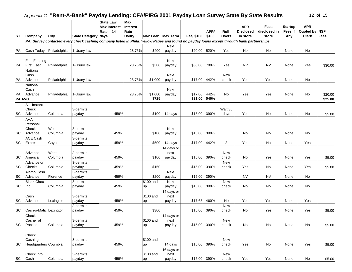|               |                        |              |                                                                                                                                            | <b>State Law</b><br><b>Max Interest</b> | <b>Max</b><br><b>Interest</b> |           |                     |            |       |            | <b>APR</b>       | <b>Fees</b>  | <b>Startup</b> | <b>APR</b>    |                    |
|---------------|------------------------|--------------|--------------------------------------------------------------------------------------------------------------------------------------------|-----------------------------------------|-------------------------------|-----------|---------------------|------------|-------|------------|------------------|--------------|----------------|---------------|--------------------|
|               |                        |              |                                                                                                                                            | <b>Rate -- 14</b>                       | Rate --                       |           |                     |            | APR/  | Roll-      | <b>Disclosed</b> | disclosed in | Fees If        | Quoted by     | <b>NSF</b>         |
| <b>ST</b>     | Company                | City         | State Category days                                                                                                                        |                                         | <b>Usury</b>                  |           | Max Loan   Max Term | Fee/ \$100 | \$100 | Overs      | in store         | store        | Any            | <b>Clerk</b>  | <b>Fees</b>        |
|               |                        |              | PA: Survey contacted every check cashing company listed in Phila. Yellow Pages and found no payday loans except through bank partnerships. |                                         |                               |           |                     |            |       |            |                  |              |                |               |                    |
|               |                        |              |                                                                                                                                            |                                         |                               |           | Next                |            |       |            |                  |              |                |               |                    |
| PA            | Cash Today             | Philadelphia | 1-Usury law                                                                                                                                |                                         | 23.75%                        | \$400     | payday              | \$20.00    | 520%  | Yes        | No               | No           | None           | No            |                    |
|               |                        |              |                                                                                                                                            |                                         |                               |           |                     |            |       |            |                  |              |                |               |                    |
|               | <b>Fast Funding</b>    |              |                                                                                                                                            |                                         |                               |           | Next                |            |       |            |                  |              |                |               |                    |
| PA            | <b>First East</b>      | Philadelphia | 1-Usury law                                                                                                                                |                                         | 23.75%                        | \$500     | payday              | \$30.00    | 780%  | Yes        | <b>NV</b>        | <b>NV</b>    | None           | Yes           | \$30.00            |
|               | National               |              |                                                                                                                                            |                                         |                               |           |                     |            |       |            |                  |              |                |               |                    |
|               | Cash                   |              |                                                                                                                                            |                                         |                               |           | Next                |            |       | New        |                  |              |                |               |                    |
| PA            | Advance                | Philadelphia | 1-Usury law                                                                                                                                |                                         | 23.75%                        | \$1,000   | payday              | \$17.00    | 442%  | check      | Yes              | Yes          | None           | No            |                    |
|               | National               |              |                                                                                                                                            |                                         |                               |           |                     |            |       |            |                  |              |                |               |                    |
| PA            | Cash<br>Advance        | Philadelphia | 1-Usury law                                                                                                                                |                                         | 23.75%                        | \$1,000   | Next                | \$17.00    | 442%  | No         | Yes              | Yes          | None           | No            |                    |
| <b>PA AVG</b> |                        |              |                                                                                                                                            |                                         |                               | \$725     | payday              | \$21.00    | 546%  |            |                  |              |                |               | \$20.00<br>\$25.00 |
|               |                        |              |                                                                                                                                            |                                         |                               |           |                     |            |       |            |                  |              |                |               |                    |
|               | A-1 Instant<br>Check   |              | 3-permits                                                                                                                                  |                                         |                               |           |                     |            |       | Wait 30    |                  |              |                |               |                    |
| <b>SC</b>     | Advance                | Columbia     | payday                                                                                                                                     | 459%                                    |                               | \$100     | 14 days             | \$15.00    | 390%  | days       | Yes              | No           | None           | No            | \$5.00             |
|               | <b>AAA</b>             |              |                                                                                                                                            |                                         |                               |           |                     |            |       |            |                  |              |                |               |                    |
|               | Personal               |              |                                                                                                                                            |                                         |                               |           |                     |            |       |            |                  |              |                |               |                    |
|               | Check                  | West         | 3-permits                                                                                                                                  |                                         |                               |           | Next                |            |       |            |                  |              |                |               |                    |
| <b>SC</b>     | Advance                | Columbia     | payday                                                                                                                                     | 459%                                    |                               | \$100     | payday              | \$15.00    | 390%  |            | No               | No           | None           | No            |                    |
|               | <b>ACE Cash</b>        |              | 3-permits                                                                                                                                  |                                         |                               |           |                     |            |       |            |                  |              |                |               |                    |
| <b>SC</b>     | Express                | Cayce        | payday                                                                                                                                     | 459%                                    |                               | \$500     | 14 days             | \$17.00    | 442%  | 3          | Yes              | No           | None           | Yes           |                    |
|               |                        |              |                                                                                                                                            |                                         |                               |           | 14 days or          |            |       |            |                  |              |                |               |                    |
|               | Advance                | West         | 3-permits                                                                                                                                  |                                         |                               |           | next                |            |       | New        |                  |              |                |               |                    |
| <b>SC</b>     | America                | Columbia     | payday                                                                                                                                     | 459%                                    |                               | \$100     | payday              | \$15.00    | 390%  | check      | No               | Yes          | None           | Yes           | \$5.00             |
|               | Advance on             |              | 3-permits                                                                                                                                  |                                         |                               |           |                     |            |       | <b>New</b> |                  |              |                |               |                    |
| <b>SC</b>     | <b>Checks</b>          | Columbia     | payday                                                                                                                                     | 459%                                    |                               | \$150     |                     | \$15.00    | 390%  | check      | Yes              | No           | None           | Yes           | \$5.00             |
|               | Alamo Cash             |              | 3-permits                                                                                                                                  |                                         |                               |           | Next                |            |       |            |                  |              |                |               |                    |
| <b>SC</b>     | Advance                | Florence     | payday                                                                                                                                     | 459%                                    |                               | \$200     | payday              | \$15.00    | 390%  |            | <b>NV</b>        | <b>NV</b>    | None           | No            |                    |
|               | <b>Blank Check</b>     |              | 3-permits                                                                                                                                  |                                         |                               | \$100 and | Next                |            |       | <b>New</b> |                  | No           |                |               |                    |
| <b>SC</b>     | Inc.                   | Columbia     | payday                                                                                                                                     | 459%                                    |                               | up        | payday              | \$15.00    | 390%  | check      | No               |              | None           | No            |                    |
|               | Cash                   |              | 3-permits                                                                                                                                  |                                         |                               | \$100 and | 14 days or<br>next  |            |       |            |                  |              |                |               |                    |
| <b>SC</b>     | Advance                | Lexington    | payday                                                                                                                                     | 459%                                    |                               | up        | payday              | \$17.65    | 460%  | No         | Yes              | Yes          | None           | Yes           |                    |
|               |                        |              | 3-permits                                                                                                                                  |                                         |                               |           |                     |            |       | <b>New</b> |                  |              |                |               |                    |
| <b>SC</b>     | Cash-o-Matic Lexington |              | payday                                                                                                                                     | 459%                                    |                               | \$300     |                     | \$15.00    | 390%  | check      | No               | Yes          | None           | Yes           | \$5.00             |
|               | Check                  |              |                                                                                                                                            |                                         |                               |           | 14 days or          |            |       |            |                  |              |                |               |                    |
|               | Casher of              |              | 3-permits                                                                                                                                  |                                         |                               | \$100 and | next                |            |       | New        |                  |              |                |               |                    |
| <b>SC</b>     | Pontiac                | Columbia     | payday                                                                                                                                     | 459%                                    |                               | up        | payday              | \$15.00    | 390%  | check      | No               | No           | None           | $\mathsf{No}$ | \$5.00             |
|               |                        |              |                                                                                                                                            |                                         |                               |           |                     |            |       |            |                  |              |                |               |                    |
|               | Check                  |              |                                                                                                                                            |                                         |                               |           |                     |            |       |            |                  |              |                |               |                    |
|               | Cashing                |              | 3-permits                                                                                                                                  |                                         |                               | \$100 and |                     |            |       | New        |                  |              |                |               |                    |
| <b>SC</b>     | Headquarters Coumbia   |              | payday                                                                                                                                     | 459%                                    |                               | up        | 14 days             | \$15.00    | 390%  | check      | Yes              | No           | None           | Yes           | \$5.00             |
|               |                        |              |                                                                                                                                            |                                         |                               |           | 16 days or          |            |       |            |                  |              |                |               |                    |
|               | Check Into             |              | 3-permits                                                                                                                                  |                                         |                               | \$100 and | next                |            |       | New        |                  |              |                |               |                    |
| SC            | Cash                   | Columbia     | payday                                                                                                                                     | 459%                                    |                               | up        | payday              | \$15.00    | 390%  | check      | Yes              | Yes          | None           | No            | \$5.00             |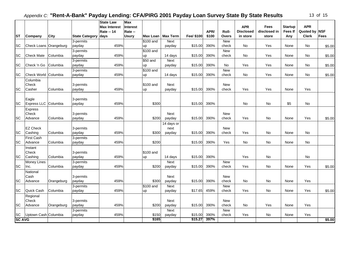| 13 | οf | 15 |
|----|----|----|
|----|----|----|

|                 |                            |            |                       | <b>State Law</b><br><b>Max Interest</b> | Max<br><b>Interest</b> |           |                     |            |       |                     | <b>APR</b>       | Fees         | <b>Startup</b> | <b>APR</b>    |             |
|-----------------|----------------------------|------------|-----------------------|-----------------------------------------|------------------------|-----------|---------------------|------------|-------|---------------------|------------------|--------------|----------------|---------------|-------------|
|                 |                            |            |                       | <b>Rate -- 14</b>                       | Rate --                |           |                     |            | APR/  | Roll-               | <b>Disclosed</b> | disclosed in | Fees If        | Quoted by NSF |             |
| <b>ST</b>       | Company                    | City       | <b>State Category</b> | days                                    | <b>Usury</b>           |           | Max Loan   Max Term | Fee/ \$100 | \$100 | Overs               | in store         | store        | Any            | <b>Clerk</b>  | <b>Fees</b> |
|                 |                            |            | 3-permits             |                                         |                        | \$100 and | Next                |            |       | <b>New</b>          |                  |              |                |               |             |
| <b>SC</b>       | Check Loans Orangeburg     |            | payday                | 459%                                    |                        | up        | payday              | \$15.00    | 390%  | check               | <b>No</b>        | Yes          | None           | No            | \$5.00      |
|                 |                            |            | 3-permits             |                                         |                        | \$100 and |                     |            |       | New                 |                  |              |                |               |             |
| <b>SC</b>       | <b>Check Mate</b>          | Columbia   | payday                | 459%                                    |                        | up        | 14 days             | \$15.00    | 390%  | check               | No               | Yes          | None           | No            | \$5.00      |
|                 |                            |            | 3-permits             |                                         |                        | \$50 and  | Next                |            |       |                     |                  |              |                |               |             |
| <b>SC</b>       | Check 'n Go                | Columbia   | payday                | 459%                                    |                        | up        | payday              | \$15.00    | 390%  | No                  | Yes              | Yes          | None           | No            | \$5.00      |
|                 |                            |            | 3-permits             |                                         |                        | \$100 and |                     |            |       | <b>New</b>          |                  |              |                |               |             |
| <b>SC</b>       | Check World Columbia       |            | payday                | 459%                                    |                        | up        | 14 days             | \$15.00    | 390%  | check               | No               | Yes          | None           | No            | \$5.00      |
|                 | Columbia                   |            |                       |                                         |                        |           |                     |            |       |                     |                  |              |                |               |             |
|                 | <b>Check</b>               |            | 3-permits             |                                         |                        | \$100 and | Next                |            |       | <b>New</b>          |                  |              |                |               |             |
| <b>SC</b>       | Casher                     | Columbia   | payday                | 459%                                    |                        | up        | payday              | \$15.00    | 390%  | check               | Yes              | Yes          | None           | Yes           |             |
|                 |                            |            |                       |                                         |                        |           |                     |            |       |                     |                  |              |                |               |             |
|                 | Eagle                      |            | 3-permits             |                                         |                        |           |                     |            |       |                     |                  |              |                |               |             |
| <b>SC</b>       | Express LLC Columbia       |            | payday                | 459%                                    |                        | \$300     |                     | \$15.00    | 390%  |                     | No               | No           | \$5            | No            |             |
|                 | Express                    |            |                       |                                         |                        |           |                     |            |       |                     |                  |              |                |               |             |
| <b>SC</b>       | Check<br>Advance           | Columbia   | 3-permits             | 459%                                    |                        | \$200     | <b>Next</b>         | \$15.00    | 390%  | <b>New</b><br>check | Yes              | No           | None           | Yes           | \$5.00      |
|                 |                            |            | payday                |                                         |                        |           | payday              |            |       |                     |                  |              |                |               |             |
|                 |                            |            |                       |                                         |                        |           | 14 days or          |            |       |                     |                  |              |                |               |             |
| <b>SC</b>       | <b>EZ Check</b><br>Cashing | Columbia   | 3-permits             | 459%                                    |                        | \$300     | next                | \$15.00    | 390%  | New<br>check        | Yes              | No           | None           | No            |             |
|                 | <b>First Cash</b>          |            | payday                |                                         |                        |           | payday              |            |       |                     |                  |              |                |               |             |
| <b>SC</b>       | Advance                    | Columbia   | 3-permits<br>payday   | 459%                                    |                        | \$200     |                     | \$15.00    | 390%  | Yes                 | No               | No           | None           | No            |             |
|                 |                            |            |                       |                                         |                        |           |                     |            |       |                     |                  |              |                |               |             |
|                 | Instant<br>Check           |            | 3-permits             |                                         |                        | \$100 and |                     |            |       |                     |                  |              |                |               |             |
| <b>SC</b>       | Cashing                    | Columbia   | payday                | 459%                                    |                        | up        | 14 days             | \$15.00    | 390%  |                     | Yes              | <b>No</b>    |                | <b>No</b>     |             |
|                 | <b>Money Lines</b>         |            | 3-permits             |                                         |                        |           | <b>Next</b>         |            |       | New                 |                  |              |                |               |             |
| <b>SC</b>       | Inc.                       | Columbia   | payday                | 459%                                    |                        | \$200     | payday              | \$15.00    | 390%  | check               | Yes              | No           | None           | Yes           | \$5.00      |
|                 | National                   |            |                       |                                         |                        |           |                     |            |       |                     |                  |              |                |               |             |
|                 | Cash                       |            | 3-permits             |                                         |                        |           | Next                |            |       | <b>New</b>          |                  |              |                |               |             |
| <b>SC</b>       | Advance                    | Orangeburg | payday                | 459%                                    |                        | \$300     | payday              | \$15.00    | 390%  | check               | No               | No           | None           | Yes           |             |
|                 |                            |            | 3-permits             |                                         |                        | \$100 and | Next                |            |       | New                 |                  |              |                |               |             |
| <b>SC</b>       | Quick Cash                 | Columbia   | payday                | 459%                                    |                        | up        | payday              | \$17.65    | 459%  | check               | Yes              | No           | None           | Yes           | \$5.00      |
|                 | Regional                   |            |                       |                                         |                        |           |                     |            |       |                     |                  |              |                |               |             |
|                 | Check                      |            | 3-permits             |                                         |                        |           | Next                |            |       | <b>New</b>          |                  |              |                |               |             |
| <b>SC</b>       | Advance                    | Orangeburg | payday                | 459%                                    |                        | \$200     | payday              | \$15.00    | 390%  | check               | No               | Yes          | None           | Yes           |             |
|                 |                            |            | 3-permits             |                                         |                        |           | Next                |            |       | <b>New</b>          |                  |              |                |               |             |
|                 | Uptown Cash Columbia       |            | payday                | 459%                                    |                        | \$150     | payday              | \$15.00    | 390%  | check               | Yes              | No           | None           | Yes           |             |
| SC Up<br>SC AVG |                            |            |                       |                                         |                        | \$165     |                     | \$15.27    | 397%  |                     |                  |              |                |               | \$5.00      |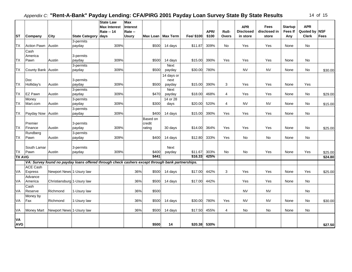| <b>ST</b>               | Company            | City                       | State Category days                                                                              | <b>State Law</b><br><b>Max Interest</b><br><b>Rate -- 14</b> | Max<br><b>Interest</b><br>Rate --<br><b>Usury</b> |                    | Max Loan   Max Term | Fee/ \$100 | APR/<br>\$100 | Roll-<br><b>Overs</b> | <b>APR</b><br><b>Disclosed</b><br>in store | <b>Fees</b><br>disclosed in<br>store | <b>Startup</b><br><b>Fees If</b><br>Any | <b>APR</b><br>Quoted by NSF<br><b>Clerk</b> | <b>Fees</b> |
|-------------------------|--------------------|----------------------------|--------------------------------------------------------------------------------------------------|--------------------------------------------------------------|---------------------------------------------------|--------------------|---------------------|------------|---------------|-----------------------|--------------------------------------------|--------------------------------------|-----------------------------------------|---------------------------------------------|-------------|
|                         |                    |                            | 3-permits                                                                                        |                                                              |                                                   |                    |                     |            |               |                       |                                            |                                      |                                         |                                             |             |
| <b>TX</b>               | <b>Action Pawn</b> | Austin                     | payday                                                                                           | 309%                                                         |                                                   | \$500              | 14 days             | \$11.87    | 309%          | <b>No</b>             | Yes                                        | Yes                                  | None                                    | No                                          |             |
|                         | Cash<br>America    |                            | 3-permits                                                                                        |                                                              |                                                   |                    |                     |            |               |                       |                                            |                                      |                                         |                                             |             |
| <b>TX</b>               | Pawn               | Austin                     | payday                                                                                           | 309%                                                         |                                                   | \$500              | 14 days             | \$15.00    | 390%          | Yes                   | Yes                                        | Yes                                  | None                                    | No                                          |             |
|                         |                    |                            | 3-permits                                                                                        |                                                              |                                                   |                    | Next                |            |               |                       |                                            |                                      |                                         |                                             |             |
| <b>TX</b>               | County Bank Austin |                            | payday                                                                                           | 309%                                                         |                                                   | \$500              | payday              | \$30.00    | 780%          |                       | <b>NV</b>                                  | <b>NV</b>                            | None                                    | No                                          | \$30.00     |
|                         | <b>Doc</b>         |                            | 3-permits                                                                                        |                                                              |                                                   |                    | 14 days or<br>next  |            |               |                       |                                            |                                      |                                         |                                             |             |
| <b>TX</b>               | Holliday's         | Austin                     | payday                                                                                           | 309%                                                         |                                                   | \$500              | payday              | \$15.00    | 390%          | 3                     | Yes                                        | Yes                                  | None                                    | Yes                                         |             |
|                         |                    |                            | 3-permits                                                                                        |                                                              |                                                   |                    | Next                |            |               |                       |                                            |                                      |                                         |                                             |             |
| TX                      | <b>EZ Pawn</b>     | Austin                     | payday                                                                                           | 309%                                                         |                                                   | \$470              | payday              | \$18.00    | 468%          | $\overline{4}$        | Yes                                        | Yes                                  | None                                    | No                                          | \$29.00     |
|                         | Money              |                            | 3-permits                                                                                        |                                                              |                                                   |                    | 14 or 28            |            |               |                       |                                            |                                      |                                         |                                             |             |
| <b>TX</b>               | Mart.com           | Austin                     | payday                                                                                           | 309%                                                         |                                                   | \$300              | days                | \$20.00    | 520%          | $\overline{4}$        | <b>NV</b>                                  | <b>NV</b>                            | None                                    | No                                          | \$15.00     |
|                         |                    |                            | 3-permits                                                                                        |                                                              |                                                   |                    |                     |            |               |                       |                                            |                                      |                                         |                                             |             |
| TX                      | Payday Now Austin  |                            | payday                                                                                           | 309%                                                         |                                                   | \$400              | 14 days             | \$15.00    | 390%          | Yes                   | Yes                                        | Yes                                  | None                                    | No                                          |             |
|                         | Premier            |                            | 3-permits                                                                                        |                                                              |                                                   | Based on<br>credit |                     |            |               |                       |                                            |                                      |                                         |                                             |             |
| <b>TX</b>               | Finance            | Austin                     | payday                                                                                           | 309%                                                         |                                                   | rating             | 30 days             | \$14.00    | 364%          | Yes                   | Yes                                        | Yes                                  | None                                    | No                                          | \$25.00     |
|                         | Rundberg           |                            | 3-permits                                                                                        |                                                              |                                                   |                    |                     |            |               |                       |                                            |                                      |                                         |                                             |             |
| TX                      | Pawn               | Austin                     | payday                                                                                           | 309%                                                         |                                                   | \$400              | 14 days             | \$12.80    | 333%          | Yes                   | No                                         | No                                   | None                                    | No                                          |             |
|                         |                    |                            |                                                                                                  |                                                              |                                                   |                    |                     |            |               |                       |                                            |                                      |                                         |                                             |             |
|                         | South Lamar        |                            | 3-permits                                                                                        |                                                              |                                                   |                    | Next                |            |               |                       |                                            |                                      |                                         |                                             |             |
| <b>TX</b>               | Pawn               | Austin                     | payday                                                                                           | 309%                                                         |                                                   | \$400              | payday              | \$11.67    | 303%          | No                    | No                                         | Yes                                  | None                                    | Yes                                         | \$25.00     |
| <b>TX AVG</b>           |                    |                            |                                                                                                  |                                                              |                                                   | \$441              |                     | \$16.33    | 425%          |                       |                                            |                                      |                                         |                                             | \$24.80     |
|                         |                    |                            | VA: Survey found no payday loans offered through check cashers except through bank partnerships. |                                                              |                                                   |                    |                     |            |               |                       |                                            |                                      |                                         |                                             |             |
|                         | <b>ACE Cash</b>    |                            |                                                                                                  |                                                              |                                                   |                    |                     |            |               |                       |                                            |                                      |                                         |                                             |             |
| VA                      | Express            | Newport News 1-Usury law   |                                                                                                  |                                                              | 36%                                               | \$500              | 14 days             | \$17.00    | 442%          | 3                     | Yes                                        | Yes                                  | None                                    | Yes                                         | \$25.00     |
|                         | Advance            |                            |                                                                                                  |                                                              |                                                   |                    |                     |            |               |                       |                                            |                                      |                                         |                                             |             |
| VA                      | America            | Christiansburg 1-Usury law |                                                                                                  |                                                              | 36%                                               | \$500              | 14 days             | \$17.00    | 442%          |                       | Yes                                        | Yes                                  | None                                    | No                                          |             |
| VA                      | Cash<br>Reserve    | Richmond                   |                                                                                                  |                                                              |                                                   |                    |                     |            |               |                       | <b>NV</b>                                  | <b>NV</b>                            |                                         | <b>No</b>                                   |             |
|                         |                    |                            | 1-Usury law                                                                                      |                                                              | 36%                                               | \$500              |                     |            |               |                       |                                            |                                      |                                         |                                             |             |
| VA                      | Money by<br>Fax    | Richmond                   | 1-Usury law                                                                                      |                                                              | 36%                                               | \$500              | 14 days             | \$30.00    | 780%          | Yes                   | <b>NV</b>                                  | <b>NV</b>                            | None                                    | No                                          | \$30.00     |
|                         |                    |                            |                                                                                                  |                                                              |                                                   |                    |                     |            |               |                       |                                            |                                      |                                         |                                             |             |
| VA                      | Money Mart         | Newport News 1-Usury law   |                                                                                                  |                                                              | 36%                                               | \$500              | 14 days             | \$17.50    | 455%          | 4                     | No                                         | No                                   | None                                    | No                                          |             |
| <b>VA</b><br><b>AVG</b> |                    |                            |                                                                                                  |                                                              |                                                   | \$500              | 14                  | \$20.38    | 530%          |                       |                                            |                                      |                                         |                                             | \$27.50     |